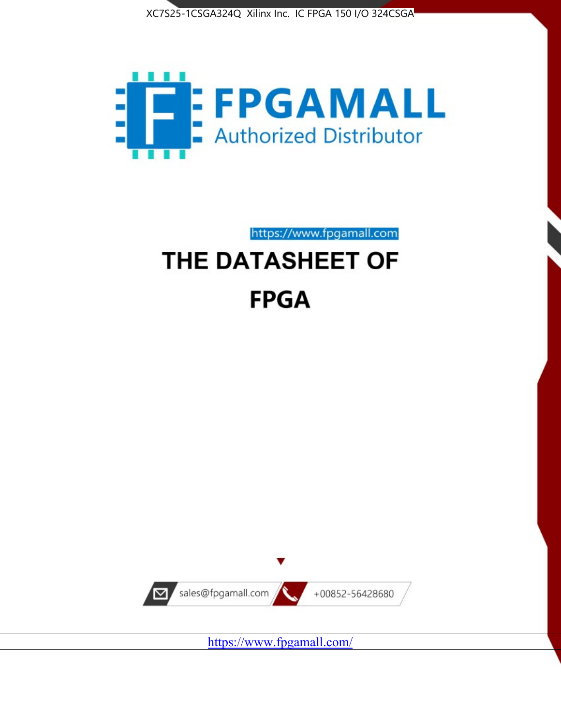



https://www.fpgamall.com

# THE DATASHEET OF **FPGA**



<https://www.fpgamall.com/>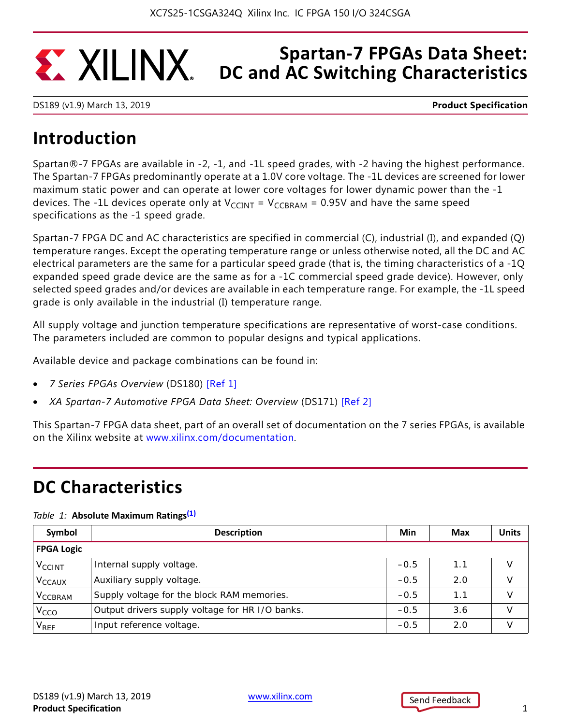## **Spartan-7 FPGAs Data Sheet: EXALINX DC and AC Switching Characteristics**

DS189 (v1.9) March 13, 2019 **Product Specification**

# **Introduction**

Spartan®-7 FPGAs are available in -2, -1, and -1L speed grades, with -2 having the highest performance. The Spartan-7 FPGAs predominantly operate at a 1.0V core voltage. The -1L devices are screened for lower maximum static power and can operate at lower core voltages for lower dynamic power than the -1 devices. The -1L devices operate only at  $V_{CCINT} = V_{CCBRAM} = 0.95V$  and have the same speed specifications as the -1 speed grade.

Spartan-7 FPGA DC and AC characteristics are specified in commercial (C), industrial (I), and expanded (Q) temperature ranges. Except the operating temperature range or unless otherwise noted, all the DC and AC electrical parameters are the same for a particular speed grade (that is, the timing characteristics of a -1Q expanded speed grade device are the same as for a -1C commercial speed grade device). However, only selected speed grades and/or devices are available in each temperature range. For example, the -1L speed grade is only available in the industrial (I) temperature range.

All supply voltage and junction temperature specifications are representative of worst-case conditions. The parameters included are common to popular designs and typical applications.

Available device and package combinations can be found in:

- *7 Series FPGAs Overview* (DS180) [Ref 1]
- *XA Spartan-7 Automotive FPGA Data Sheet: Overview* (DS171) [Ref 2]

This Spartan-7 FPGA data sheet, part of an overall set of documentation on the 7 series FPGAs, is available on the Xilinx website at <www.xilinx.com/documentation>.

# **DC Characteristics**

### *Table 1:* **Absolute Maximum Ratings(1)**

| Symbol                    | <b>Description</b>                              | Min    | Max | <b>Units</b>  |
|---------------------------|-------------------------------------------------|--------|-----|---------------|
| <b>FPGA Logic</b>         |                                                 |        |     |               |
| $V_{\text{CCINT}}$        | Internal supply voltage.                        | $-0.5$ | 1.1 |               |
| <b>V<sub>CCAUX</sub></b>  | Auxiliary supply voltage.                       | $-0.5$ | 2.0 | $\mathcal{U}$ |
| <b>V<sub>CCBRAM</sub></b> | Supply voltage for the block RAM memories.      | $-0.5$ | 1.1 |               |
| V <sub>CCO</sub>          | Output drivers supply voltage for HR I/O banks. | $-0.5$ | 3.6 | v             |
| V <sub>REF</sub>          | Input reference voltage.                        | $-0.5$ | 2.0 |               |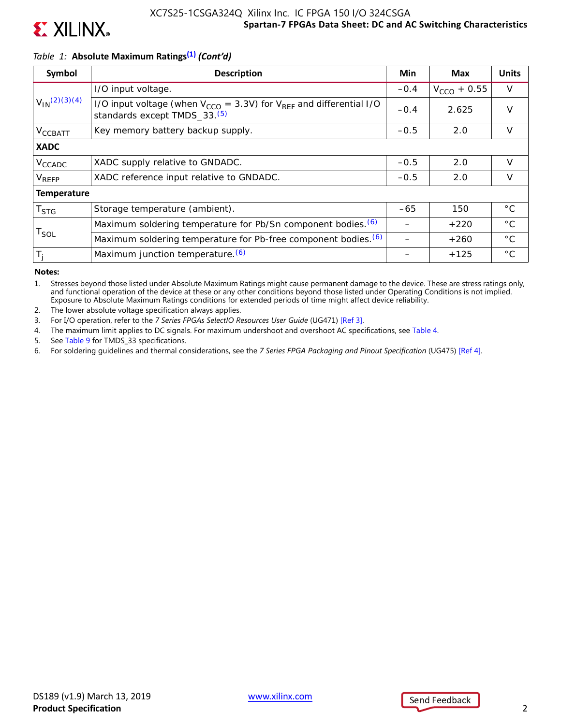

### **Spartan-7 FPGAs Data Sheet: DC and AC Switching Characteristics** XC7S25-1CSGA324Q Xilinx Inc. IC FPGA 150 I/O 324CSGA

### *Table 1:* **Absolute Maximum Ratings(1)** *(Cont'd)*

| Symbol                      | <b>Description</b>                                                                                                       | Min    | <b>Max</b>       | <b>Units</b> |
|-----------------------------|--------------------------------------------------------------------------------------------------------------------------|--------|------------------|--------------|
|                             | I/O input voltage.                                                                                                       | $-0.4$ | $V_{CCO}$ + 0.55 | $\vee$       |
| $V_{1N}(2)(3)(4)$           | I/O input voltage (when $V_{CCO}$ = 3.3V) for $V_{RFF}$ and differential I/O<br>standards except TMDS_33. <sup>(5)</sup> | $-0.4$ | 2.625            | $\vee$       |
| V <sub>CCBATT</sub>         | Key memory battery backup supply.                                                                                        | $-0.5$ | 2.0              | $\vee$       |
| <b>XADC</b>                 |                                                                                                                          |        |                  |              |
| V <sub>CCADC</sub>          | XADC supply relative to GNDADC.                                                                                          | $-0.5$ | 2.0              | $\vee$       |
| V <sub>REFP</sub>           | XADC reference input relative to GNDADC.                                                                                 | $-0.5$ | 2.0              | $\vee$       |
| <b>Temperature</b>          |                                                                                                                          |        |                  |              |
| T <sub>STG</sub>            | Storage temperature (ambient).                                                                                           | $-65$  | 150              | $^{\circ}$ C |
|                             | Maximum soldering temperature for Pb/Sn component bodies. (6)                                                            |        | $+220$           | $^{\circ}$ C |
| $\mathsf{T}_{\mathsf{SOL}}$ | Maximum soldering temperature for Pb-free component bodies. (6)                                                          |        | $+260$           | $^{\circ}$ C |
| $T_i$                       | Maximum junction temperature. (6)                                                                                        |        | $+125$           | $^{\circ}$ C |

**Notes:** 

1. Stresses beyond those listed under Absolute Maximum Ratings might cause permanent damage to the device. These are stress ratings only, and functional operation of the device at these or any other conditions beyond those listed under Operating Conditions is not implied. Exposure to Absolute Maximum Ratings conditions for extended periods of time might affect device reliability.

2. The lower absolute voltage specification always applies.

3. For I/O operation, refer to the *7 Series FPGAs SelectIO Resources User Guide* (UG471) [Ref 3].

4. The maximum limit applies to DC signals. For maximum undershoot and overshoot AC specifications, see Table 4.

5. See Table 9 for TMDS\_33 specifications.

6. For soldering guidelines and thermal considerations, see the *7 Series FPGA Packaging and Pinout Specification* (UG475) [Ref 4].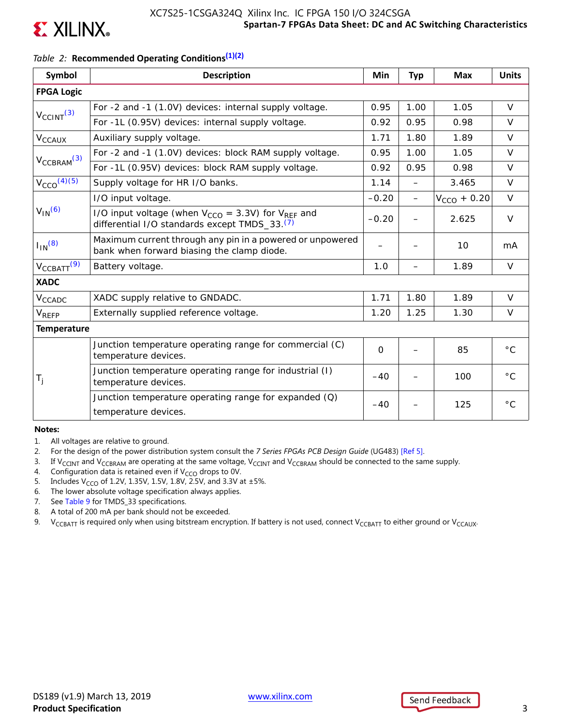

### **Spartan-7 FPGAs Data Sheet: DC and AC Switching Characteristics** XC7S25-1CSGA324Q Xilinx Inc. IC FPGA 150 I/O 324CSGA

### *Table 2:* **Recommended Operating Conditions(1)(2)**

| Symbol                      | <b>Description</b>                                                                                                        | Min         | <b>Typ</b>               | <b>Max</b>       | <b>Units</b> |
|-----------------------------|---------------------------------------------------------------------------------------------------------------------------|-------------|--------------------------|------------------|--------------|
| <b>FPGA Logic</b>           |                                                                                                                           |             |                          |                  |              |
|                             | For -2 and -1 (1.0V) devices: internal supply voltage.                                                                    | 0.95        | 1.00                     | 1.05             | $\vee$       |
| $V_{\text{CCINT}}^{(3)}$    | For -1L (0.95V) devices: internal supply voltage.                                                                         | 0.92        | 0.95                     | 0.98             | $\vee$       |
| $V_{CCAUX}$                 | Auxiliary supply voltage.                                                                                                 | 1.71        | 1.80                     | 1.89             | $\vee$       |
|                             | For -2 and -1 (1.0V) devices: block RAM supply voltage.                                                                   | 0.95        | 1.00                     | 1.05             | $\vee$       |
| $V_{\text{CCBRAM}}^{(3)}$   | For -1L (0.95V) devices: block RAM supply voltage.                                                                        | 0.92        | 0.95                     | 0.98             | $\vee$       |
| $V_{CCO}$ <sup>(4)(5)</sup> | Supply voltage for HR I/O banks.                                                                                          | 1.14        | $\overline{\phantom{0}}$ | 3.465            | $\vee$       |
|                             | I/O input voltage.                                                                                                        | $-0.20$     |                          | $V_{CCO}$ + 0.20 | $\vee$       |
| $V_{IN}$ <sup>(6)</sup>     | I/O input voltage (when $V_{CCO} = 3.3V$ ) for $V_{REF}$ and<br>differential I/O standards except TMDS_33. <sup>(7)</sup> | $-0.20$     |                          | 2.625            | $\vee$       |
| $I_{IN}$ (8)                | Maximum current through any pin in a powered or unpowered<br>bank when forward biasing the clamp diode.                   |             |                          | 10               | mA           |
| $V_{\text{CCBATT}}(9)$      | Battery voltage.                                                                                                          | 1.0         | —                        | 1.89             | $\vee$       |
| <b>XADC</b>                 |                                                                                                                           |             |                          |                  |              |
| $V_{CCADC}$                 | XADC supply relative to GNDADC.                                                                                           | 1.71        | 1.80                     | 1.89             | $\vee$       |
| $V_{REFP}$                  | Externally supplied reference voltage.                                                                                    | 1.20        | 1.25                     | 1.30             | $\vee$       |
| <b>Temperature</b>          |                                                                                                                           |             |                          |                  |              |
|                             | Junction temperature operating range for commercial (C)<br>temperature devices.                                           | $\mathbf 0$ |                          | 85               | $^{\circ}$ C |
| $T_{j}$                     | Junction temperature operating range for industrial (I)<br>temperature devices.                                           | $-40$       |                          | 100              | $^{\circ}$ C |
|                             | Junction temperature operating range for expanded $(Q)$<br>temperature devices.                                           | $-40$       |                          | 125              | $^{\circ}$ C |

#### **Notes:**

- 1. All voltages are relative to ground.
- 2. For the design of the power distribution system consult the *7 Series FPGAs PCB Design Guide* (UG483) [Ref 5].
- 3. If V<sub>CCINT</sub> and V<sub>CCBRAM</sub> are operating at the same voltage, V<sub>CCINT</sub> and V<sub>CCBRAM</sub> should be connected to the same supply.
- 4. Configuration data is retained even if  $V_{CCO}$  drops to 0V.
- 5. Includes V<sub>CCO</sub> of 1.2V, 1.35V, 1.5V, 1.8V, 2.5V, and 3.3V at  $\pm 5\%$ .
- 6. The lower absolute voltage specification always applies.
- 7. See Table 9 for TMDS\_33 specifications.
- 8. A total of 200 mA per bank should not be exceeded.
- 9. V<sub>CCBATT</sub> is required only when using bitstream encryption. If battery is not used, connect V<sub>CCBATT</sub> to either ground or V<sub>CCAUX</sub>.

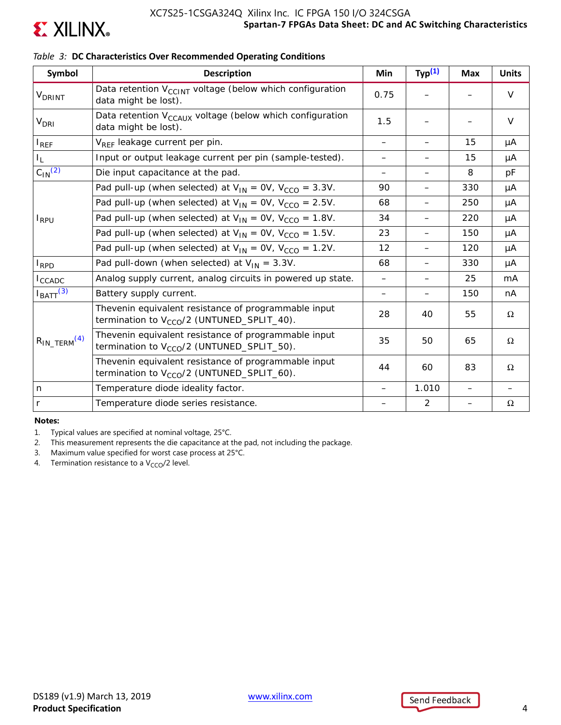

| Symbol                        | <b>Description</b>                                                                                             | Min                      | Typ <sup>(1)</sup>       | <b>Max</b> | <b>Units</b> |
|-------------------------------|----------------------------------------------------------------------------------------------------------------|--------------------------|--------------------------|------------|--------------|
| <b>V</b> DRINT                | Data retention V <sub>CCINT</sub> voltage (below which configuration<br>data might be lost).                   | 0.75                     |                          |            | $\vee$       |
| <b>V<sub>DRI</sub></b>        | Data retention V <sub>CCAUX</sub> voltage (below which configuration<br>data might be lost).                   | 1.5                      |                          |            | $\vee$       |
| $I_{REF}$                     | V <sub>REF</sub> leakage current per pin.                                                                      |                          | —                        | 15         | μA           |
| I <sub>L</sub>                | Input or output leakage current per pin (sample-tested).                                                       | —                        | $\overline{\phantom{0}}$ | 15         | μA           |
| $C_{1N}$ <sup>(2)</sup>       | Die input capacitance at the pad.                                                                              |                          |                          | 8          | pF           |
|                               | Pad pull-up (when selected) at $V_{IN} = OV, V_{CCO} = 3.3V$ .                                                 | 90                       | —                        | 330        | μA           |
| $I_{RPU}$                     | Pad pull-up (when selected) at $V_{IN} = OV$ , $V_{CCO} = 2.5V$ .                                              | 68                       | $\overline{\phantom{0}}$ | 250        | μA           |
|                               | Pad pull-up (when selected) at $V_{IN} = OV$ , $V_{CCO} = 1.8V$ .                                              | 34                       | —                        | 220        | μA           |
|                               | Pad pull-up (when selected) at $V_{IN} = OV, V_{CCO} = 1.5V$ .                                                 | 23                       |                          | 150        | μA           |
|                               | Pad pull-up (when selected) at $V_{IN} = OV$ , $V_{CCO} = 1.2V$ .                                              | 12                       | —                        | 120        | μA           |
| <b>I</b> <sub>RPD</sub>       | Pad pull-down (when selected) at $V_{IN} = 3.3V$ .                                                             | 68                       | $\qquad \qquad -$        | 330        | μA           |
| $I_{\text{CCADC}}$            | Analog supply current, analog circuits in powered up state.                                                    | $\qquad \qquad -$        |                          | 25         | mA           |
| $I_{\text{BATT}}^{(3)}$       | Battery supply current.                                                                                        | $\overline{\phantom{0}}$ | $\qquad \qquad -$        | 150        | nA           |
|                               | Thevenin equivalent resistance of programmable input<br>termination to $V_{CCO}/2$ (UNTUNED_SPLIT_40).         | 28                       | 40                       | 55         | $\Omega$     |
| $R_{IN\_TERM}$ <sup>(4)</sup> | Thevenin equivalent resistance of programmable input<br>termination to V <sub>CCO</sub> /2 (UNTUNED_SPLIT_50). | 35                       | 50                       | 65         | Ω            |
|                               | Thevenin equivalent resistance of programmable input<br>termination to V <sub>CCO</sub> /2 (UNTUNED_SPLIT_60). | 44                       | 60                       | 83         | Ω            |
| n                             | Temperature diode ideality factor.                                                                             |                          | 1.010                    |            |              |
| r                             | Temperature diode series resistance.                                                                           |                          | $\overline{2}$           |            | Ω            |

### *Table 3:* **DC Characteristics Over Recommended Operating Conditions**

**Notes:** 

1. Typical values are specified at nominal voltage, 25°C.

2. This measurement represents the die capacitance at the pad, not including the package.

3. Maximum value specified for worst case process at 25°C.

4. Termination resistance to a  $V_{CCO}/2$  level.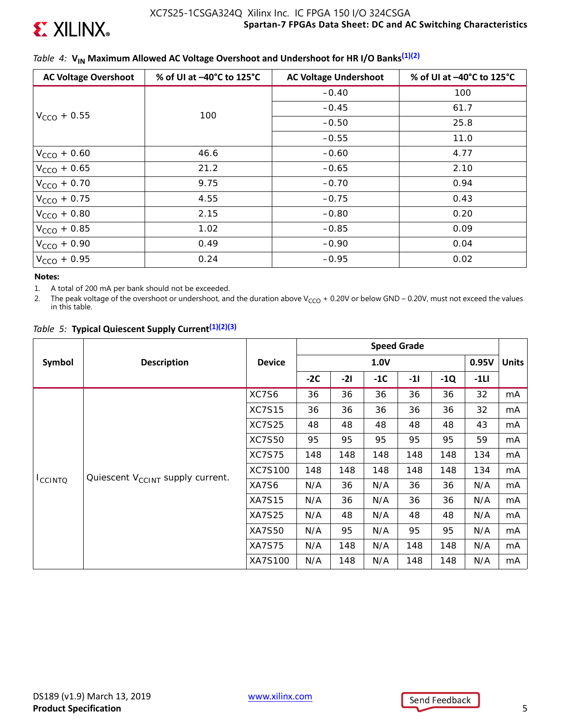

## *Table 4:* V<sub>IN</sub> Maximum Allowed AC Voltage Overshoot and Undershoot for HR I/O Banks<sup>(1)(2)</sup>

| <b>AC Voltage Overshoot</b> | % of UI at -40°C to 125°C | <b>AC Voltage Undershoot</b> | % of UI at -40°C to 125°C |
|-----------------------------|---------------------------|------------------------------|---------------------------|
|                             |                           | $-0.40$                      | 100                       |
|                             | 100                       | $-0.45$                      | 61.7                      |
| $V_{CCO}$ + 0.55            |                           | $-0.50$                      | 25.8                      |
|                             |                           | $-0.55$                      | 11.0                      |
| $V_{CCO}$ + 0.60            | 46.6                      | $-0.60$                      | 4.77                      |
| $V_{CCO} + 0.65$            | 21.2                      | $-0.65$                      | 2.10                      |
| $V_{CCO}$ + 0.70            | 9.75                      | $-0.70$                      | 0.94                      |
| $V_{CCO}$ + 0.75            | 4.55                      | $-0.75$                      | 0.43                      |
| $V_{CCO}$ + 0.80            | 2.15                      | $-0.80$                      | 0.20                      |
| $V_{CCO}$ + 0.85            | 1.02                      | $-0.85$                      | 0.09                      |
| $V_{CCO}$ + 0.90            | 0.49                      | $-0.90$                      | 0.04                      |
| $V_{CCO} + 0.95$            | 0.24                      | $-0.95$                      | 0.02                      |

#### **Notes:**

1. A total of 200 mA per bank should not be exceeded.

2. The peak voltage of the overshoot or undershoot, and the duration above V<sub>CCO</sub> + 0.20V or below GND – 0.20V, must not exceed the values in this table.

|  |  |  |  | Table 5: Typical Quiescent Supply Current <sup>(1)(2)(3)</sup> |
|--|--|--|--|----------------------------------------------------------------|
|--|--|--|--|----------------------------------------------------------------|

|                |                                              |               | <b>Speed Grade</b> |       |       |       |       |        |              |
|----------------|----------------------------------------------|---------------|--------------------|-------|-------|-------|-------|--------|--------------|
| Symbol         | <b>Description</b>                           | <b>Device</b> | 1.0V               |       |       |       |       | 0.95V  | <b>Units</b> |
|                |                                              |               | $-2C$              | $-21$ | $-1C$ | $-11$ | $-1Q$ | $-1LI$ |              |
|                | Quiescent V <sub>CCINT</sub> supply current. | XC7S6         | 36                 | 36    | 36    | 36    | 36    | 32     | mA           |
|                |                                              | <b>XC7S15</b> | 36                 | 36    | 36    | 36    | 36    | 32     | mA           |
|                |                                              | <b>XC7S25</b> | 48                 | 48    | 48    | 48    | 48    | 43     | mA           |
|                |                                              | <b>XC7S50</b> | 95                 | 95    | 95    | 95    | 95    | 59     | mA           |
|                |                                              | <b>XC7S75</b> | 148                | 148   | 148   | 148   | 148   | 134    | mA           |
|                |                                              | XC7S100       | 148                | 148   | 148   | 148   | 148   | 134    | mA           |
| <b>ICCINTO</b> |                                              | XA7S6         | N/A                | 36    | N/A   | 36    | 36    | N/A    | mA           |
|                |                                              | <b>XA7S15</b> | N/A                | 36    | N/A   | 36    | 36    | N/A    | mA           |
|                |                                              | <b>XA7S25</b> | N/A                | 48    | N/A   | 48    | 48    | N/A    | mA           |
|                |                                              | <b>XA7S50</b> | N/A                | 95    | N/A   | 95    | 95    | N/A    | mA           |
|                |                                              | <b>XA7S75</b> | N/A                | 148   | N/A   | 148   | 148   | N/A    | mA           |
|                |                                              | XA7S100       | N/A                | 148   | N/A   | 148   | 148   | N/A    | mA           |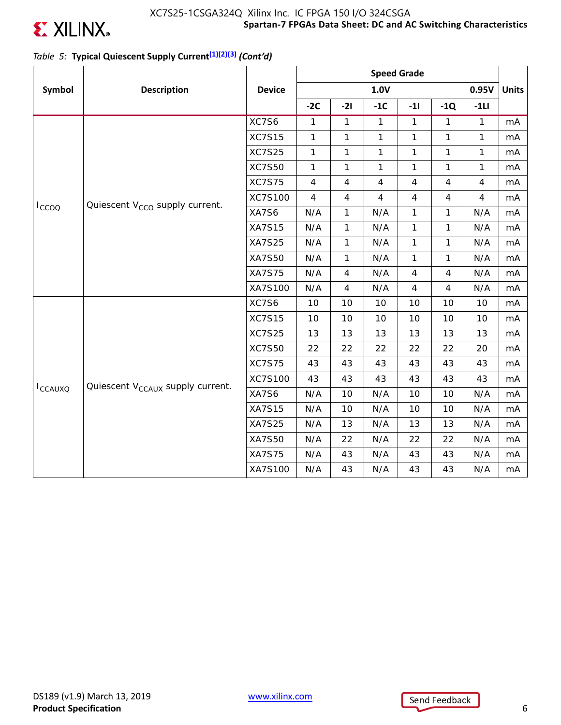

### **Spartan-7 FPGAs Data Sheet: DC and AC Switching Characteristics** XC7S25-1CSGA324Q Xilinx Inc. IC FPGA 150 I/O 324CSGA

## *Table 5:* **Typical Quiescent Supply Current(1)(2)(3)** *(Cont'd)*

|                 |                                              |               | <b>Speed Grade</b> |                |                |                |                |                |              |
|-----------------|----------------------------------------------|---------------|--------------------|----------------|----------------|----------------|----------------|----------------|--------------|
| Symbol          | <b>Description</b>                           | <b>Device</b> |                    |                | 1.0V           |                |                | 0.95V          | <b>Units</b> |
|                 |                                              |               | $-2C$              | $-21$          | $-1C$          | $-11$          | $-1Q$          | $-1LI$         |              |
|                 |                                              | XC7S6         | $\mathbf{1}$       | $\mathbf{1}$   | $\mathbf{1}$   | $\mathbf{1}$   | $\mathbf{1}$   | $\mathbf{1}$   | mA           |
|                 |                                              | <b>XC7S15</b> | 1                  | $\mathbf{1}$   | $\mathbf{1}$   | $\mathbf{1}$   | $\mathbf{1}$   | 1              | mA           |
|                 |                                              | <b>XC7S25</b> | $\mathbf{1}$       | 1              | 1              | $\mathbf{1}$   | 1              | 1              | mA           |
|                 |                                              | <b>XC7S50</b> | $\mathbf{1}$       | $\mathbf{1}$   | $\mathbf{1}$   | $\mathbf{1}$   | $\mathbf{1}$   | $\mathbf{1}$   | mA           |
|                 |                                              | <b>XC7S75</b> | $\overline{4}$     | $\overline{4}$ | $\overline{4}$ | $\overline{4}$ | $\overline{4}$ | $\overline{4}$ | mA           |
|                 | Quiescent V <sub>CCO</sub> supply current.   | XC7S100       | $\overline{4}$     | 4              | $\overline{4}$ | $\overline{4}$ | $\overline{4}$ | $\overline{4}$ | mA           |
| $I_{CCOO}$      |                                              | XA7S6         | N/A                | $\mathbf{1}$   | N/A            | $\mathbf{1}$   | 1              | N/A            | mA           |
|                 |                                              | <b>XA7S15</b> | N/A                | $\mathbf{1}$   | N/A            | $\mathbf{1}$   | $\mathbf{1}$   | N/A            | mA           |
|                 |                                              | XA7S25        | N/A                | $\mathbf{1}$   | N/A            | $\mathbf{1}$   | $\mathbf{1}$   | N/A            | mA           |
|                 |                                              | XA7S50        | N/A                | $\mathbf{1}$   | N/A            | $\mathbf{1}$   | $\mathbf{1}$   | N/A            | mA           |
|                 |                                              | <b>XA7S75</b> | N/A                | 4              | N/A            | $\overline{4}$ | 4              | N/A            | mA           |
|                 |                                              | XA7S100       | N/A                | $\overline{4}$ | N/A            | $\overline{4}$ | $\overline{4}$ | N/A            | mA           |
|                 |                                              | XC7S6         | 10                 | 10             | 10             | 10             | 10             | 10             | mA           |
|                 |                                              | <b>XC7S15</b> | 10                 | 10             | 10             | 10             | 10             | 10             | mA           |
|                 |                                              | <b>XC7S25</b> | 13                 | 13             | 13             | 13             | 13             | 13             | mA           |
|                 |                                              | <b>XC7S50</b> | 22                 | 22             | 22             | 22             | 22             | 20             | mA           |
|                 |                                              | <b>XC7S75</b> | 43                 | 43             | 43             | 43             | 43             | 43             | mA           |
|                 |                                              | XC7S100       | 43                 | 43             | 43             | 43             | 43             | 43             | mA           |
| <b>I</b> CCAUXQ | Quiescent V <sub>CCAUX</sub> supply current. | XA7S6         | N/A                | 10             | N/A            | 10             | 10             | N/A            | mA           |
|                 |                                              | <b>XA7S15</b> | N/A                | 10             | N/A            | 10             | 10             | N/A            | mA           |
|                 |                                              | <b>XA7S25</b> | N/A                | 13             | N/A            | 13             | 13             | N/A            | mA           |
|                 |                                              | <b>XA7S50</b> | N/A                | 22             | N/A            | 22             | 22             | N/A            | mA           |
|                 |                                              | <b>XA7S75</b> | N/A                | 43             | N/A            | 43             | 43             | N/A            | mA           |
|                 |                                              | XA7S100       | N/A                | 43             | N/A            | 43             | 43             | N/A            | mA           |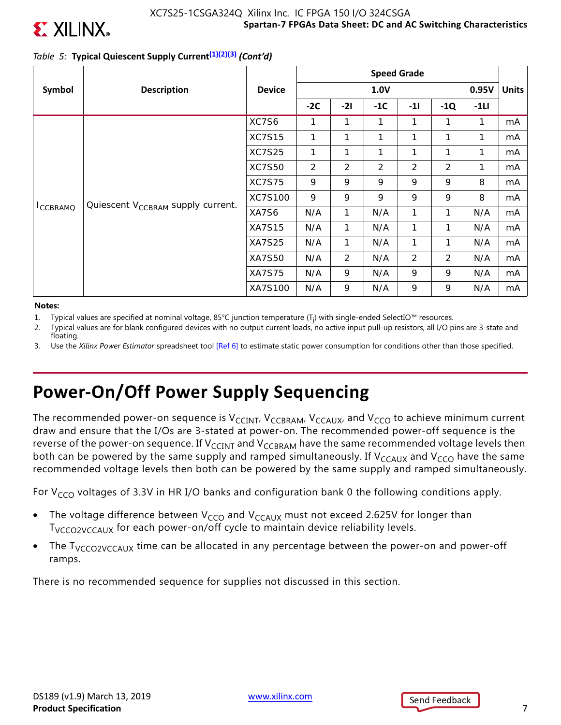

### **Spartan-7 FPGAs Data Sheet: DC and AC Switching Characteristics** XC7S25-1CSGA324Q Xilinx Inc. IC FPGA 150 I/O 324CSGA

## *Table 5:* **Typical Quiescent Supply Current(1)(2)(3)** *(Cont'd)*

|                      |                                               |                | <b>Speed Grade</b> |                |                |                |       |        |              |
|----------------------|-----------------------------------------------|----------------|--------------------|----------------|----------------|----------------|-------|--------|--------------|
| Symbol               | <b>Description</b>                            | <b>Device</b>  |                    | 1.0V           |                |                |       |        | <b>Units</b> |
|                      |                                               |                | $-2C$              | $-21$          | $-1C$          | $-11$          | $-1Q$ | $-1LI$ |              |
|                      | Quiescent V <sub>CCBRAM</sub> supply current. | XC7S6          | 1                  |                | 1              | 1              | 1     | 1      | mA           |
|                      |                                               | <b>XC7S15</b>  | 1                  | 1              | 1              | 1              | 1     | 1      | mA           |
|                      |                                               | <b>XC7S25</b>  | 1                  | 1              | $\mathbf{1}$   | 1              | 1     | 1      | mA           |
|                      |                                               | <b>XC7S50</b>  | 2                  | $\overline{2}$ | $\overline{2}$ | $\overline{2}$ | 2     | 1      | mA           |
|                      |                                               | <b>XC7S75</b>  | 9                  | 9              | 9              | 9              | 9     | 8      | mA           |
|                      |                                               | <b>XC7S100</b> | 9                  | 9              | 9              | 9              | 9     | 8      | mA           |
| <sup>I</sup> CCBRAMQ |                                               | XA7S6          | N/A                | 1              | N/A            | 1              | 1     | N/A    | mA           |
|                      |                                               | <b>XA7S15</b>  | N/A                | 1              | N/A            | 1              | 1     | N/A    | mA           |
|                      |                                               | <b>XA7S25</b>  | N/A                | 1              | N/A            | 1              | 1     | N/A    | mA           |
|                      |                                               | XA7S50         | N/A                | $\overline{2}$ | N/A            | 2              | 2     | N/A    | mA           |
|                      |                                               | <b>XA7S75</b>  | N/A                | 9              | N/A            | 9              | 9     | N/A    | mA           |
|                      |                                               | XA7S100        | N/A                | 9              | N/A            | 9              | 9     | N/A    | mA           |

#### **Notes:**

- 1. Typical values are specified at nominal voltage, 85°C junction temperature (T<sub>j</sub>) with single-ended SelectIO™ resources.
- 2. Typical values are for blank configured devices with no output current loads, no active input pull-up resistors, all I/O pins are 3-state and floating.
- 3. Use the *Xilinx Power Estimator* spreadsheet tool [Ref 6] to estimate static power consumption for conditions other than those specified.

# **Power-On/Off Power Supply Sequencing**

The recommended power-on sequence is  $V_{CClNT}$ ,  $V_{CCBRAM}$ ,  $V_{CCAUX}$ , and  $V_{CCO}$  to achieve minimum current draw and ensure that the I/Os are 3-stated at power-on. The recommended power-off sequence is the reverse of the power-on sequence. If V<sub>CCINT</sub> and V<sub>CCBRAM</sub> have the same recommended voltage levels then both can be powered by the same supply and ramped simultaneously. If  $V_{CCAUX}$  and  $V_{CCO}$  have the same recommended voltage levels then both can be powered by the same supply and ramped simultaneously.

For  $V_{CCO}$  voltages of 3.3V in HR I/O banks and configuration bank 0 the following conditions apply.

- The voltage difference between  $V_{CCO}$  and  $V_{CCAUX}$  must not exceed 2.625V for longer than T<sub>VCCO2VCCAUX</sub> for each power-on/off cycle to maintain device reliability levels.
- The  $T<sub>VCCO2VCCAUX</sub>$  time can be allocated in any percentage between the power-on and power-off ramps.

There is no recommended sequence for supplies not discussed in this section.

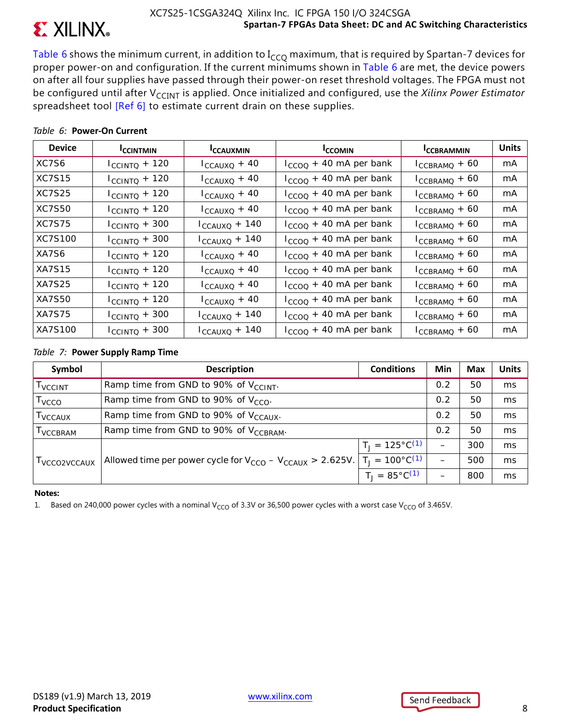

Table 6 shows the minimum current, in addition to  $I_{CCO}$  maximum, that is required by Spartan-7 devices for proper power-on and configuration. If the current minimums shown in Table 6 are met, the device powers on after all four supplies have passed through their power-on reset threshold voltages. The FPGA must not be configured until after V<sub>CCINT</sub> is applied. Once initialized and configured, use the *Xilinx Power Estimator* spreadsheet tool [Ref 6] to estimate current drain on these supplies.

| <b>Device</b> | <b>ICCINTMIN</b>          | <b>ICCAUXMIN</b>          | <b>ICCOMIN</b>              | <b>ICCBRAMMIN</b>  | <b>Units</b> |
|---------------|---------------------------|---------------------------|-----------------------------|--------------------|--------------|
| XC7S6         | $I_{\text{CCINTQ}} + 120$ | $I_{CCAUXQ}$ + 40         | $I_{CCOO}$ + 40 mA per bank | $I_{CCBRAMQ} + 60$ | mA           |
| <b>XC7S15</b> | $I_{\text{CCINTQ}} + 120$ | $I_{CCAUXQ} + 40$         | $I_{CCOO}$ + 40 mA per bank | $I_{CCBRAMQ} + 60$ | mA           |
| XC7S25        | $I_{\text{CCINTQ}} + 120$ | $I_{CCAUXQ} + 40$         | $I_{CCOO}$ + 40 mA per bank | $I_{CCBRAMQ} + 60$ | mA           |
| XC7S50        | $I_{\text{CCINTQ}} + 120$ | $I_{CCAUXQ} + 40$         | $I_{CCOO}$ + 40 mA per bank | $I_{CCBRAMQ} + 60$ | mA           |
| <b>XC7S75</b> | $I_{\text{CCINTQ}} + 300$ | $I_{CCAUXQ} + 140$        | $I_{CCOO}$ + 40 mA per bank | $I_{CCBRAMQ} + 60$ | mA           |
| XC7S100       | $I_{C CINTQ} + 300$       | $I_{CCAUXQ}$ + 140        | $I_{CCOO}$ + 40 mA per bank | $I_{CCBRAMQ} + 60$ | mA           |
| XA7S6         | $I_{\text{CCINTQ}} + 120$ | $I_{CCAUXQ} + 40$         | $I_{CCOO}$ + 40 mA per bank | $I_{CCBRAMQ} + 60$ | mA           |
| <b>XA7S15</b> | $I_{\text{CCINTQ}} + 120$ | $I_{CCAUXQ}$ + 40         | $I_{CCOO}$ + 40 mA per bank | $I_{CCBRAMQ} + 60$ | mA           |
| XA7S25        | $I_{\text{CCINTQ}} + 120$ | $I_{CCAUXQ} + 40$         | $I_{CCOO}$ + 40 mA per bank | $I_{CCBRAMQ} + 60$ | mA           |
| XA7S50        | $I_{\text{CCINTQ}} + 120$ | $I_{CCAUXQ} + 40$         | $I_{CCOO}$ + 40 mA per bank | $I_{CCBRAMQ} + 60$ | mA           |
| XA7S75        | $I_{\text{CCINTQ}} + 300$ | $I_{\text{CCAUXQ}} + 140$ | $I_{CCOO}$ + 40 mA per bank | $I_{CCBRAMQ} + 60$ | mA           |
| XA7S100       | $I_{\text{CCINTQ}} + 300$ | $I_{CCAUXQ} + 140$        | $I_{CCOO}$ + 40 mA per bank | $I_{CCBRAMQ} + 60$ | mA           |

### *Table 6:* **Power-On Current**

### *Table 7:* **Power Supply Ramp Time**

| Symbol                     | <b>Description</b>                                                | <b>Conditions</b>          | Min                      | <b>Max</b> | <b>Units</b> |
|----------------------------|-------------------------------------------------------------------|----------------------------|--------------------------|------------|--------------|
| <b>T</b> VCCINT            | Ramp time from GND to 90% of V <sub>CCINT</sub> .                 | 0.2                        | 50                       | ms         |              |
| T <sub>VCCO</sub>          | Ramp time from GND to 90% of $V_{CCO}$ .                          | 0.2                        | 50                       | ms         |              |
| <b>T</b> <sub>VCCAUX</sub> | Ramp time from GND to 90% of V <sub>CCAUX</sub> .                 | 0.2                        | 50                       | ms         |              |
| <b>I</b> VCCBRAM           | Ramp time from GND to 90% of V <sub>CCBRAM</sub> .                | 0.2                        | 50                       | ms         |              |
|                            |                                                                   | $T_1 = 125^{\circ}C^{(1)}$ |                          | 300        | ms           |
| I VCCO2VCCAUX              | Allowed time per power cycle for $V_{CCO} - V_{CCAUX} > 2.625V$ . | $T_1 = 100^{\circ}C^{(1)}$ | $\overline{\phantom{0}}$ | 500        | ms           |
|                            |                                                                   | $T_1 = 85^{\circ}C^{(1)}$  |                          | 800        | ms           |

### **Notes:**

1. Based on 240,000 power cycles with a nominal V<sub>CCO</sub> of 3.3V or 36,500 power cycles with a worst case V<sub>CCO</sub> of 3.465V.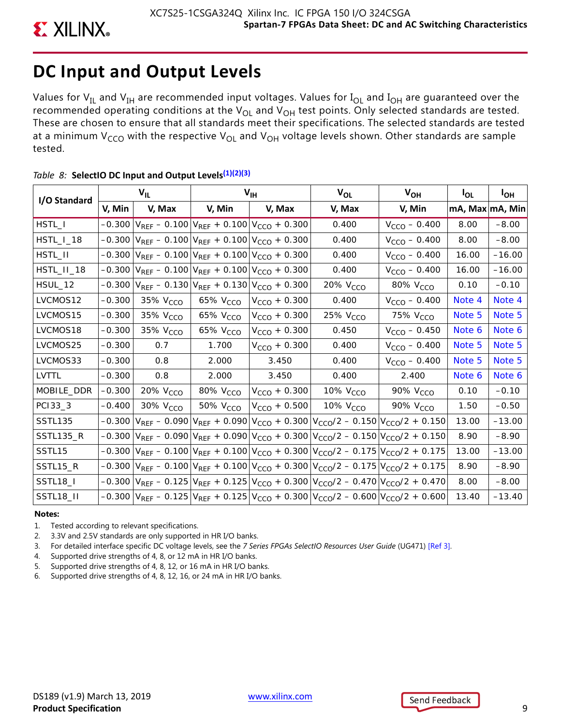# **DC Input and Output Levels**

Values for  $V_{IL}$  and  $V_{IH}$  are recommended input voltages. Values for  $I_{OL}$  and  $I_{OH}$  are guaranteed over the recommended operating conditions at the  $V_{OL}$  and  $V_{OH}$  test points. Only selected standards are tested. These are chosen to ensure that all standards meet their specifications. The selected standards are tested at a minimum V<sub>CCO</sub> with the respective V<sub>OL</sub> and V<sub>OH</sub> voltage levels shown. Other standards are sample tested.

| I/O Standard          | $V_{IL}$ |                      | $V_{\text{IH}}$      |                                                       | $V_{OL}$                                                                                                                          | $V_{OH}$             | $I_{OL}$        | $I_{OH}$ |
|-----------------------|----------|----------------------|----------------------|-------------------------------------------------------|-----------------------------------------------------------------------------------------------------------------------------------|----------------------|-----------------|----------|
|                       | V, Min   | V, Max               | V, Min               | V, Max                                                | V, Max                                                                                                                            | V, Min               | mA, Max mA, Min |          |
| HSTL_I                | $-0.300$ |                      |                      | $V_{REF}$ – 0.100 $V_{REF}$ + 0.100 $V_{CCO}$ + 0.300 | 0.400                                                                                                                             | $V_{CCO}$ – 0.400    | 8.00            | $-8.00$  |
| HSTL_I_18             | $-0.300$ |                      |                      | $ V_{REF} - 0.100 V_{REF} + 0.100 V_{CCO} + 0.300$    | 0.400                                                                                                                             | $V_{CCO} - 0.400$    | 8.00            | $-8.00$  |
| HSTL_II               | $-0.300$ |                      |                      | $V_{REF}$ – 0.100 $V_{REF}$ + 0.100 $V_{CCO}$ + 0.300 | 0.400                                                                                                                             | $V_{CCO} - 0.400$    | 16.00           | $-16.00$ |
| HSTL_II_18            | $-0.300$ |                      |                      | $ V_{REF} - 0.100 V_{REF} + 0.100 V_{CCO} + 0.300$    | 0.400                                                                                                                             | $V_{CCO} - 0.400$    | 16.00           | $-16.00$ |
| HSUL_12               | $-0.300$ |                      |                      | $V_{REF}$ – 0.130 $V_{REF}$ + 0.130 $V_{CCO}$ + 0.300 | 20% V <sub>CCO</sub>                                                                                                              | 80% V <sub>CCO</sub> | 0.10            | $-0.10$  |
| LVCMOS12              | $-0.300$ | 35% V <sub>CCO</sub> | 65% V <sub>CCO</sub> | $V_{CCO}$ + 0.300                                     | 0.400                                                                                                                             | $V_{CCO} - 0.400$    | Note 4          | Note 4   |
| LVCMOS15              | $-0.300$ | 35% V <sub>CCO</sub> | 65% V <sub>CCO</sub> | $V_{CCO}$ + 0.300                                     | 25% V <sub>CCO</sub>                                                                                                              | 75% V <sub>CCO</sub> | Note 5          | Note 5   |
| LVCMOS18              | $-0.300$ | 35% $VCCO$           | 65% V <sub>CCO</sub> | $V_{CCO}$ + 0.300                                     | 0.450                                                                                                                             | $V_{CCO}$ – 0.450    | Note 6          | Note 6   |
| LVCMOS25              | $-0.300$ | 0.7                  | 1.700                | $V_{CCO} + 0.300$                                     | 0.400                                                                                                                             | $V_{CCO} - 0.400$    | Note 5          | Note 5   |
| LVCMOS33              | $-0.300$ | 0.8                  | 2.000                | 3.450                                                 | 0.400                                                                                                                             | $V_{CCO} - 0.400$    | Note 5          | Note 5   |
| LVTTL                 | $-0.300$ | 0.8                  | 2.000                | 3.450                                                 | 0.400                                                                                                                             | 2.400                | Note 6          | Note 6   |
| MOBILE_DDR            | $-0.300$ | 20% V <sub>CCO</sub> | 80% V <sub>CCO</sub> | $V_{CCO}$ + 0.300                                     | 10% $V_{CCO}$                                                                                                                     | 90% V <sub>CCO</sub> | 0.10            | $-0.10$  |
| PC133_3               | $-0.400$ | 30% V <sub>CCO</sub> | 50% V <sub>CCO</sub> | $V_{CCO}$ + 0.500                                     | 10% V <sub>CCO</sub>                                                                                                              | 90% V <sub>CCO</sub> | 1.50            | $-0.50$  |
| SSTL135               | $-0.300$ |                      |                      |                                                       | $V_{REF}$ – 0.090 $V_{REF}$ + 0.090 $V_{CCO}$ + 0.300 $V_{CCO}/2$ – 0.150 $V_{CCO}/2$ + 0.150                                     |                      | 13.00           | $-13.00$ |
| <b>SSTL135_R</b>      | $-0.300$ |                      |                      |                                                       | $V_{REF}$ – 0.090 $V_{REF}$ + 0.090 $V_{CCO}$ + 0.300 $V_{CCO}/2$ – 0.150 $V_{CCO}/2$ + 0.150                                     |                      | 8.90            | $-8.90$  |
| SSTL <sub>15</sub>    | $-0.300$ |                      |                      |                                                       | $V_{REF}$ – 0.100 $V_{REF}$ + 0.100 $V_{CCO}$ + 0.300 $V_{CCO}/2$ – 0.175 $V_{CCO}/2$ + 0.175                                     |                      | 13.00           | $-13.00$ |
| SSTL15_R              | $-0.300$ |                      |                      |                                                       | $ V_{REF} - 0.100 V_{REF} + 0.100 V_{CCO} + 0.300 V_{CCO}/2 - 0.175 V_{CCO}/2 + 0.175 $                                           |                      | 8.90            | $-8.90$  |
| SSTL <sub>18</sub> _I | $-0.300$ |                      |                      |                                                       | $V_{REF}$ – 0.125 $V_{REF}$ + 0.125 $V_{CCO}$ + 0.300 $V_{CCO}/2$ – 0.470 $V_{CCO}/2$ + 0.470                                     |                      | 8.00            | $-8.00$  |
| SSTL18_II             |          |                      |                      |                                                       | $-0.300 \left V_{REF} - 0.125\right V_{REF} + 0.125 \left V_{CCO} + 0.300\right V_{CCO}/2 - 0.600 \left V_{CCO}/2 + 0.600\right $ |                      | 13.40           | $-13.40$ |

### *Table 8:* **SelectIO DC Input and Output Levels(1)(2)(3)**

### **Notes:**

- 1. Tested according to relevant specifications.
- 2. 3.3V and 2.5V standards are only supported in HR I/O banks.
- 3. For detailed interface specific DC voltage levels, see the *7 Series FPGAs SelectIO Resources User Guide* (UG471) [Ref 3].
- 4. Supported drive strengths of 4, 8, or 12 mA in HR I/O banks.
- 5. Supported drive strengths of 4, 8, 12, or 16 mA in HR I/O banks.
- 6. Supported drive strengths of 4, 8, 12, 16, or 24 mA in HR I/O banks.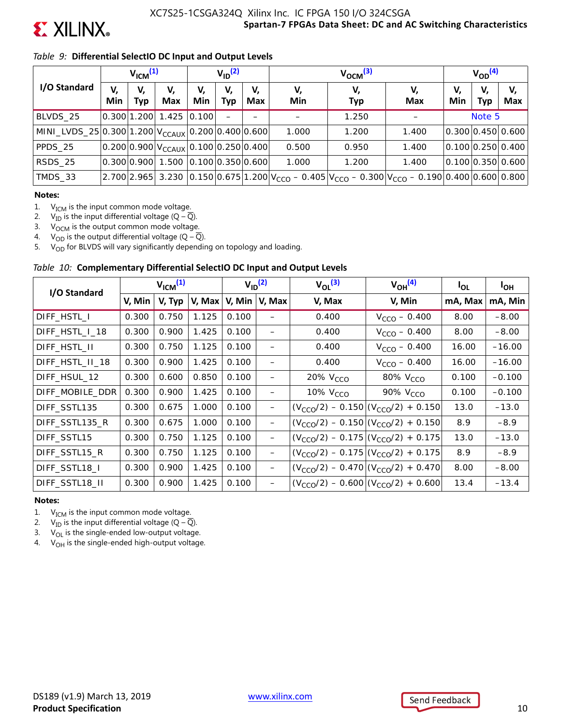

### *Table 9:* **Differential SelectIO DC Input and Output Levels**

|                                                               | V <sub>ICM</sub> <sup>(1)</sup> |             |                                             | $V_{ID}$ <sup>(2)</sup> |           |                  | $V_{OCM}$ <sup>(3)</sup> |                                                                                               |           |           | $V_{OD}^{(4)}$   |                   |  |
|---------------------------------------------------------------|---------------------------------|-------------|---------------------------------------------|-------------------------|-----------|------------------|--------------------------|-----------------------------------------------------------------------------------------------|-----------|-----------|------------------|-------------------|--|
| I/O Standard                                                  | V,<br>Min                       | V,<br>Тур   | V,<br><b>Max</b>                            | V,<br>Min               | V,<br>Тур | V,<br><b>Max</b> | V,<br>Min                | V,<br><b>Typ</b>                                                                              | V,<br>Max | V,<br>Min | V,<br><b>Typ</b> | V,<br>Max         |  |
| BLVDS_25                                                      |                                 |             | 0.300 1.200 1.425 0.100                     |                         |           |                  |                          | 1.250                                                                                         |           |           | Note 5           |                   |  |
| MINI_LVDS_25 0.300 1.200 $V_{\text{CCAUX}}$ 0.200 0.400 0.600 |                                 |             |                                             |                         |           |                  | 1.000                    | 1.200                                                                                         | 1.400     |           |                  | 0.300 0.450 0.600 |  |
| PPDS_25                                                       |                                 |             | $ 0.200 0.900 V_{CCAUX} 0.100 0.250 0.400 $ |                         |           |                  | 0.500                    | 0.950                                                                                         | 1.400     |           |                  | 0.100 0.250 0.400 |  |
| RSDS 25                                                       |                                 | 0.300 0.900 | 1.500 0.100 0.350 0.600                     |                         |           |                  | 1.000                    | 1.200                                                                                         | 1.400     |           |                  | 0.100 0.350 0.600 |  |
| TMDS_33                                                       |                                 | 2.700 2.965 |                                             |                         |           |                  |                          | 3.230 $ 0.150 0.675 1.200 V_{CCO} - 0.405 V_{CCO} - 0.300 V_{CCO} - 0.190 0.400 0.600 0.800 $ |           |           |                  |                   |  |

#### **Notes:**

1.  $V_{ICM}$  is the input common mode voltage.

2.  $V_{\text{ID}}$  is the input differential voltage (Q –  $\overline{Q}$ ).<br>3.  $V_{\text{OCM}}$  is the output common mode voltage

3.  $V_{\text{OCM}}$  is the output common mode voltage.<br>4.  $V_{\text{OD}}$  is the output differential voltage (Q – Q

 $V_{OD}$  is the output differential voltage (Q –  $\overline{Q}$ ).

5.  $V_{OD}$  for BLVDS will vary significantly depending on topology and loading.

### *Table 10:* **Complementary Differential SelectIO DC Input and Output Levels**

| I/O Standard    | $V_{ICM}$ <sup>(1)</sup> |        | $V_{ID}$ <sup>(2)</sup> |        | $V_{OL}$ <sup>(3)</sup> | $V_{OH}$ <sup>(4)</sup> | <sup>I</sup> OL                               | I <sub>OH</sub> |          |
|-----------------|--------------------------|--------|-------------------------|--------|-------------------------|-------------------------|-----------------------------------------------|-----------------|----------|
|                 | V, Min                   | V, Typ | V, Max                  | V, Min | V, Max                  | V, Max                  | V, Min                                        | mA, Max         | mA, Min  |
| DIFF_HSTL_I     | 0.300                    | 0.750  | 1.125                   | 0.100  |                         | 0.400                   | $V_{CCO} - 0.400$                             | 8.00            | $-8.00$  |
| DIFF_HSTL_I_18  | 0.300                    | 0.900  | 1.425                   | 0.100  | —                       | 0.400                   | $V_{CCO} - 0.400$                             | 8.00            | $-8.00$  |
| DIFF_HSTL_II    | 0.300                    | 0.750  | 1.125                   | 0.100  | —                       | 0.400                   | $V_{CCO} - 0.400$                             | 16.00           | $-16.00$ |
| DIFF_HSTL_II_18 | 0.300                    | 0.900  | 1.425                   | 0.100  |                         | 0.400                   | $V_{CCO} - 0.400$                             | 16.00           | $-16.00$ |
| DIFF HSUL 12    | 0.300                    | 0.600  | 0.850                   | 0.100  | —                       | 20% V <sub>CCO</sub>    | 80% V <sub>CCO</sub>                          | 0.100           | $-0.100$ |
| DIFF_MOBILE_DDR | 0.300                    | 0.900  | 1.425                   | 0.100  | -                       | 10% V <sub>CCO</sub>    | 90% V <sub>CCO</sub>                          | 0.100           | $-0.100$ |
| DIFF SSTL135    | 0.300                    | 0.675  | 1.000                   | 0.100  | —                       |                         | $(V_{CCO}/2) - 0.150   (V_{CCO}/2) + 0.150$   | 13.0            | $-13.0$  |
| DIFF_SSTL135_R  | 0.300                    | 0.675  | 1.000                   | 0.100  | —                       |                         | $(V_{CCO}/2) - 0.150   (V_{CCO}/2) + 0.150  $ | 8.9             | $-8.9$   |
| DIFF SSTL15     | 0.300                    | 0.750  | 1.125                   | 0.100  | $\qquad \qquad -$       |                         | $(V_{CCO}/2) - 0.175   (V_{CCO}/2) + 0.175$   | 13.0            | $-13.0$  |
| DIFF SSTL15 R   | 0.300                    | 0.750  | 1.125                   | 0.100  | —                       |                         | $(V_{CCO}/2) - 0.175   (V_{CCO}/2) + 0.175$   | 8.9             | $-8.9$   |
| DIFF_SSTL18_I   | 0.300                    | 0.900  | 1.425                   | 0.100  | —                       |                         | $(V_{CCO}/2) - 0.470   (V_{CCO}/2) + 0.470  $ | 8.00            | $-8.00$  |
| DIFF SSTL18 II  | 0.300                    | 0.900  | 1.425                   | 0.100  | —                       |                         | $(V_{CCO}/2) - 0.600   (V_{CCO}/2) + 0.600  $ | 13.4            | $-13.4$  |

#### **Notes:**

1.  $V_{ICM}$  is the input common mode voltage.

2.  $V_{\text{ID}}$  is the input differential voltage (Q –  $\overline{Q}$ ).

3.  $V_{OL}$  is the single-ended low-output voltage.

4.  $V_{OH}$  is the single-ended high-output voltage.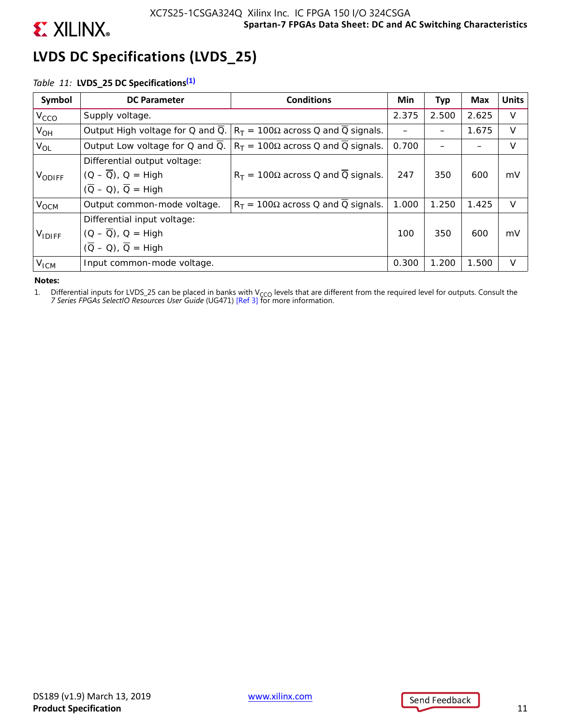

# **LVDS DC Specifications (LVDS\_25)**

## *Table 11:* **LVDS\_25 DC Specifications(1)**

| Symbol           | <b>DC Parameter</b>                          | <b>Conditions</b>                            | Min                                                                                                                  | Тур   | Max   | <b>Units</b> |
|------------------|----------------------------------------------|----------------------------------------------|----------------------------------------------------------------------------------------------------------------------|-------|-------|--------------|
| V <sub>CCO</sub> | Supply voltage.                              |                                              | 2.375                                                                                                                | 2.500 | 2.625 | V            |
| $V_{OH}$         | Output High voltage for Q and Q.             | $R_T = 100\Omega$ across Q and Q signals.    |                                                                                                                      |       | 1.675 | V            |
| $V_{OL}$         | Output Low voltage for Q and Q.              | $R_T = 100\Omega$ across Q and Q signals.    | 0.700                                                                                                                |       |       | V            |
|                  | Differential output voltage:                 |                                              |                                                                                                                      |       |       |              |
| VODIFF           | $(Q - \overline{Q})$ , $Q = High$            | 247                                          | 350                                                                                                                  | 600   | mV    |              |
|                  | $(\overline{Q} - Q)$ , $\overline{Q} =$ High |                                              | $R_T = 100\Omega$ across Q and Q signals.<br>1.000<br>1.250<br>1.425<br>100<br>350<br>600<br>0.300<br>1.200<br>1.500 |       |       |              |
| V <sub>OCM</sub> | Output common-mode voltage.                  | $R_T$ = 100 $\Omega$ across Q and Q signals. |                                                                                                                      |       |       | $\vee$       |
|                  | Differential input voltage:                  |                                              |                                                                                                                      |       |       |              |
| $V_{IDIFF}$      | $(Q - \overline{Q})$ , $Q = High$            |                                              |                                                                                                                      |       | mV    |              |
| V <sub>ICM</sub> | $(\overline{Q} - Q)$ , $\overline{Q}$ = High |                                              |                                                                                                                      |       |       |              |
|                  | Input common-mode voltage.                   |                                              |                                                                                                                      |       |       | v            |

#### **Notes:**

1. Differential inputs for LVDS\_25 can be placed in banks with V<sub>CCO</sub> levels that are different from the required level for outputs. Consult the 7 Series FPGAs SelectIO Resources User Guide (UG471) [Ref 3] for more inform

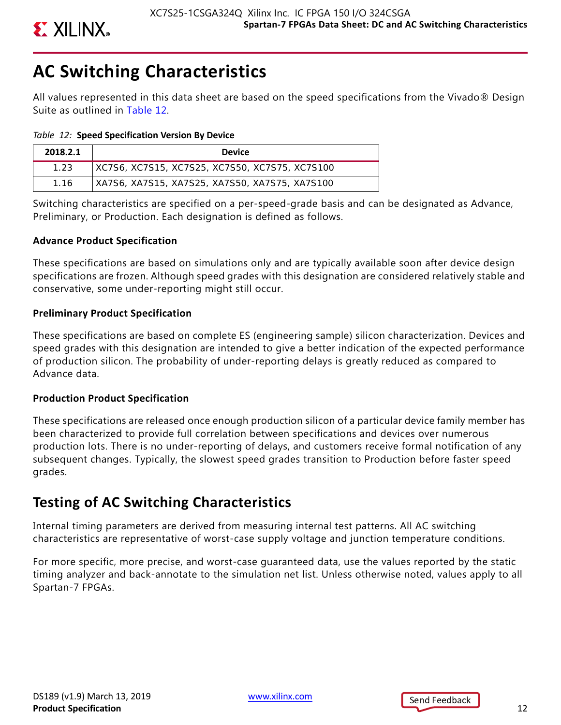

# **AC Switching Characteristics**

All values represented in this data sheet are based on the speed specifications from the Vivado® Design Suite as outlined in Table 12.

*Table 12:* **Speed Specification Version By Device**

| 2018.2.1 | <b>Device</b>                                  |
|----------|------------------------------------------------|
| 1.23     | XC7S6, XC7S15, XC7S25, XC7S50, XC7S75, XC7S100 |
| 1.16     | XA7S6, XA7S15, XA7S25, XA7S50, XA7S75, XA7S100 |

Switching characteristics are specified on a per-speed-grade basis and can be designated as Advance, Preliminary, or Production. Each designation is defined as follows.

### **Advance Product Specification**

These specifications are based on simulations only and are typically available soon after device design specifications are frozen. Although speed grades with this designation are considered relatively stable and conservative, some under-reporting might still occur.

### **Preliminary Product Specification**

These specifications are based on complete ES (engineering sample) silicon characterization. Devices and speed grades with this designation are intended to give a better indication of the expected performance of production silicon. The probability of under-reporting delays is greatly reduced as compared to Advance data.

## **Production Product Specification**

These specifications are released once enough production silicon of a particular device family member has been characterized to provide full correlation between specifications and devices over numerous production lots. There is no under-reporting of delays, and customers receive formal notification of any subsequent changes. Typically, the slowest speed grades transition to Production before faster speed grades.

# **Testing of AC Switching Characteristics**

Internal timing parameters are derived from measuring internal test patterns. All AC switching characteristics are representative of worst-case supply voltage and junction temperature conditions.

For more specific, more precise, and worst-case guaranteed data, use the values reported by the static timing analyzer and back-annotate to the simulation net list. Unless otherwise noted, values apply to all Spartan-7 FPGAs.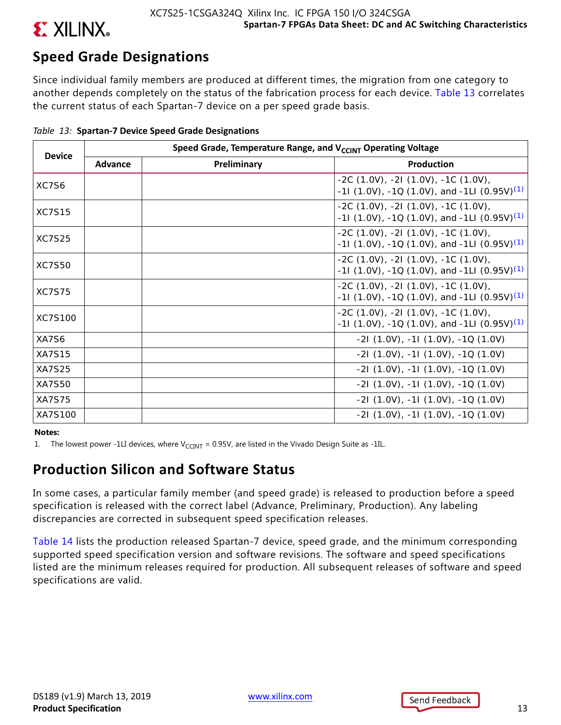

# **Speed Grade Designations**

Since individual family members are produced at different times, the migration from one category to another depends completely on the status of the fabrication process for each device. Table 13 correlates the current status of each Spartan-7 device on a per speed grade basis.

| <b>Device</b> |         | Speed Grade, Temperature Range, and V <sub>CCINT</sub> Operating Voltage |                                                                                                            |  |  |  |  |  |  |  |
|---------------|---------|--------------------------------------------------------------------------|------------------------------------------------------------------------------------------------------------|--|--|--|--|--|--|--|
|               | Advance | Preliminary                                                              | Production                                                                                                 |  |  |  |  |  |  |  |
| XC7S6         |         |                                                                          | $-2C(1.0V), -2I(1.0V), -1C(1.0V),$<br>-11 (1.0V), -1Q (1.0V), and -1LI (0.95V) <sup>(1)</sup>              |  |  |  |  |  |  |  |
| <b>XC7S15</b> |         |                                                                          | $-2C(1.0V), -2I(1.0V), -1C(1.0V),$<br>-11 (1.0V), -1Q (1.0V), and -1LI (0.95V) <sup>(1)</sup>              |  |  |  |  |  |  |  |
| <b>XC7S25</b> |         |                                                                          | $-2C(1.0V)$ , $-2I(1.0V)$ , $-1C(1.0V)$ ,<br>-11 (1.0V), -1Q (1.0V), and -1LI (0.95V) <sup>(1)</sup>       |  |  |  |  |  |  |  |
| <b>XC7S50</b> |         |                                                                          | $-2C(1.0V)$ , $-2I(1.0V)$ , $-1C(1.0V)$ ,<br>-11 (1.0V), -1Q (1.0V), and -1LI (0.95V) <sup>(1)</sup>       |  |  |  |  |  |  |  |
| <b>XC7S75</b> |         |                                                                          | $-2C(1.0V)$ , $-2I(1.0V)$ , $-1C(1.0V)$ ,<br>-11 $(1.0V)$ , -1Q $(1.0V)$ , and -1LI $(0.95V)^{(1)}$        |  |  |  |  |  |  |  |
| XC7S100       |         |                                                                          | $-2C(1.0V)$ , $-2I(1.0V)$ , $-1C(1.0V)$ ,<br>$-11$ (1.0V), $-10$ (1.0V), and $-1LI$ (0.95V) <sup>(1)</sup> |  |  |  |  |  |  |  |
| XA7S6         |         |                                                                          | $-21$ (1.0V), $-11$ (1.0V), $-10$ (1.0V)                                                                   |  |  |  |  |  |  |  |
| <b>XA7S15</b> |         |                                                                          | $-21$ (1.0V), $-11$ (1.0V), $-10$ (1.0V)                                                                   |  |  |  |  |  |  |  |
| XA7S25        |         |                                                                          | $-21(1.0V), -11(1.0V), -10(1.0V)$                                                                          |  |  |  |  |  |  |  |
| <b>XA7S50</b> |         |                                                                          | $-21$ (1.0V), $-11$ (1.0V), $-10$ (1.0V)                                                                   |  |  |  |  |  |  |  |
| <b>XA7S75</b> |         |                                                                          | $-21$ (1.0V), $-11$ (1.0V), $-10$ (1.0V)                                                                   |  |  |  |  |  |  |  |
| XA7S100       |         |                                                                          | $-21(1.0V)$ , $-11(1.0V)$ , $-10(1.0V)$                                                                    |  |  |  |  |  |  |  |

|  |  |  | Table 13: Spartan-7 Device Speed Grade Designations |  |  |
|--|--|--|-----------------------------------------------------|--|--|
|--|--|--|-----------------------------------------------------|--|--|

### **Notes:**

1. The lowest power -1LI devices, where  $V_{CCHIT} = 0.95V$ , are listed in the Vivado Design Suite as -1IL.

## **Production Silicon and Software Status**

In some cases, a particular family member (and speed grade) is released to production before a speed specification is released with the correct label (Advance, Preliminary, Production). Any labeling discrepancies are corrected in subsequent speed specification releases.

Table 14 lists the production released Spartan-7 device, speed grade, and the minimum corresponding supported speed specification version and software revisions. The software and speed specifications listed are the minimum releases required for production. All subsequent releases of software and speed specifications are valid.

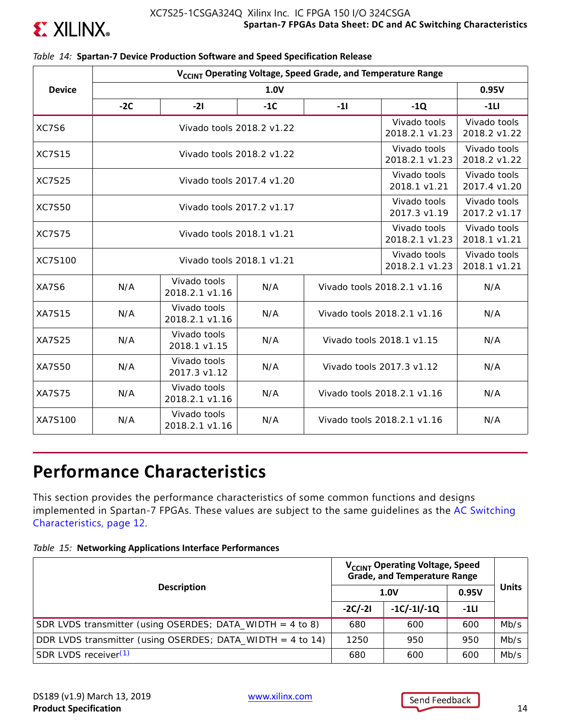

|                | V <sub>CCINT</sub> Operating Voltage, Speed Grade, and Temperature Range |                                                                             |                                |                              |                              |                              |                                |                              |  |  |
|----------------|--------------------------------------------------------------------------|-----------------------------------------------------------------------------|--------------------------------|------------------------------|------------------------------|------------------------------|--------------------------------|------------------------------|--|--|
| <b>Device</b>  |                                                                          | 0.95V                                                                       |                                |                              |                              |                              |                                |                              |  |  |
|                | $-2C$                                                                    | $-21$                                                                       | $-1Q$                          | $-1LI$                       |                              |                              |                                |                              |  |  |
| XC7S6          |                                                                          | Vivado tools 2018.2 v1.22                                                   |                                |                              |                              |                              | Vivado tools<br>2018.2.1 v1.23 | Vivado tools<br>2018.2 v1.22 |  |  |
| <b>XC7S15</b>  |                                                                          | Vivado tools<br>Vivado tools 2018.2 v1.22<br>2018.2.1 v1.23<br>2018.2 v1.22 |                                |                              |                              |                              |                                |                              |  |  |
| <b>XC7S25</b>  |                                                                          |                                                                             | Vivado tools 2017.4 v1.20      |                              | Vivado tools<br>2018.1 v1.21 | Vivado tools<br>2017.4 v1.20 |                                |                              |  |  |
| <b>XC7S50</b>  |                                                                          |                                                                             | Vivado tools 2017.2 v1.17      |                              | Vivado tools<br>2017.3 v1.19 | Vivado tools<br>2017.2 v1.17 |                                |                              |  |  |
| <b>XC7S75</b>  |                                                                          | Vivado tools<br>Vivado tools 2018.1 v1.21<br>2018.2.1 v1.23                 |                                |                              |                              |                              |                                |                              |  |  |
| <b>XC7S100</b> |                                                                          | Vivado tools 2018.1 v1.21                                                   | Vivado tools<br>2018.2.1 v1.23 | Vivado tools<br>2018.1 v1.21 |                              |                              |                                |                              |  |  |
| XA7S6          | N/A                                                                      | Vivado tools<br>2018.2.1 v1.16                                              | N/A                            |                              | Vivado tools 2018.2.1 v1.16  | N/A                          |                                |                              |  |  |
| <b>XA7S15</b>  | N/A                                                                      | Vivado tools<br>2018.2.1 v1.16                                              | N/A                            |                              | Vivado tools 2018.2.1 v1.16  | N/A                          |                                |                              |  |  |
| <b>XA7S25</b>  | N/A                                                                      | Vivado tools<br>2018.1 v1.15                                                | N/A                            |                              | Vivado tools 2018.1 v1.15    | N/A                          |                                |                              |  |  |
| XA7S50         | N/A                                                                      | Vivado tools<br>2017.3 v1.12                                                | N/A                            |                              | Vivado tools 2017.3 v1.12    | N/A                          |                                |                              |  |  |
| <b>XA7S75</b>  | N/A                                                                      | Vivado tools<br>2018.2.1 v1.16                                              | N/A                            |                              | Vivado tools 2018.2.1 v1.16  | N/A                          |                                |                              |  |  |
| XA7S100        | N/A                                                                      | Vivado tools<br>2018.2.1 v1.16                                              | N/A                            |                              | Vivado tools 2018.2.1 v1.16  | N/A                          |                                |                              |  |  |

### *Table 14:* **Spartan-7 Device Production Software and Speed Specification Release**

# **Performance Characteristics**

This section provides the performance characteristics of some common functions and designs implemented in Spartan-7 FPGAs. These values are subject to the same guidelines as the AC Switching Characteristics, page 12.

|  |  | Table 15: Networking Applications Interface Performances |
|--|--|----------------------------------------------------------|
|--|--|----------------------------------------------------------|

|                                                             | V <sub>CCINT</sub> Operating Voltage, Speed<br><b>Grade, and Temperature Range</b> |               |        |              |
|-------------------------------------------------------------|------------------------------------------------------------------------------------|---------------|--------|--------------|
| <b>Description</b>                                          |                                                                                    | 1.0V          | 0.95V  | <b>Units</b> |
|                                                             | $-2C/-2I$                                                                          | $-1C/-11/-1Q$ | $-1LI$ |              |
| SDR LVDS transmitter (using OSERDES; DATA_WIDTH = $4$ to 8) | 680                                                                                | 600           | 600    | Mb/s         |
| DDR LVDS transmitter (using OSERDES; DATA_WIDTH = 4 to 14)  | 1250                                                                               | 950           | 950    | Mb/s         |
| SDR LVDS receiver <sup>(1)</sup>                            | 680                                                                                | 600           | 600    | Mb/s         |

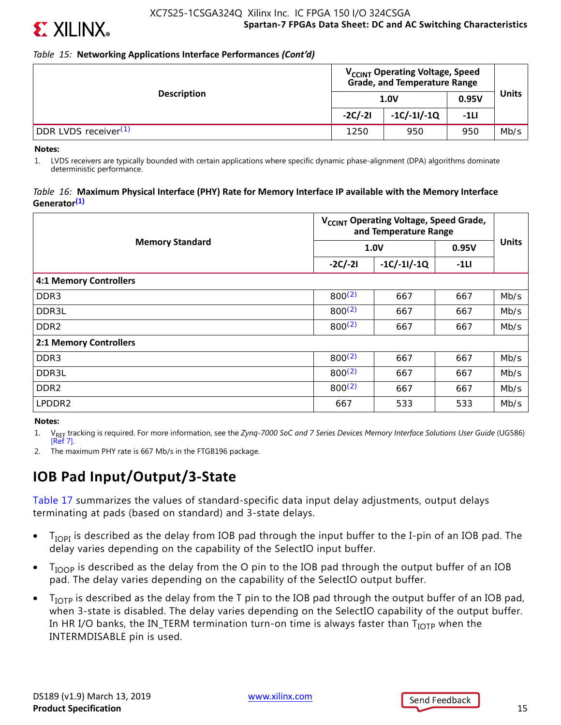

*Table 15:* **Networking Applications Interface Performances** *(Cont'd)*

|                                  | V <sub>CCINT</sub> Operating Voltage, Speed                                 |     |       |              |
|----------------------------------|-----------------------------------------------------------------------------|-----|-------|--------------|
| <b>Description</b>               | 1.0V                                                                        |     | 0.95V | <b>Units</b> |
|                                  | <b>Grade, and Temperature Range</b><br>$-1C/-11/-1Q$<br>$-2C/-2I$<br>$-1LI$ |     |       |              |
| DDR LVDS receiver <sup>(1)</sup> | 1250                                                                        | 950 | 950   | Mb/s         |

**Notes:** 

1. LVDS receivers are typically bounded with certain applications where specific dynamic phase-alignment (DPA) algorithms dominate deterministic performance.

### *Table 16:* **Maximum Physical Interface (PHY) Rate for Memory Interface IP available with the Memory Interface Generator(1)**

|                               | V <sub>CCINT</sub> Operating Voltage, Speed Grade,<br>and Temperature Range |               |        |              |
|-------------------------------|-----------------------------------------------------------------------------|---------------|--------|--------------|
| <b>Memory Standard</b>        |                                                                             | 1.0V          | 0.95V  | <b>Units</b> |
|                               | $-2C/-2I$                                                                   | $-1C/-11/-1Q$ | $-1LI$ |              |
| <b>4:1 Memory Controllers</b> |                                                                             |               |        |              |
| DDR <sub>3</sub>              | $800^{(2)}$                                                                 | 667           | 667    | Mb/s         |
| DDR3L                         | $800^{(2)}$                                                                 | 667           | 667    | Mb/s         |
| DDR <sub>2</sub>              | 800(2)                                                                      | 667           | 667    | Mb/s         |
| 2:1 Memory Controllers        |                                                                             |               |        |              |
| DDR <sub>3</sub>              | $800^{(2)}$                                                                 | 667           | 667    | Mb/s         |
| DDR3L                         | $800^{(2)}$                                                                 | 667           | 667    | Mb/s         |
| DDR <sub>2</sub>              | 800(2)                                                                      | 667           | 667    | Mb/s         |
| LPDDR2                        | 667                                                                         | 533           | 533    | Mb/s         |

### **Notes:**

1. V<sub>REF</sub> tracking is required. For more information, see the *Zynq-7000 SoC and 7 Series Devices Memory Interface Solutions User Guide* (UG586) [Ref 7].

2. The maximum PHY rate is 667 Mb/s in the FTGB196 package.

# **IOB Pad Input/Output/3-State**

Table 17 summarizes the values of standard-specific data input delay adjustments, output delays terminating at pads (based on standard) and 3-state delays.

- $\bullet$  T<sub>IOPI</sub> is described as the delay from IOB pad through the input buffer to the I-pin of an IOB pad. The delay varies depending on the capability of the SelectIO input buffer.
- T<sub>IOOP</sub> is described as the delay from the O pin to the IOB pad through the output buffer of an IOB pad. The delay varies depending on the capability of the SelectIO output buffer.
- $T_{\text{IOTP}}$  is described as the delay from the T pin to the IOB pad through the output buffer of an IOB pad, when 3-state is disabled. The delay varies depending on the SelectIO capability of the output buffer. In HR I/O banks, the IN\_TERM termination turn-on time is always faster than  $T_{\text{IOTP}}$  when the INTERMDISABLE pin is used.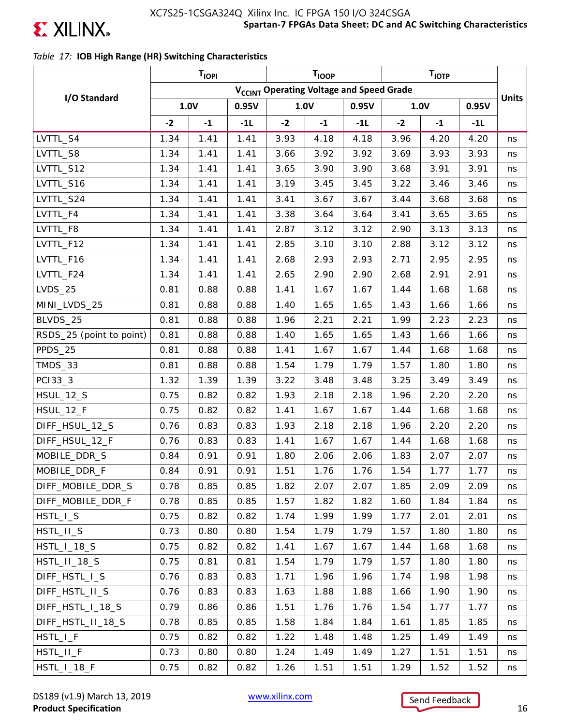

## *Table 17:* **IOB High Range (HR) Switching Characteristics**

|                          |      | <b>TIOPI</b> |       |                                                      | <b>TIOOP</b> |       |      | $T_{\text{IOTP}}$ |       |              |
|--------------------------|------|--------------|-------|------------------------------------------------------|--------------|-------|------|-------------------|-------|--------------|
|                          |      |              |       | V <sub>CCINT</sub> Operating Voltage and Speed Grade |              |       |      |                   |       |              |
| I/O Standard             |      | 1.0V         | 0.95V |                                                      | 1.0V         | 0.95V |      | 1.0V              | 0.95V | <b>Units</b> |
|                          | $-2$ | $-1$         | $-1L$ | $-2$                                                 | $-1$         | $-1L$ | $-2$ | $-1$              | $-1L$ |              |
| LVTTL_S4                 | 1.34 | 1.41         | 1.41  | 3.93                                                 | 4.18         | 4.18  | 3.96 | 4.20              | 4.20  | ns           |
| LVTTL_S8                 | 1.34 | 1.41         | 1.41  | 3.66                                                 | 3.92         | 3.92  | 3.69 | 3.93              | 3.93  | ns           |
| LVTTL_S12                | 1.34 | 1.41         | 1.41  | 3.65                                                 | 3.90         | 3.90  | 3.68 | 3.91              | 3.91  | ns           |
| LVTTL_S16                | 1.34 | 1.41         | 1.41  | 3.19                                                 | 3.45         | 3.45  | 3.22 | 3.46              | 3.46  | ns           |
| LVTTL_S24                | 1.34 | 1.41         | 1.41  | 3.41                                                 | 3.67         | 3.67  | 3.44 | 3.68              | 3.68  | ns           |
| LVTTL_F4                 | 1.34 | 1.41         | 1.41  | 3.38                                                 | 3.64         | 3.64  | 3.41 | 3.65              | 3.65  | ns           |
| LVTTL_F8                 | 1.34 | 1.41         | 1.41  | 2.87                                                 | 3.12         | 3.12  | 2.90 | 3.13              | 3.13  | ns           |
| LVTTL_F12                | 1.34 | 1.41         | 1.41  | 2.85                                                 | 3.10         | 3.10  | 2.88 | 3.12              | 3.12  | ns           |
| LVTTL_F16                | 1.34 | 1.41         | 1.41  | 2.68                                                 | 2.93         | 2.93  | 2.71 | 2.95              | 2.95  | ns           |
| LVTTL_F24                | 1.34 | 1.41         | 1.41  | 2.65                                                 | 2.90         | 2.90  | 2.68 | 2.91              | 2.91  | ns           |
| $LVDS_25$                | 0.81 | 0.88         | 0.88  | 1.41                                                 | 1.67         | 1.67  | 1.44 | 1.68              | 1.68  | ns           |
| MINI_LVDS_25             | 0.81 | 0.88         | 0.88  | 1.40                                                 | 1.65         | 1.65  | 1.43 | 1.66              | 1.66  | ns           |
| BLVDS_25                 | 0.81 | 0.88         | 0.88  | 1.96                                                 | 2.21         | 2.21  | 1.99 | 2.23              | 2.23  | ns           |
| RSDS_25 (point to point) | 0.81 | 0.88         | 0.88  | 1.40                                                 | 1.65         | 1.65  | 1.43 | 1.66              | 1.66  | ns           |
| PPDS_25                  | 0.81 | 0.88         | 0.88  | 1.41                                                 | 1.67         | 1.67  | 1.44 | 1.68              | 1.68  | ns           |
| TMDS_33                  | 0.81 | 0.88         | 0.88  | 1.54                                                 | 1.79         | 1.79  | 1.57 | 1.80              | 1.80  | ns           |
| PC133_3                  | 1.32 | 1.39         | 1.39  | 3.22                                                 | 3.48         | 3.48  | 3.25 | 3.49              | 3.49  | ns           |
| <b>HSUL_12_S</b>         | 0.75 | 0.82         | 0.82  | 1.93                                                 | 2.18         | 2.18  | 1.96 | 2.20              | 2.20  | ns           |
| HSUL_12_F                | 0.75 | 0.82         | 0.82  | 1.41                                                 | 1.67         | 1.67  | 1.44 | 1.68              | 1.68  | ns           |
| DIFF_HSUL_12_S           | 0.76 | 0.83         | 0.83  | 1.93                                                 | 2.18         | 2.18  | 1.96 | 2.20              | 2.20  | ns           |
| DIFF_HSUL_12_F           | 0.76 | 0.83         | 0.83  | 1.41                                                 | 1.67         | 1.67  | 1.44 | 1.68              | 1.68  | ns           |
| MOBILE_DDR_S             | 0.84 | 0.91         | 0.91  | 1.80                                                 | 2.06         | 2.06  | 1.83 | 2.07              | 2.07  | ns           |
| MOBILE_DDR_F             | 0.84 | 0.91         | 0.91  | 1.51                                                 | 1.76         | 1.76  | 1.54 | 1.77              | 1.77  | ns           |
| DIFF_MOBILE_DDR_S        | 0.78 | 0.85         | 0.85  | 1.82                                                 | 2.07         | 2.07  | 1.85 | 2.09              | 2.09  | ns           |
| DIFF_MOBILE_DDR_F        | 0.78 | 0.85         | 0.85  | 1.57                                                 | 1.82         | 1.82  | 1.60 | 1.84              | 1.84  | ns           |
| HSTL_I_S                 | 0.75 | 0.82         | 0.82  | 1.74                                                 | 1.99         | 1.99  | 1.77 | 2.01              | 2.01  | ns           |
| HSTL_II_S                | 0.73 | 0.80         | 0.80  | 1.54                                                 | 1.79         | 1.79  | 1.57 | 1.80              | 1.80  | ns           |
| $HSTL_l_13_S$            | 0.75 | 0.82         | 0.82  | 1.41                                                 | 1.67         | 1.67  | 1.44 | 1.68              | 1.68  | ns           |
| HSTL_II_18_S             | 0.75 | 0.81         | 0.81  | 1.54                                                 | 1.79         | 1.79  | 1.57 | 1.80              | 1.80  | ns           |
| DIFF_HSTL_I_S            | 0.76 | 0.83         | 0.83  | 1.71                                                 | 1.96         | 1.96  | 1.74 | 1.98              | 1.98  | ns           |
| DIFF_HSTL_II_S           | 0.76 | 0.83         | 0.83  | 1.63                                                 | 1.88         | 1.88  | 1.66 | 1.90              | 1.90  | ns           |
| DIFF_HSTL_I_18_S         | 0.79 | 0.86         | 0.86  | 1.51                                                 | 1.76         | 1.76  | 1.54 | 1.77              | 1.77  | ns           |
| DIFF_HSTL_II_18_S        | 0.78 | 0.85         | 0.85  | 1.58                                                 | 1.84         | 1.84  | 1.61 | 1.85              | 1.85  | ns           |
| $HSTL_l_F$               | 0.75 | 0.82         | 0.82  | 1.22                                                 | 1.48         | 1.48  | 1.25 | 1.49              | 1.49  | ns           |
| HSTL_II_F                | 0.73 | 0.80         | 0.80  | 1.24                                                 | 1.49         | 1.49  | 1.27 | 1.51              | 1.51  | ns           |
| HSTL_I_18_F              | 0.75 | 0.82         | 0.82  | 1.26                                                 | 1.51         | 1.51  | 1.29 | 1.52              | 1.52  | ns           |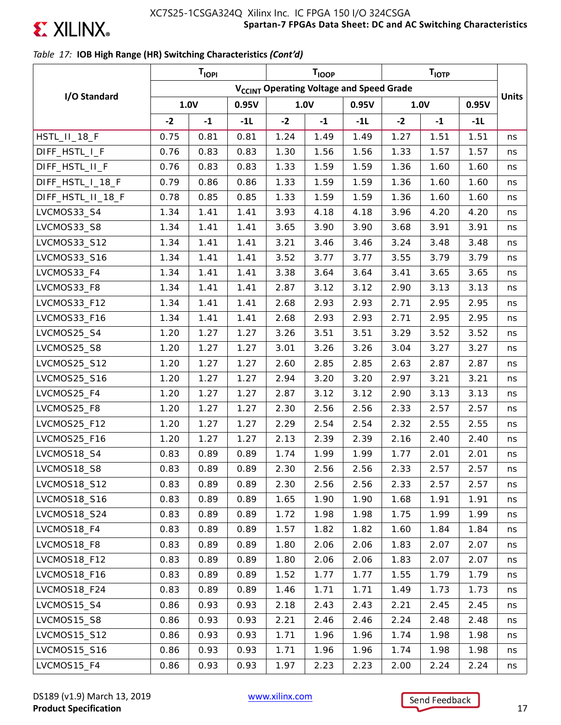

## *Table 17:* **IOB High Range (HR) Switching Characteristics** *(Cont'd)*

|                   | T <sub>IOPI</sub><br><b>TIOOP</b><br>T <sub>IOTP</sub> |      |       |      |      |       |      |      |       |              |
|-------------------|--------------------------------------------------------|------|-------|------|------|-------|------|------|-------|--------------|
|                   | V <sub>CCINT</sub> Operating Voltage and Speed Grade   |      |       |      |      |       |      |      |       |              |
| I/O Standard      |                                                        | 1.0V | 0.95V |      | 1.0V | 0.95V |      | 1.0V | 0.95V | <b>Units</b> |
|                   | $-2$                                                   | $-1$ | $-1L$ | $-2$ | $-1$ | $-11$ | $-2$ | $-1$ | -1L   |              |
| HSTL_II_18_F      | 0.75                                                   | 0.81 | 0.81  | 1.24 | 1.49 | 1.49  | 1.27 | 1.51 | 1.51  | ns           |
| DIFF_HSTL_I_F     | 0.76                                                   | 0.83 | 0.83  | 1.30 | 1.56 | 1.56  | 1.33 | 1.57 | 1.57  | ns           |
| DIFF_HSTL_II_F    | 0.76                                                   | 0.83 | 0.83  | 1.33 | 1.59 | 1.59  | 1.36 | 1.60 | 1.60  | ns           |
| DIFF_HSTL_I_18_F  | 0.79                                                   | 0.86 | 0.86  | 1.33 | 1.59 | 1.59  | 1.36 | 1.60 | 1.60  | ns           |
| DIFF_HSTL_II_18_F | 0.78                                                   | 0.85 | 0.85  | 1.33 | 1.59 | 1.59  | 1.36 | 1.60 | 1.60  | ns           |
| LVCMOS33_S4       | 1.34                                                   | 1.41 | 1.41  | 3.93 | 4.18 | 4.18  | 3.96 | 4.20 | 4.20  | ns           |
| LVCMOS33_S8       | 1.34                                                   | 1.41 | 1.41  | 3.65 | 3.90 | 3.90  | 3.68 | 3.91 | 3.91  | ns           |
| LVCMOS33_S12      | 1.34                                                   | 1.41 | 1.41  | 3.21 | 3.46 | 3.46  | 3.24 | 3.48 | 3.48  | ns           |
| LVCMOS33_S16      | 1.34                                                   | 1.41 | 1.41  | 3.52 | 3.77 | 3.77  | 3.55 | 3.79 | 3.79  | ns           |
| LVCMOS33_F4       | 1.34                                                   | 1.41 | 1.41  | 3.38 | 3.64 | 3.64  | 3.41 | 3.65 | 3.65  | ns           |
| LVCMOS33_F8       | 1.34                                                   | 1.41 | 1.41  | 2.87 | 3.12 | 3.12  | 2.90 | 3.13 | 3.13  | ns           |
| LVCMOS33_F12      | 1.34                                                   | 1.41 | 1.41  | 2.68 | 2.93 | 2.93  | 2.71 | 2.95 | 2.95  | ns           |
| LVCMOS33_F16      | 1.34                                                   | 1.41 | 1.41  | 2.68 | 2.93 | 2.93  | 2.71 | 2.95 | 2.95  | ns           |
| LVCMOS25_S4       | 1.20                                                   | 1.27 | 1.27  | 3.26 | 3.51 | 3.51  | 3.29 | 3.52 | 3.52  | ns           |
| LVCMOS25_S8       | 1.20                                                   | 1.27 | 1.27  | 3.01 | 3.26 | 3.26  | 3.04 | 3.27 | 3.27  | ns           |
| LVCMOS25_S12      | 1.20                                                   | 1.27 | 1.27  | 2.60 | 2.85 | 2.85  | 2.63 | 2.87 | 2.87  | ns           |
| LVCMOS25_S16      | 1.20                                                   | 1.27 | 1.27  | 2.94 | 3.20 | 3.20  | 2.97 | 3.21 | 3.21  | ns           |
| LVCMOS25_F4       | 1.20                                                   | 1.27 | 1.27  | 2.87 | 3.12 | 3.12  | 2.90 | 3.13 | 3.13  | ns           |
| LVCMOS25_F8       | 1.20                                                   | 1.27 | 1.27  | 2.30 | 2.56 | 2.56  | 2.33 | 2.57 | 2.57  | ns           |
| LVCMOS25_F12      | 1.20                                                   | 1.27 | 1.27  | 2.29 | 2.54 | 2.54  | 2.32 | 2.55 | 2.55  | ns           |
| LVCMOS25_F16      | 1.20                                                   | 1.27 | 1.27  | 2.13 | 2.39 | 2.39  | 2.16 | 2.40 | 2.40  | ns           |
| LVCMOS18_S4       | 0.83                                                   | 0.89 | 0.89  | 1.74 | 1.99 | 1.99  | 1.77 | 2.01 | 2.01  | ns           |
| LVCMOS18_S8       | 0.83                                                   | 0.89 | 0.89  | 2.30 | 2.56 | 2.56  | 2.33 | 2.57 | 2.57  | ns           |
| LVCMOS18_S12      | 0.83                                                   | 0.89 | 0.89  | 2.30 | 2.56 | 2.56  | 2.33 | 2.57 | 2.57  | ns           |
| LVCMOS18_S16      | 0.83                                                   | 0.89 | 0.89  | 1.65 | 1.90 | 1.90  | 1.68 | 1.91 | 1.91  | ns           |
| LVCMOS18_S24      | 0.83                                                   | 0.89 | 0.89  | 1.72 | 1.98 | 1.98  | 1.75 | 1.99 | 1.99  | ns           |
| LVCMOS18_F4       | 0.83                                                   | 0.89 | 0.89  | 1.57 | 1.82 | 1.82  | 1.60 | 1.84 | 1.84  | ns           |
| LVCMOS18 F8       | 0.83                                                   | 0.89 | 0.89  | 1.80 | 2.06 | 2.06  | 1.83 | 2.07 | 2.07  | ns           |
| LVCMOS18_F12      | 0.83                                                   | 0.89 | 0.89  | 1.80 | 2.06 | 2.06  | 1.83 | 2.07 | 2.07  | ns           |
| LVCMOS18_F16      | 0.83                                                   | 0.89 | 0.89  | 1.52 | 1.77 | 1.77  | 1.55 | 1.79 | 1.79  | ns           |
| LVCMOS18_F24      | 0.83                                                   | 0.89 | 0.89  | 1.46 | 1.71 | 1.71  | 1.49 | 1.73 | 1.73  | ns           |
| LVCMOS15_S4       | 0.86                                                   | 0.93 | 0.93  | 2.18 | 2.43 | 2.43  | 2.21 | 2.45 | 2.45  | ns           |
| LVCMOS15_S8       | 0.86                                                   | 0.93 | 0.93  | 2.21 | 2.46 | 2.46  | 2.24 | 2.48 | 2.48  | ns           |
| LVCMOS15_S12      | 0.86                                                   | 0.93 | 0.93  | 1.71 | 1.96 | 1.96  | 1.74 | 1.98 | 1.98  | ns           |
| LVCMOS15_S16      | 0.86                                                   | 0.93 | 0.93  | 1.71 | 1.96 | 1.96  | 1.74 | 1.98 | 1.98  | ns           |
| LVCMOS15_F4       | 0.86                                                   | 0.93 | 0.93  | 1.97 | 2.23 | 2.23  | 2.00 | 2.24 | 2.24  | ns           |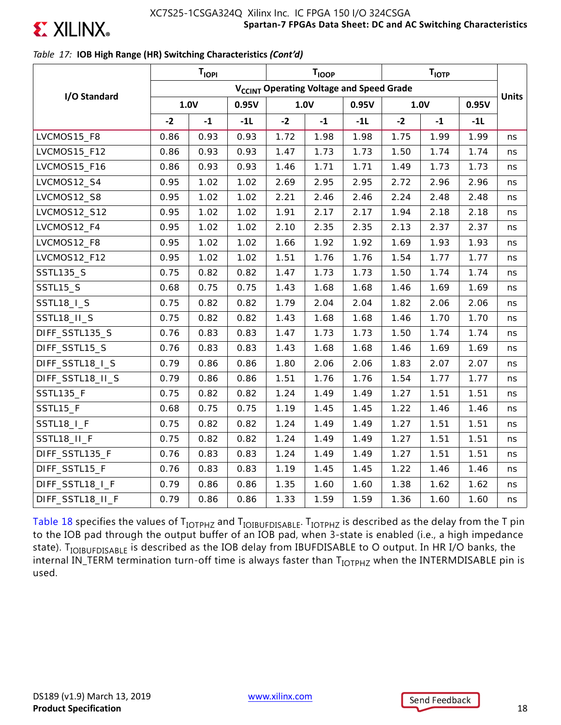

### *Table 17:* **IOB High Range (HR) Switching Characteristics** *(Cont'd)*

|                   |                                                      | T <sub>IOPI</sub> |       |      | <b>T<sub>IOOP</sub></b> |       |      | T <sub>IOTP</sub> |       |              |
|-------------------|------------------------------------------------------|-------------------|-------|------|-------------------------|-------|------|-------------------|-------|--------------|
|                   | V <sub>CCINT</sub> Operating Voltage and Speed Grade |                   |       |      |                         |       |      |                   |       |              |
| I/O Standard      | 1.0V                                                 |                   | 0.95V |      | 1.0V                    | 0.95V | 1.0V |                   | 0.95V | <b>Units</b> |
|                   | $-2$                                                 | $\textbf{-1}$     | $-1L$ | $-2$ | $-1$                    | $-1L$ | $-2$ | $-1$              | $-1L$ |              |
| LVCMOS15_F8       | 0.86                                                 | 0.93              | 0.93  | 1.72 | 1.98                    | 1.98  | 1.75 | 1.99              | 1.99  | ns           |
| LVCMOS15_F12      | 0.86                                                 | 0.93              | 0.93  | 1.47 | 1.73                    | 1.73  | 1.50 | 1.74              | 1.74  | ns           |
| LVCMOS15_F16      | 0.86                                                 | 0.93              | 0.93  | 1.46 | 1.71                    | 1.71  | 1.49 | 1.73              | 1.73  | ns           |
| LVCMOS12_S4       | 0.95                                                 | 1.02              | 1.02  | 2.69 | 2.95                    | 2.95  | 2.72 | 2.96              | 2.96  | ns           |
| LVCMOS12_S8       | 0.95                                                 | 1.02              | 1.02  | 2.21 | 2.46                    | 2.46  | 2.24 | 2.48              | 2.48  | ns           |
| LVCMOS12_S12      | 0.95                                                 | 1.02              | 1.02  | 1.91 | 2.17                    | 2.17  | 1.94 | 2.18              | 2.18  | ns           |
| LVCMOS12_F4       | 0.95                                                 | 1.02              | 1.02  | 2.10 | 2.35                    | 2.35  | 2.13 | 2.37              | 2.37  | ns           |
| LVCMOS12_F8       | 0.95                                                 | 1.02              | 1.02  | 1.66 | 1.92                    | 1.92  | 1.69 | 1.93              | 1.93  | ns           |
| LVCMOS12_F12      | 0.95                                                 | 1.02              | 1.02  | 1.51 | 1.76                    | 1.76  | 1.54 | 1.77              | 1.77  | ns           |
| <b>SSTL135_S</b>  | 0.75                                                 | 0.82              | 0.82  | 1.47 | 1.73                    | 1.73  | 1.50 | 1.74              | 1.74  | ns           |
| SSTL15_S          | 0.68                                                 | 0.75              | 0.75  | 1.43 | 1.68                    | 1.68  | 1.46 | 1.69              | 1.69  | ns           |
| <b>SSTL18_I_S</b> | 0.75                                                 | 0.82              | 0.82  | 1.79 | 2.04                    | 2.04  | 1.82 | 2.06              | 2.06  | ns           |
| SSTL18_II_S       | 0.75                                                 | 0.82              | 0.82  | 1.43 | 1.68                    | 1.68  | 1.46 | 1.70              | 1.70  | ns           |
| DIFF_SSTL135_S    | 0.76                                                 | 0.83              | 0.83  | 1.47 | 1.73                    | 1.73  | 1.50 | 1.74              | 1.74  | ns           |
| DIFF_SSTL15_S     | 0.76                                                 | 0.83              | 0.83  | 1.43 | 1.68                    | 1.68  | 1.46 | 1.69              | 1.69  | ns           |
| DIFF_SSTL18_I_S   | 0.79                                                 | 0.86              | 0.86  | 1.80 | 2.06                    | 2.06  | 1.83 | 2.07              | 2.07  | ns           |
| DIFF_SSTL18_II_S  | 0.79                                                 | 0.86              | 0.86  | 1.51 | 1.76                    | 1.76  | 1.54 | 1.77              | 1.77  | ns           |
| SSTL135_F         | 0.75                                                 | 0.82              | 0.82  | 1.24 | 1.49                    | 1.49  | 1.27 | 1.51              | 1.51  | ns           |
| SSTL15_F          | 0.68                                                 | 0.75              | 0.75  | 1.19 | 1.45                    | 1.45  | 1.22 | 1.46              | 1.46  | ns           |
| SSTL18_I_F        | 0.75                                                 | 0.82              | 0.82  | 1.24 | 1.49                    | 1.49  | 1.27 | 1.51              | 1.51  | ns           |
| SSTL18_II_F       | 0.75                                                 | 0.82              | 0.82  | 1.24 | 1.49                    | 1.49  | 1.27 | 1.51              | 1.51  | ns           |
| DIFF_SSTL135_F    | 0.76                                                 | 0.83              | 0.83  | 1.24 | 1.49                    | 1.49  | 1.27 | 1.51              | 1.51  | ns           |
| DIFF_SSTL15_F     | 0.76                                                 | 0.83              | 0.83  | 1.19 | 1.45                    | 1.45  | 1.22 | 1.46              | 1.46  | ns           |
| DIFF_SSTL18_I_F   | 0.79                                                 | 0.86              | 0.86  | 1.35 | 1.60                    | 1.60  | 1.38 | 1.62              | 1.62  | ns           |
| DIFF_SSTL18_II_F  | 0.79                                                 | 0.86              | 0.86  | 1.33 | 1.59                    | 1.59  | 1.36 | 1.60              | 1.60  | ns           |

Table 18 specifies the values of  $T_{IOTPHZ}$  and  $T_{IOIBUPDISABLE}$ .  $T_{IOTPHZ}$  is described as the delay from the T pin to the IOB pad through the output buffer of an IOB pad, when 3-state is enabled (i.e., a high impedance state). T<sub>IOIBUFDISABLE</sub> is described as the IOB delay from IBUFDISABLE to O output. In HR I/O banks, the internal IN\_TERM termination turn-off time is always faster than T<sub>IOTPHZ</sub> when the INTERMDISABLE pin is used.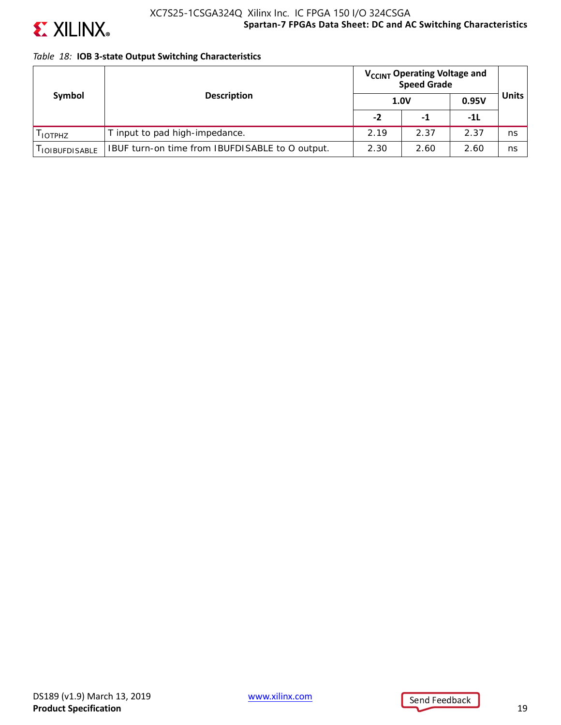

### **Spartan-7 FPGAs Data Sheet: DC and AC Switching Characteristics** XC7S25-1CSGA324Q Xilinx Inc. IC FPGA 150 I/O 324CSGA

### *Table 18:* **IOB 3-state Output Switching Characteristics**

|                        |                                                 | V <sub>CCINT</sub> Operating Voltage and<br><b>Speed Grade</b> |      |       |              |
|------------------------|-------------------------------------------------|----------------------------------------------------------------|------|-------|--------------|
| Symbol                 | <b>Description</b>                              | 1.0V                                                           |      | 0.95V | <b>Units</b> |
|                        |                                                 | $-2$                                                           | -1   | -11   |              |
| I IOTPHZ               | T input to pad high-impedance.                  | 2.19                                                           | 2.37 | 2.37  | ns           |
| <b>I IOIBUFDISABLE</b> | IBUF turn-on time from IBUFDISABLE to O output. | 2.30                                                           | 2.60 | 2.60  | ns           |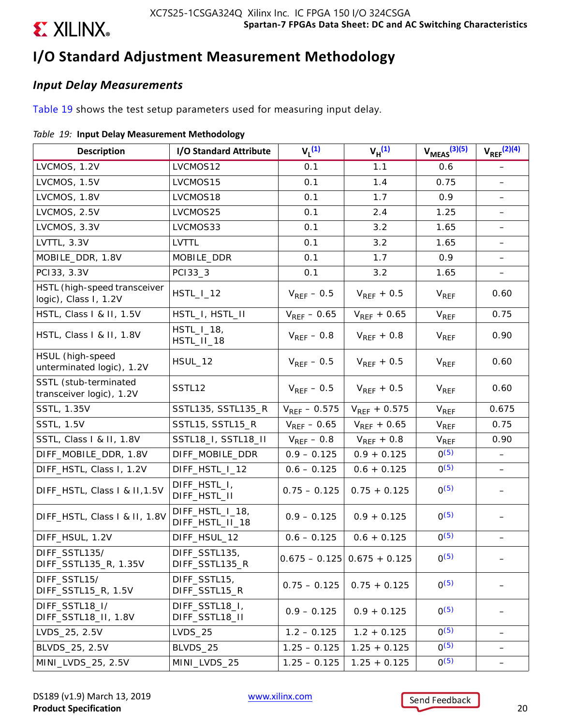

# **I/O Standard Adjustment Measurement Methodology**

## *Input Delay Measurements*

Table 19 shows the test setup parameters used for measuring input delay.

### *Table 19:* **Input Delay Measurement Methodology**

| <b>Description</b>                                    | I/O Standard Attribute             | $V_1^{(1)}$       | $V_H^{(1)}$                   | $V_{MEAS}$ $(3)(5)$    | $V_{\text{REF}}^{(2)(4)}$ |
|-------------------------------------------------------|------------------------------------|-------------------|-------------------------------|------------------------|---------------------------|
| LVCMOS, 1.2V                                          | LVCMOS12                           | 0.1               | 1.1                           | 0.6                    |                           |
| LVCMOS, 1.5V                                          | LVCMOS15                           | 0.1               | 1.4                           | 0.75                   |                           |
| LVCMOS, 1.8V                                          | LVCMOS18                           | 0.1               | 1.7                           | 0.9                    |                           |
| LVCMOS, 2.5V                                          | LVCMOS25                           | 0.1               | 2.4                           | 1.25                   | $\qquad \qquad -$         |
| LVCMOS, 3.3V                                          | LVCMOS33                           | 0.1               | 3.2                           | 1.65                   |                           |
| LVTTL, 3.3V                                           | <b>LVTTL</b>                       | 0.1               | 3.2                           | 1.65                   |                           |
| MOBILE_DDR, 1.8V                                      | MOBILE_DDR                         | 0.1               | 1.7                           | 0.9                    |                           |
| PC133, 3.3V                                           | PC133_3                            | 0.1               | 3.2                           | 1.65                   | $\overline{\phantom{m}}$  |
| HSTL (high-speed transceiver<br>logic), Class I, 1.2V | $HSTL_l_12$                        | $V_{REF}$ – 0.5   | $V_{REF}$ + 0.5               | $V_{REF}$              | 0.60                      |
| HSTL, Class I & II, 1.5V                              | HSTL_I, HSTL_II                    | $V_{REF}$ – 0.65  | $V_{REF}$ + 0.65              | <b>V<sub>REF</sub></b> | 0.75                      |
| HSTL, Class I & II, 1.8V                              | $HSTL_l_13,$<br>HSTL_II_18         | $V_{RFF}$ – 0.8   | $V_{RFF}$ + 0.8               | <b>V<sub>REF</sub></b> | 0.90                      |
| HSUL (high-speed<br>unterminated logic), 1.2V         | HSUL_12                            | $V_{REF}$ – 0.5   | $V_{REF}$ + 0.5               | <b>V<sub>REF</sub></b> | 0.60                      |
| SSTL (stub-terminated<br>transceiver logic), 1.2V     | SSTL12                             | $V_{RFF}$ – 0.5   | $V_{REF}$ + 0.5               | $V_{REF}$              | 0.60                      |
| SSTL, 1.35V                                           | SSTL135, SSTL135_R                 | $V_{REF}$ - 0.575 | $V_{REF}$ + 0.575             | V <sub>REF</sub>       | 0.675                     |
| <b>SSTL, 1.5V</b>                                     | SSTL15, SSTL15_R                   | $V_{REF}$ – 0.65  | $V_{REF} + 0.65$              | V <sub>REF</sub>       | 0.75                      |
| SSTL, Class I & II, 1.8V                              | SSTL18_I, SSTL18_II                | $V_{REF}$ – 0.8   | $V_{REF}$ + 0.8               | V <sub>REF</sub>       | 0.90                      |
| DIFF_MOBILE_DDR, 1.8V                                 | DIFF_MOBILE_DDR                    | $0.9 - 0.125$     | $0.9 + 0.125$                 | $0^{(5)}$              |                           |
| DIFF_HSTL, Class I, 1.2V                              | DIFF_HSTL_I_12                     | $0.6 - 0.125$     | $0.6 + 0.125$                 | $0^{(5)}$              | $\qquad \qquad -$         |
| DIFF_HSTL, Class I & II, 1.5V                         | DIFF_HSTL_I,<br>DIFF_HSTL_II       | $0.75 - 0.125$    | $0.75 + 0.125$                | $0^{(5)}$              |                           |
| DIFF_HSTL, Class I & II, 1.8V                         | DIFF_HSTL_I_18,<br>DIFF_HSTL_II_18 | $0.9 - 0.125$     | $0.9 + 0.125$                 | $0^{(5)}$              |                           |
| DIFF_HSUL, 1.2V                                       | DIFF_HSUL_12                       | $0.6 - 0.125$     | $0.6 + 0.125$                 | $0^{(5)}$              |                           |
| DIFF_SSTL135/<br>DIFF_SSTL135_R, 1.35V                | DIFF_SSTL135,<br>DIFF_SSTL135_R    |                   | $0.675 - 0.125$ 0.675 + 0.125 | O(5)                   |                           |
| DIFF_SSTL15/<br>DIFF_SSTL15_R, 1.5V                   | DIFF_SSTL15,<br>DIFF_SSTL15_R      | $0.75 - 0.125$    | $0.75 + 0.125$                | $O^{(5)}$              |                           |
| DIFF_SSTL18_I/<br>DIFF_SSTL18_II, 1.8V                | DIFF_SSTL18_I,<br>DIFF_SSTL18_II   | $0.9 - 0.125$     | $0.9 + 0.125$                 | $0^{(5)}$              |                           |
| LVDS_25, 2.5V                                         | $LVDS_25$                          | $1.2 - 0.125$     | $1.2 + 0.125$                 | $0^{(5)}$              |                           |
| BLVDS_25, 2.5V                                        | BLVDS_25                           | $1.25 - 0.125$    | $1.25 + 0.125$                | $0^{(5)}$              |                           |
| MINI_LVDS_25, 2.5V                                    | MINI_LVDS_25                       | $1.25 - 0.125$    | $1.25 + 0.125$                | $0^{(5)}$              | $\overline{\phantom{0}}$  |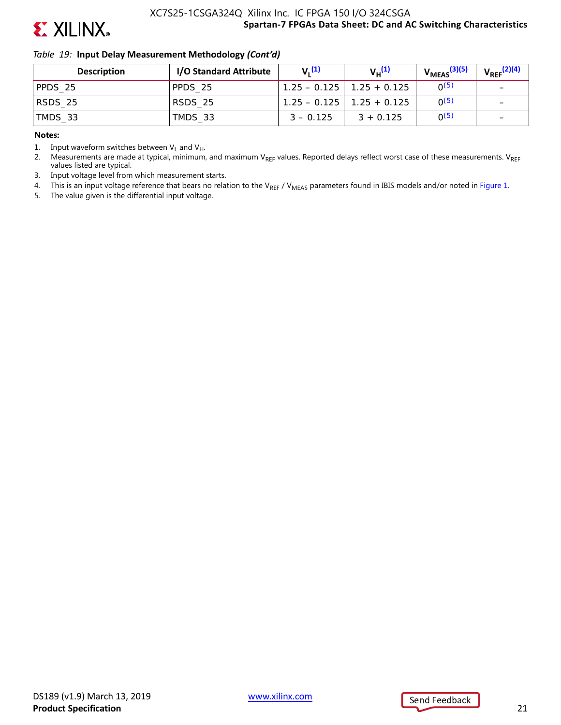

### *Table 19:* **Input Delay Measurement Methodology** *(Cont'd)*

| <b>Description</b> | I/O Standard Attribute | $V_1$ <sup>(1)</sup> | $V_{\mu}^{(1)}$                 | $V_{MEAS}$ <sup>(3)(5)</sup> | $V_{\text{REF}}^{(2)(4)}$ |
|--------------------|------------------------|----------------------|---------------------------------|------------------------------|---------------------------|
| PPDS 25            | PPDS 25                |                      | $1.25 - 0.125$   $1.25 + 0.125$ | O(5)                         | -                         |
| $ $ RSDS_25        | RSDS 25                |                      | $1.25 - 0.125$   1.25 + 0.125   | O(5)                         | $\overline{\phantom{0}}$  |
| TMDS_33            | TMDS 33                | $3 - 0.125$          | $3 + 0.125$                     | O(5)                         | $\qquad \qquad$           |

#### **Notes:**

1. Input waveform switches between  $V_L$  and  $V_H$ .

2. Measurements are made at typical, minimum, and maximum VREF values. Reported delays reflect worst case of these measurements. VREF values listed are typical.

3. Input voltage level from which measurement starts.

4. This is an input voltage reference that bears no relation to the V<sub>REF</sub> / V<sub>MEAS</sub> parameters found in IBIS models and/or noted in Figure 1.

5. The value given is the differential input voltage.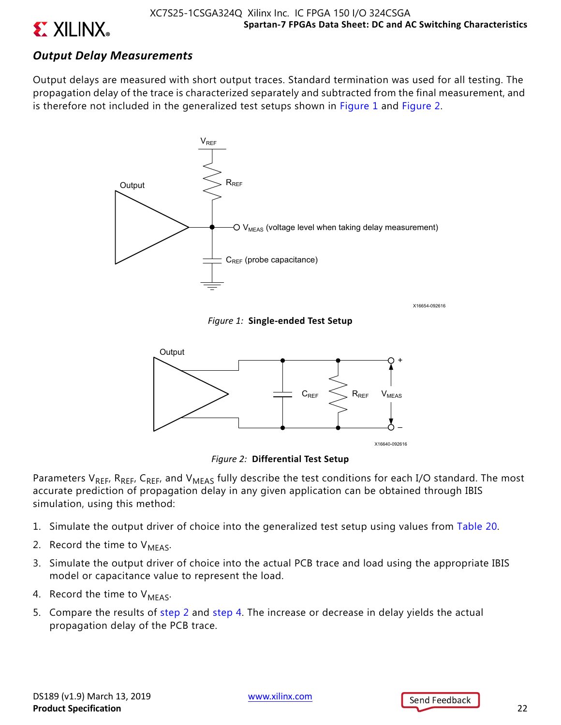

## *Output Delay Measurements*

Output delays are measured with short output traces. Standard termination was used for all testing. The propagation delay of the trace is characterized separately and subtracted from the final measurement, and is therefore not included in the generalized test setups shown in Figure 1 and Figure 2.



X16654-092616

*Figure 1:* **Single-ended Test Setup**



*Figure 2:* **Differential Test Setup**

Parameters V<sub>REF</sub>, R<sub>REF</sub>, C<sub>REF</sub>, and V<sub>MEAS</sub> fully describe the test conditions for each I/O standard. The most accurate prediction of propagation delay in any given application can be obtained through IBIS simulation, using this method:

- 1. Simulate the output driver of choice into the generalized test setup using values from Table 20.
- 2. Record the time to  $V_{MFAS}$ .
- 3. Simulate the output driver of choice into the actual PCB trace and load using the appropriate IBIS model or capacitance value to represent the load.
- 4. Record the time to  $V_{MFAS}$ .
- 5. Compare the results of step 2 and step 4. The increase or decrease in delay yields the actual propagation delay of the PCB trace.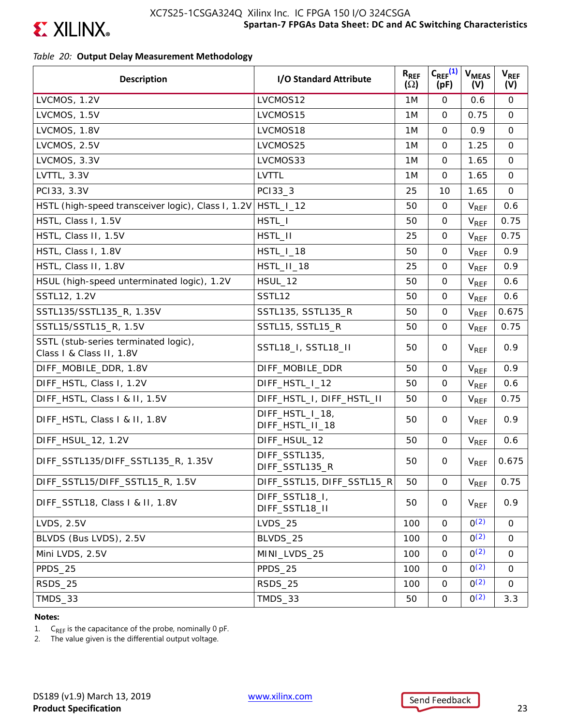

### *Table 20:* **Output Delay Measurement Methodology**

| <b>Description</b>                                               | I/O Standard Attribute             | $R_{REF}$<br>$(\Omega)$ | $C_{REF}^{(1)}$<br>(pF) | <b>V<sub>MEAS</sub></b><br>(V) | $V_{REF}$<br>(V) |
|------------------------------------------------------------------|------------------------------------|-------------------------|-------------------------|--------------------------------|------------------|
| LVCMOS, 1.2V                                                     | LVCMOS12                           | 1M                      | $\mathsf{O}$            | 0.6                            | 0                |
| LVCMOS, 1.5V                                                     | LVCMOS15                           | 1M                      | $\Omega$                | 0.75                           | $\mathsf{O}$     |
| LVCMOS, 1.8V                                                     | LVCMOS18                           | 1M                      | $\mathbf 0$             | 0.9                            | $\mathsf{O}$     |
| LVCMOS, 2.5V                                                     | LVCMOS25                           | 1M                      | $\mathbf 0$             | 1.25                           | $\mathbf 0$      |
| LVCMOS, 3.3V                                                     | LVCMOS33                           | 1M                      | $\mathbf 0$             | 1.65                           | $\mathsf{O}$     |
| LVTTL, 3.3V                                                      | <b>LVTTL</b>                       | 1M                      | $\mathbf 0$             | 1.65                           | $\mathsf{O}$     |
| PC133, 3.3V                                                      | PC133_3                            | 25                      | 10                      | 1.65                           | $\mathbf 0$      |
| HSTL (high-speed transceiver logic), Class I, 1.2V               | $HSTL_l_12$                        | 50                      | 0                       | <b>V<sub>REF</sub></b>         | 0.6              |
| HSTL, Class I, 1.5V                                              | HSTL_I                             | 50                      | $\mathbf 0$             | $V_{REF}$                      | 0.75             |
| HSTL, Class II, 1.5V                                             | HSTL_II                            | 25                      | $\mathbf 0$             | $V_{REF}$                      | 0.75             |
| HSTL, Class I, 1.8V                                              | HSTL_I_18                          | 50                      | $\mathbf 0$             | $V_{REF}$                      | 0.9              |
| HSTL, Class II, 1.8V                                             | HSTL_II_18                         | 25                      | $\mathbf 0$             | V <sub>REF</sub>               | 0.9              |
| HSUL (high-speed unterminated logic), 1.2V                       | <b>HSUL_12</b>                     | 50                      | $\mathbf 0$             | $V_{REF}$                      | 0.6              |
| SSTL12, 1.2V                                                     | SSTL12                             | 50                      | $\mathbf 0$             | <b>V<sub>REF</sub></b>         | 0.6              |
| SSTL135/SSTL135_R, 1.35V                                         | SSTL135, SSTL135_R                 | 50                      | $\mathbf 0$             | $V_{REF}$                      | 0.675            |
| SSTL15/SSTL15_R, 1.5V                                            | SSTL15, SSTL15_R                   | 50                      | 0                       | V <sub>REF</sub>               | 0.75             |
| SSTL (stub-series terminated logic),<br>Class I & Class II, 1.8V | SSTL18_I, SSTL18_II                | 50                      | 0                       | $V_{REF}$                      | 0.9              |
| DIFF_MOBILE_DDR, 1.8V                                            | DIFF_MOBILE_DDR                    | 50                      | $\mathsf{O}$            | $V_{REF}$                      | 0.9              |
| DIFF_HSTL, Class I, 1.2V                                         | DIFF_HSTL_I_12                     | 50                      | $\mathsf{O}$            | $V_{REF}$                      | 0.6              |
| DIFF_HSTL, Class I & II, 1.5V                                    | DIFF_HSTL_I, DIFF_HSTL_II          | 50                      | 0                       | $V_{REF}$                      | 0.75             |
| DIFF_HSTL, Class I & II, 1.8V                                    | DIFF_HSTL_I_18,<br>DIFF_HSTL_II_18 | 50                      | 0                       | $V_{REF}$                      | 0.9              |
| DIFF_HSUL_12, 1.2V                                               | DIFF_HSUL_12                       | 50                      | $\mathsf{O}$            | $V_{REF}$                      | 0.6              |
| DIFF_SSTL135/DIFF_SSTL135_R, 1.35V                               | DIFF_SSTL135,<br>DIFF_SSTL135_R    | 50                      | 0                       | $V_{REF}$                      | 0.675            |
| DIFF_SSTL15/DIFF_SSTL15_R, 1.5V                                  | DIFF_SSTL15, DIFF_SSTL15_R         | 50                      | 0                       | $V_{REF}$                      | 0.75             |
| DIFF_SSTL18, Class   & II, 1.8V                                  | DIFF_SSTL18_I,<br>DIFF_SSTL18_II   | 50                      | 0                       | <b>V<sub>REF</sub></b>         | 0.9              |
| <b>LVDS, 2.5V</b>                                                | <b>LVDS_25</b>                     | 100                     | $\mathbf 0$             | O(2)                           | 0                |
| BLVDS (Bus LVDS), 2.5V                                           | BLVDS_25                           | 100                     | 0                       | O(2)                           | 0                |
| Mini LVDS, 2.5V                                                  | MINI_LVDS_25                       | 100                     | $\mathbf 0$             | O(2)                           | 0                |
| PPDS_25                                                          | PPDS 25                            | 100                     | 0                       | O(2)                           | 0                |
| RSDS_25                                                          | RSDS_25                            | 100                     | 0                       | O(2)                           | 0                |
| TMDS_33                                                          | TMDS_33                            | 50                      | $\mathbf 0$             | O(2)                           | 3.3              |

#### **Notes:**

1.  $C_{REF}$  is the capacitance of the probe, nominally 0 pF.<br>2. The value given is the differential output voltage.

The value given is the differential output voltage.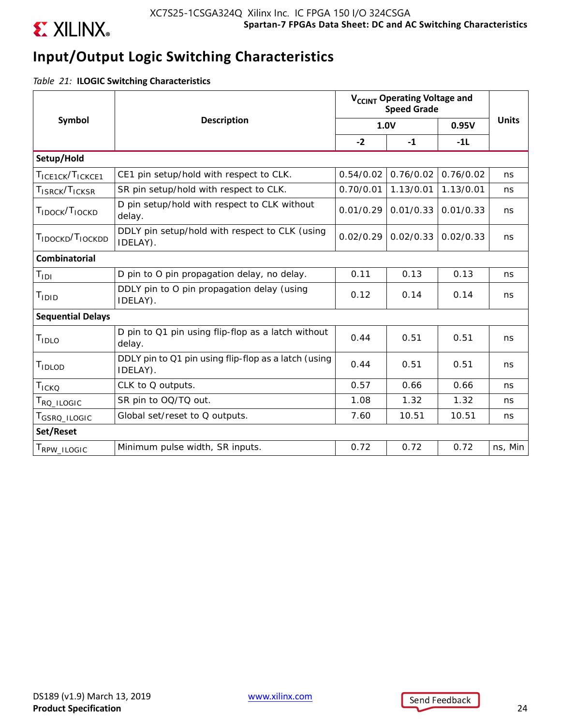

# **Input/Output Logic Switching Characteristics**

*Table 21:* **ILOGIC Switching Characteristics**

|                                          |                                                                  |           | V <sub>CCINT</sub> Operating Voltage and<br><b>Speed Grade</b> |           |              |
|------------------------------------------|------------------------------------------------------------------|-----------|----------------------------------------------------------------|-----------|--------------|
| Symbol                                   | <b>Description</b>                                               |           | 1.0V                                                           | 0.95V     | <b>Units</b> |
|                                          |                                                                  | $-2$      | $-1$                                                           | $-1L$     |              |
| Setup/Hold                               |                                                                  |           |                                                                |           |              |
| TICE1CK/TICKCE1                          | CE1 pin setup/hold with respect to CLK.                          | 0.54/0.02 | 0.76/0.02                                                      | 0.76/0.02 | ns           |
| T <sub>ISRCK</sub> /T <sub>ICKSR</sub>   | SR pin setup/hold with respect to CLK.                           | 0.70/0.01 | 1.13/0.01                                                      | 1.13/0.01 | ns           |
| T <sub>IDOCK</sub> /T <sub>IOCKD</sub>   | D pin setup/hold with respect to CLK without<br>delay.           | 0.01/0.29 | 0.01/0.33                                                      | 0.01/0.33 | ns           |
| T <sub>IDOCKD</sub> /T <sub>IOCKDD</sub> | DDLY pin setup/hold with respect to CLK (using<br>IDELAY).       | 0.02/0.29 | 0.02/0.33                                                      | 0.02/0.33 | ns           |
| <b>Combinatorial</b>                     |                                                                  |           |                                                                |           |              |
| $T_{\text{IDI}}$                         | D pin to O pin propagation delay, no delay.                      | 0.11      | 0.13                                                           | 0.13      | ns           |
| T <sub>IDID</sub>                        | DDLY pin to O pin propagation delay (using<br>IDELAY).           | 0.12      | 0.14                                                           | 0.14      | ns           |
| <b>Sequential Delays</b>                 |                                                                  |           |                                                                |           |              |
| T <sub>IDLO</sub>                        | D pin to Q1 pin using flip-flop as a latch without<br>delay.     | 0.44      | 0.51                                                           | 0.51      | ns           |
| TIDLOD                                   | DDLY pin to Q1 pin using flip-flop as a latch (using<br>IDELAY). | 0.44      | 0.51                                                           | 0.51      | ns           |
| TICKQ                                    | CLK to Q outputs.                                                | 0.57      | 0.66                                                           | 0.66      | ns           |
| T <sub>RQ</sub> _ILOGIC                  | SR pin to OQ/TQ out.                                             | 1.08      | 1.32                                                           | 1.32      | ns           |
| T <sub>GSRQ</sub> _ILOGIC                | Global set/reset to Q outputs.                                   | 7.60      | 10.51                                                          | 10.51     | ns           |
| Set/Reset                                |                                                                  |           |                                                                |           |              |
| T <sub>RPW</sub> _ILOGIC                 | Minimum pulse width, SR inputs.                                  | 0.72      | 0.72                                                           | 0.72      | ns, Min      |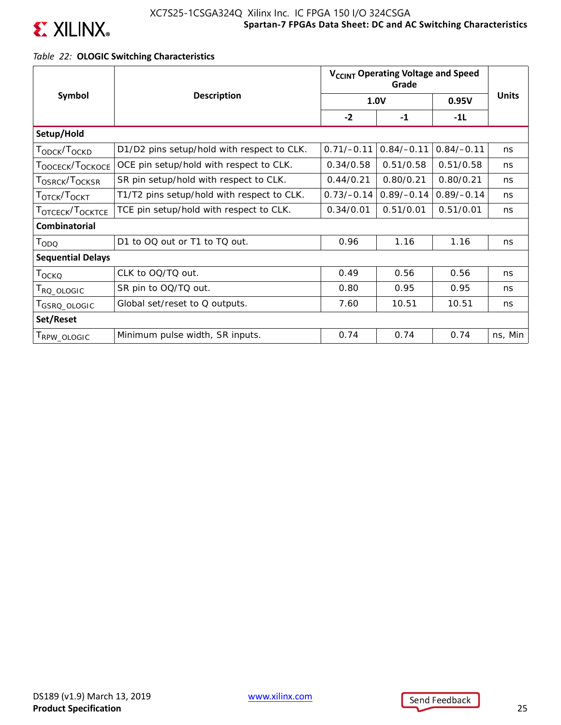

## **Spartan-7 FPGAs Data Sheet: DC and AC Switching Characteristics** XC7S25-1CSGA324Q Xilinx Inc. IC FPGA 150 I/O 324CSGA

### *Table 22:* **OLOGIC Switching Characteristics**

|                                          |                                            |              | V <sub>CCINT</sub> Operating Voltage and Speed |              |              |  |  |
|------------------------------------------|--------------------------------------------|--------------|------------------------------------------------|--------------|--------------|--|--|
| Symbol                                   | <b>Description</b>                         |              | 1.0V                                           | 0.95V        | <b>Units</b> |  |  |
|                                          |                                            | $-2$         | $-1$                                           | $-1L$        |              |  |  |
| Setup/Hold                               |                                            |              |                                                |              |              |  |  |
| T <sub>ODCK</sub> /T <sub>OCKD</sub>     | D1/D2 pins setup/hold with respect to CLK. | $0.71/-0.11$ | $0.84/-0.11$                                   | $0.84/-0.11$ | ns           |  |  |
| T <sub>OOCECK</sub> /T <sub>OCKOCE</sub> | OCE pin setup/hold with respect to CLK.    | 0.34/0.58    | 0.51/0.58                                      | 0.51/0.58    | ns           |  |  |
| T <sub>OSRCK</sub> /T <sub>OCKSR</sub>   | SR pin setup/hold with respect to CLK.     | 0.44/0.21    | 0.80/0.21                                      | 0.80/0.21    | ns           |  |  |
| T <sub>OTCK</sub> /T <sub>OCKT</sub>     | T1/T2 pins setup/hold with respect to CLK. | $0.73/-0.14$ | $0.89/-0.14$                                   | $0.89/-0.14$ | ns           |  |  |
| T <sub>OTCECK</sub> /T <sub>OCKTCE</sub> | TCE pin setup/hold with respect to CLK.    | 0.34/0.01    | 0.51/0.01                                      | 0.51/0.01    | ns           |  |  |
| <b>Combinatorial</b>                     |                                            |              |                                                |              |              |  |  |
| T <sub>ODQ</sub>                         | D1 to OQ out or T1 to TQ out.              | 0.96         | 1.16                                           | 1.16         | ns           |  |  |
| <b>Sequential Delays</b>                 |                                            |              |                                                |              |              |  |  |
| T <sub>OCKQ</sub>                        | CLK to OQ/TQ out.                          | 0.49         | 0.56                                           | 0.56         | ns           |  |  |
| T <sub>RQ</sub> _OLOGIC                  | SR pin to OQ/TQ out.                       | 0.80         | 0.95                                           | 0.95         | ns           |  |  |
| GSRQ_OLOGIC                              | Global set/reset to Q outputs.             | 7.60         | 10.51                                          | 10.51        | ns           |  |  |
| Set/Reset                                |                                            |              |                                                |              |              |  |  |
| RPW_OLOGIC                               | Minimum pulse width, SR inputs.            | 0.74         | 0.74                                           | 0.74         | ns, Min      |  |  |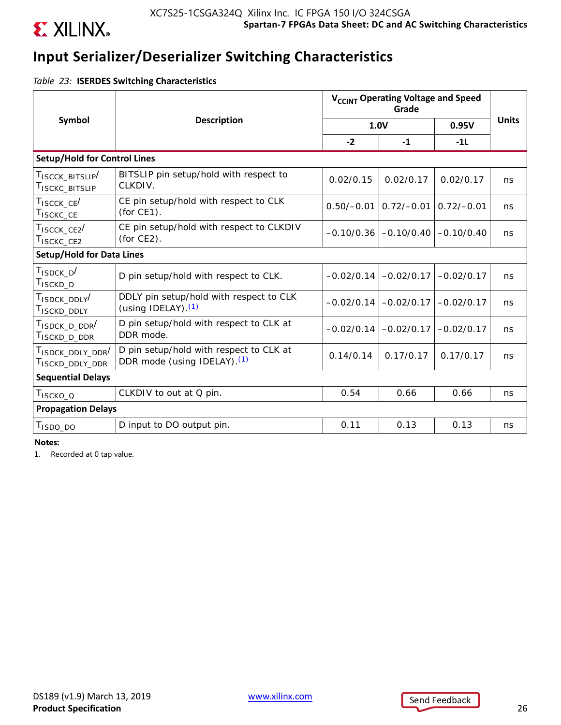

# **Input Serializer/Deserializer Switching Characteristics**

*Table 23:* **ISERDES Switching Characteristics**

|                                                                   |                                                                                    |              | V <sub>CCINT</sub> Operating Voltage and Speed |              |              |
|-------------------------------------------------------------------|------------------------------------------------------------------------------------|--------------|------------------------------------------------|--------------|--------------|
| Symbol                                                            | <b>Description</b>                                                                 |              | 1.0V                                           | 0.95V        | <b>Units</b> |
|                                                                   |                                                                                    | $-2$         | $-1$                                           | $-1L$        |              |
| <b>Setup/Hold for Control Lines</b>                               |                                                                                    |              |                                                |              |              |
| TISCCK BITSLIP<br>T <sub>ISCKC</sub> _BITSLIP                     | BITSLIP pin setup/hold with respect to<br>CLKDIV.                                  | 0.02/0.15    | 0.02/0.17                                      | 0.02/0.17    | ns           |
| $T_{ISCCK\_CE}/$<br>T <sub>ISCKC</sub> _CE                        | CE pin setup/hold with respect to CLK<br>(for CE1).                                | $0.50/-0.01$ | $0.72/-0.01$                                   | $0.72/-0.01$ | ns           |
| $T_{ISCCK\_CE2}$<br>T <sub>ISCKC</sub> CE <sub>2</sub>            | CE pin setup/hold with respect to CLKDIV<br>(for $CE2$ ).                          | $-0.10/0.36$ | $-0.10/0.40$                                   | $-0.10/0.40$ | ns           |
| <b>Setup/Hold for Data Lines</b>                                  |                                                                                    |              |                                                |              |              |
| $T_{ISDCK_D}$<br>T <sub>ISCKD</sub> _D                            | D pin setup/hold with respect to CLK.                                              | $-0.02/0.14$ | $-0.02/0.17$                                   | $-0.02/0.17$ | ns           |
| T <sub>ISDCK</sub> DDLY <sup>/</sup><br>T <sub>ISCKD_DDLY</sub>   | DDLY pin setup/hold with respect to CLK<br>(using IDELAY). $(1)$                   | $-0.02/0.14$ | $-0.02/0.17$                                   | $-0.02/0.17$ | ns           |
| T <sub>ISDCK</sub> D DDR <sup>/</sup><br>T <sub>ISCKD_D_DDR</sub> | D pin setup/hold with respect to CLK at<br>DDR mode.                               | $-0.02/0.14$ | $-0.02/0.17$                                   | $-0.02/0.17$ | ns           |
| TISDCK_DDLY_DDR <sup>/</sup><br>TISCKD_DDLY_DDR                   | D pin setup/hold with respect to CLK at<br>DDR mode (using IDELAY). <sup>(1)</sup> | 0.14/0.14    | 0.17/0.17                                      | 0.17/0.17    | ns           |
| <b>Sequential Delays</b>                                          |                                                                                    |              |                                                |              |              |
| T <sub>ISCKO_Q</sub>                                              | CLKDIV to out at Q pin.                                                            | 0.54         | 0.66                                           | 0.66         | ns           |
| <b>Propagation Delays</b>                                         |                                                                                    |              |                                                |              |              |
| T <sub>ISDO_DO</sub>                                              | D input to DO output pin.                                                          | 0.11         | 0.13                                           | 0.13         | ns           |

**Notes:** 

1. Recorded at 0 tap value.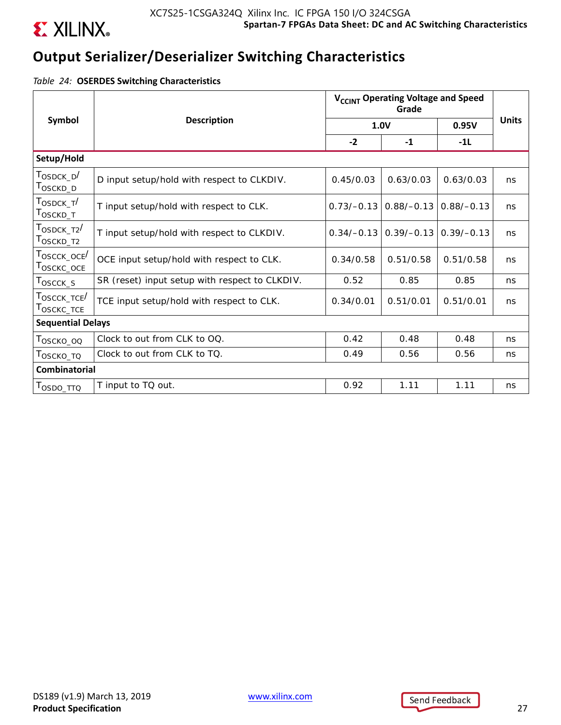

# **Output Serializer/Deserializer Switching Characteristics**

*Table 24:* **OSERDES Switching Characteristics**

|                                                                   |                                                | V <sub>CCINT</sub> Operating Voltage and Speed |              |              |              |  |  |  |
|-------------------------------------------------------------------|------------------------------------------------|------------------------------------------------|--------------|--------------|--------------|--|--|--|
| Symbol                                                            | <b>Description</b>                             |                                                | 1.0V         | 0.95V        | <b>Units</b> |  |  |  |
|                                                                   |                                                | $-2$                                           | $-1$         | $-11$        |              |  |  |  |
| Setup/Hold                                                        |                                                |                                                |              |              |              |  |  |  |
| $T_{\scriptsize \text{OSDCK\_D}}/$<br>T <sub>OSCKD_D</sub>        | D input setup/hold with respect to CLKDIV.     | 0.45/0.03                                      | 0.63/0.03    | 0.63/0.03    | ns           |  |  |  |
| T <sub>OSDCK T</sub> /<br>T <sub>OSCKD_T</sub>                    | T input setup/hold with respect to CLK.        | $0.73/-0.13$                                   | $0.88/-0.13$ | $0.88/-0.13$ | ns           |  |  |  |
| $\tau_{\text{OSDCK\_T2}}/$<br>T <sub>OSCKD_T2</sub>               | T input setup/hold with respect to CLKDIV.     | $0.34/-0.13$                                   | $0.39/-0.13$ | $0.39/-0.13$ | ns           |  |  |  |
| T <sub>OSCCK</sub> _oce <sup>/</sup><br>$T_{OSCKC\_OCE}$          | OCE input setup/hold with respect to CLK.      | 0.34/0.58                                      | 0.51/0.58    | 0.51/0.58    | ns           |  |  |  |
| $T_{\scriptsize \textrm{OSCCK\_S}}$                               | SR (reset) input setup with respect to CLKDIV. | 0.52                                           | 0.85         | 0.85         | ns           |  |  |  |
| $\tau_{\text{OSCCK\_TCE}}/$<br>$\mathsf{T}_{\mathsf{OSCKC\_TCE}}$ | TCE input setup/hold with respect to CLK.      | 0.34/0.01                                      | 0.51/0.01    | 0.51/0.01    | ns           |  |  |  |
| <b>Sequential Delays</b>                                          |                                                |                                                |              |              |              |  |  |  |
| T <sub>OSCKO_OQ</sub>                                             | Clock to out from CLK to OQ.                   | 0.42                                           | 0.48         | 0.48         | ns           |  |  |  |
| Τ <sub>Ο</sub> ς κο_το                                            | Clock to out from CLK to TQ.                   | 0.49                                           | 0.56         | 0.56         | ns           |  |  |  |
| <b>Combinatorial</b>                                              |                                                |                                                |              |              |              |  |  |  |
| Τ <sub>OSDO_ΤΤΩ</sub>                                             | T input to TQ out.                             | 0.92                                           | 1.11         | 1.11         | ns           |  |  |  |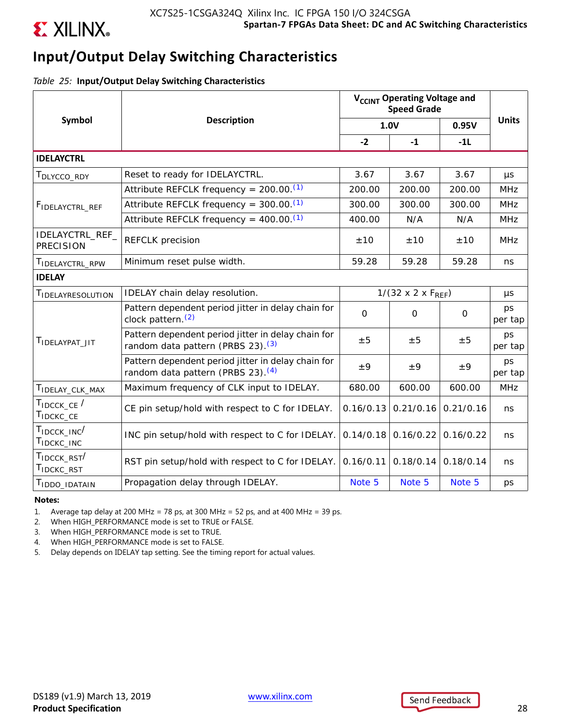

# **Input/Output Delay Switching Characteristics**

*Table 25:* **Input/Output Delay Switching Characteristics**

|                                                                                            | <b>Description</b>                                                                                  |                                  | 1.0V                  | 0.95V                                                                                                                           | <b>Units</b>  |
|--------------------------------------------------------------------------------------------|-----------------------------------------------------------------------------------------------------|----------------------------------|-----------------------|---------------------------------------------------------------------------------------------------------------------------------|---------------|
| Symbol<br>T <sub>IDELAY_CLK_MAX</sub><br>T <sub>IDCKC</sub> _INC<br>T <sub>IDCKC</sub> RST |                                                                                                     | $-2$                             | $-1$                  | $-11$                                                                                                                           |               |
| <b>IDELAYCTRL</b>                                                                          |                                                                                                     |                                  |                       |                                                                                                                                 |               |
| T <sub>DLYCCO</sub> _RDY                                                                   | Reset to ready for IDELAYCTRL.                                                                      | 3.67                             | 3.67                  | 3.67                                                                                                                            | $\mu s$       |
|                                                                                            | Attribute REFCLK frequency = $200.00$ . <sup>(1)</sup>                                              | 200.00                           | 200.00                | 200.00                                                                                                                          | <b>MHz</b>    |
| FIDELAYCTRL_REF                                                                            | Attribute REFCLK frequency = $300.00$ . <sup>(1)</sup>                                              | 300.00                           | 300.00                | 300.00                                                                                                                          | <b>MHz</b>    |
|                                                                                            | Attribute REFCLK frequency = $400.00$ . <sup>(1)</sup>                                              | 400.00                           | N/A                   | N/A                                                                                                                             | <b>MHz</b>    |
| IDELAYCTRL_REF_<br><b>PRECISION</b>                                                        | <b>REFCLK</b> precision                                                                             | ±10                              | ±10                   | ±10                                                                                                                             | <b>MHz</b>    |
| TIDELAYCTRL_RPW                                                                            | Minimum reset pulse width.                                                                          | 59.28                            | 59.28                 | 59.28                                                                                                                           | ns            |
| <b>IDELAY</b>                                                                              |                                                                                                     |                                  |                       |                                                                                                                                 |               |
| TIDELAYRESOLUTION                                                                          | IDELAY chain delay resolution.                                                                      | $1/(32 \times 2 \times F_{REF})$ |                       |                                                                                                                                 | μs            |
|                                                                                            | Pattern dependent period jitter in delay chain for<br>clock pattern. $(2)$                          | $\mathbf 0$                      | $\mathbf 0$           | $\mathbf 0$                                                                                                                     | ps<br>per tap |
| TIDELAYPAT JIT                                                                             | Pattern dependent period jitter in delay chain for<br>random data pattern (PRBS 23). <sup>(3)</sup> | ±5                               | ±5                    | ±5                                                                                                                              | ps<br>per tap |
|                                                                                            | Pattern dependent period jitter in delay chain for<br>random data pattern (PRBS 23). <sup>(4)</sup> | ±9                               | ±9                    | V <sub>CCINT</sub> Operating Voltage and<br><b>Speed Grade</b><br>±9<br>600.00<br>0.21/0.16<br>0.16/0.22<br>0.18/0.14<br>Note 5 | ps<br>per tap |
|                                                                                            | Maximum frequency of CLK input to IDELAY.                                                           | 680.00                           | 600.00                |                                                                                                                                 | <b>MHz</b>    |
| TIDCCK_CE /<br>TIDCKC_CE                                                                   | CE pin setup/hold with respect to C for IDELAY.                                                     | 0.16/0.13                        | 0.21/0.16             |                                                                                                                                 | ns            |
| $T_{\text{IDCCK\_INC}}$                                                                    | INC pin setup/hold with respect to C for IDELAY.                                                    |                                  | $0.14/0.18$ 0.16/0.22 |                                                                                                                                 | ns            |
| TIDCCK_RST                                                                                 | RST pin setup/hold with respect to C for IDELAY.                                                    | 0.16/0.11                        | 0.18/0.14             |                                                                                                                                 | ns            |
| T <sub>IDDO</sub> _IDATAIN                                                                 | Propagation delay through IDELAY.                                                                   | Note 5                           | Note 5                |                                                                                                                                 | ps            |

#### **Notes:**

1. Average tap delay at 200 MHz = 78 ps, at 300 MHz = 52 ps, and at 400 MHz = 39 ps.

2. When HIGH\_PERFORMANCE mode is set to TRUE or FALSE.

3. When HIGH\_PERFORMANCE mode is set to TRUE.

4. When HIGH\_PERFORMANCE mode is set to FALSE.

5. Delay depends on IDELAY tap setting. See the timing report for actual values.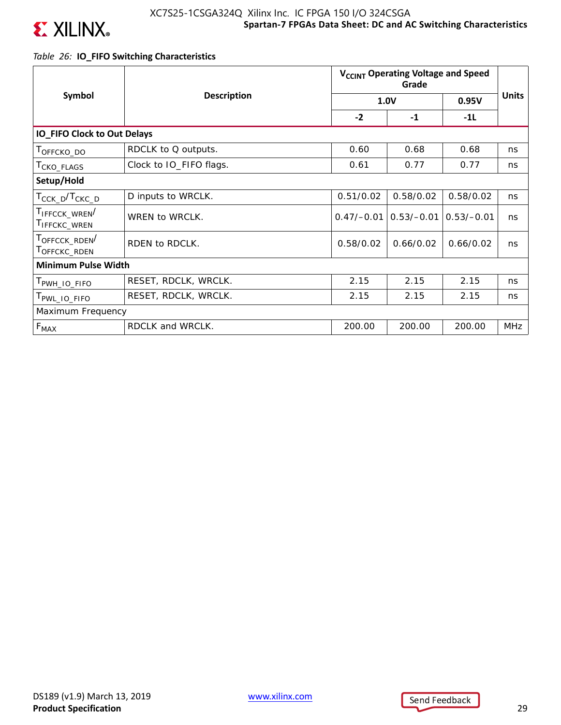

### *Table 26:* **IO\_FIFO Switching Characteristics**

| Symbol                                                              |                         | V <sub>CCINT</sub> Operating Voltage and Speed |              |              |              |  |  |  |
|---------------------------------------------------------------------|-------------------------|------------------------------------------------|--------------|--------------|--------------|--|--|--|
|                                                                     | <b>Description</b>      |                                                | 1.0V         | 0.95V        | <b>Units</b> |  |  |  |
|                                                                     |                         | $-2$                                           | $-1$         | $-1L$        |              |  |  |  |
| <b>IO_FIFO Clock to Out Delays</b>                                  |                         |                                                |              |              |              |  |  |  |
| T <sub>OFFCKO</sub> _DO                                             | RDCLK to Q outputs.     | 0.60                                           | 0.68         | 0.68         | ns           |  |  |  |
| CKO_FLAGS                                                           | Clock to IO_FIFO flags. | 0.61                                           | 0.77         | 0.77         | ns           |  |  |  |
| Setup/Hold                                                          |                         |                                                |              |              |              |  |  |  |
| T <sub>CCK_D</sub> /T <sub>CKC_D</sub>                              | D inputs to WRCLK.      | 0.51/0.02                                      | 0.58/0.02    | 0.58/0.02    | ns           |  |  |  |
| TIFFCCK_WREN<br><b>I</b> IFFCKC_WREN                                | WREN to WRCLK.          | $0.47/-0.01$                                   | $0.53/-0.01$ | $0.53/-0.01$ | ns           |  |  |  |
| T <sub>OFFCCK</sub> _RDEN <sup>/</sup><br>T <sub>OFFCKC</sub> _RDEN | RDEN to RDCLK.          | 0.58/0.02                                      | 0.66/0.02    | 0.66/0.02    | ns           |  |  |  |
| <b>Minimum Pulse Width</b>                                          |                         |                                                |              |              |              |  |  |  |
| PWH_IO_FIFO                                                         | RESET, RDCLK, WRCLK.    | 2.15                                           | 2.15         | 2.15         | ns           |  |  |  |
| PWL_IO_FIFO                                                         | RESET, RDCLK, WRCLK.    | 2.15                                           | 2.15         | 2.15         | ns           |  |  |  |
| Maximum Frequency                                                   |                         |                                                |              |              |              |  |  |  |
| $F_{MAX}$                                                           | RDCLK and WRCLK.        | 200.00                                         | 200.00       | 200.00       | MHz          |  |  |  |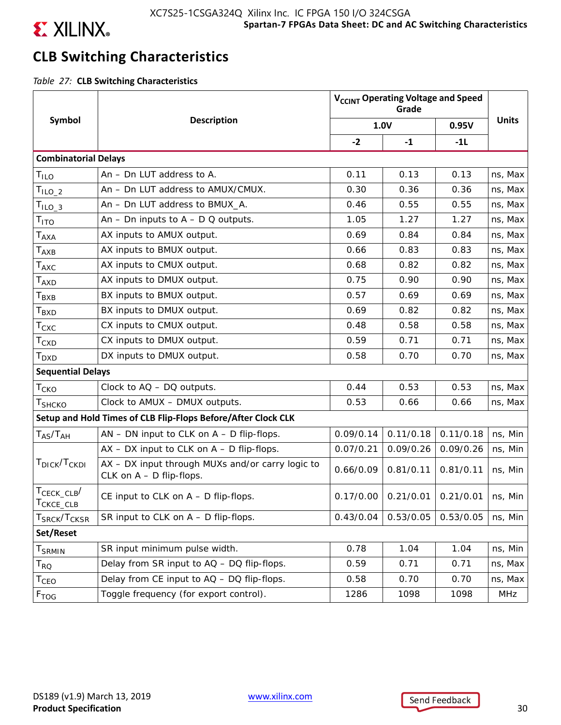

# **CLB Switching Characteristics**

*Table 27:* **CLB Switching Characteristics**

|                                         |                                                                                | V <sub>CCINT</sub> Operating Voltage and Speed |           |                       |              |
|-----------------------------------------|--------------------------------------------------------------------------------|------------------------------------------------|-----------|-----------------------|--------------|
| Symbol                                  | <b>Description</b>                                                             |                                                | 1.0V      | 0.95V                 | <b>Units</b> |
|                                         |                                                                                | $-2$                                           | $-1$      | $-11$                 |              |
| <b>Combinatorial Delays</b>             |                                                                                |                                                |           |                       |              |
| Τιιο                                    | An - Dn LUT address to A.                                                      | 0.11                                           | 0.13      | 0.13                  | ns, Max      |
| $TILO_2$                                | An - Dn LUT address to AMUX/CMUX.                                              | 0.30                                           | 0.36      | 0.36                  | ns, Max      |
| $TILO_3$                                | An - Dn LUT address to BMUX_A.                                                 | 0.46                                           | 0.55      | 0.55                  | ns, Max      |
| Т <sub>ІТО</sub>                        | An - Dn inputs to $A - D Q$ outputs.                                           | 1.05                                           | 1.27      | 1.27                  | ns, Max      |
| $\mathsf{T}_{\mathsf{AXA}}$             | AX inputs to AMUX output.                                                      | 0.69                                           | 0.84      | 0.84                  | ns, Max      |
| $T_{\sf AXB}$                           | AX inputs to BMUX output.                                                      | 0.66                                           | 0.83      | 0.83                  | ns, Max      |
| $\mathsf{T}_{\mathsf{AXC}}$             | AX inputs to CMUX output.                                                      | 0.68                                           | 0.82      | 0.82                  | ns, Max      |
| $\mathsf{T}_{\mathsf{AXD}}$             | AX inputs to DMUX output.                                                      | 0.75                                           | 0.90      | 0.90                  | ns, Max      |
| Т <sub>вхв</sub>                        | BX inputs to BMUX output.                                                      | 0.57                                           | 0.69      | 0.69                  | ns, Max      |
| $\mathsf{T}_{\mathsf{BXD}}$             | BX inputs to DMUX output.                                                      | 0.69                                           | 0.82      | 0.82                  | ns, Max      |
| $\mathsf{T}_{\mathsf{CXC}}$             | CX inputs to CMUX output.                                                      | 0.48                                           | 0.58      | 0.58                  | ns, Max      |
| $\mathsf{T}_{\text{CXD}}$               | CX inputs to DMUX output.                                                      | 0.59                                           | 0.71      | 0.71                  | ns, Max      |
| T <sub>DXD</sub>                        | DX inputs to DMUX output.                                                      | 0.58                                           | 0.70      | 0.70                  | ns, Max      |
| <b>Sequential Delays</b>                |                                                                                |                                                |           |                       |              |
| $T_{CKO}$                               | Clock to AQ - DQ outputs.                                                      | 0.44                                           | 0.53      | 0.53                  | ns, Max      |
| Т <sub>SHCKO</sub>                      | Clock to AMUX - DMUX outputs.                                                  | 0.53                                           | 0.66      | 0.66                  | ns, Max      |
|                                         | Setup and Hold Times of CLB Flip-Flops Before/After Clock CLK                  |                                                |           |                       |              |
| $T_{AS}/T_{AH}$                         | $AN$ – DN input to CLK on $A$ – D flip-flops.                                  | 0.09/0.14                                      | 0.11/0.18 | 0.11/0.18             | ns, Min      |
|                                         | $AX - DX$ input to CLK on $A - D$ flip-flops.                                  | 0.07/0.21                                      | 0.09/0.26 | 0.09/0.26             | ns, Min      |
| T <sub>DICK</sub> /T <sub>CKDI</sub>    | AX - DX input through MUXs and/or carry logic to<br>CLK on $A - D$ flip-flops. | 0.66/0.09                                      | 0.81/0.11 | 0.81/0.11             | ns, Min      |
| $T_{\text{CECK\_CLB}}/$<br>CKCE_CLB     | CE input to CLK on A - D flip-flops.                                           | 0.17/0.00                                      |           | $0.21/0.01$ 0.21/0.01 | ns, Min      |
| ${\sf T}_{\sf SRCK}/{\sf T}_{\sf CKSR}$ | SR input to CLK on $A - D$ flip-flops.                                         | 0.43/0.04                                      | 0.53/0.05 | 0.53/0.05             | ns, Min      |
| Set/Reset                               |                                                                                |                                                |           |                       |              |
| T <sub>SRMIN</sub>                      | SR input minimum pulse width.                                                  | 0.78                                           | 1.04      | 1.04                  | ns, Min      |
| $\mathsf{T}_{\mathsf{RQ}}$              | Delay from SR input to AQ - DQ flip-flops.                                     | 0.59                                           | 0.71      | 0.71                  | ns, Max      |
| T <sub>CEO</sub>                        | Delay from CE input to AQ - DQ flip-flops.                                     | 0.58                                           | 0.70      | 0.70                  | ns, Max      |
| F <sub>TOG</sub>                        | Toggle frequency (for export control).                                         | 1286                                           | 1098      | 1098                  | MHz          |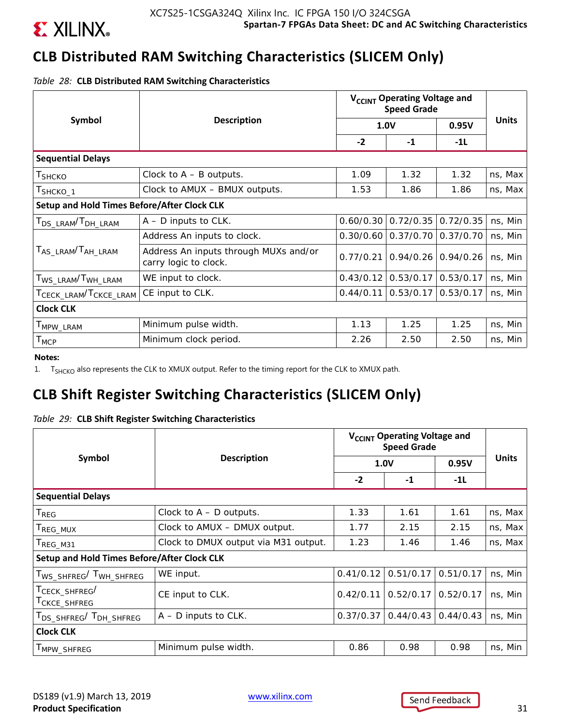

# **CLB Distributed RAM Switching Characteristics (SLICEM Only)**

*Table 28:* **CLB Distributed RAM Switching Characteristics**

|                                             |                                                                |           | V <sub>CCINT</sub> Operating Voltage and<br><b>Speed Grade</b> |                       |              |
|---------------------------------------------|----------------------------------------------------------------|-----------|----------------------------------------------------------------|-----------------------|--------------|
| Symbol                                      | <b>Description</b>                                             |           | <b>1.0V</b>                                                    | 0.95V                 | <b>Units</b> |
|                                             |                                                                | $-2$      | $-1$                                                           | $-1L$                 |              |
| <b>Sequential Delays</b>                    |                                                                |           |                                                                |                       |              |
| T <sub>SHCKO</sub>                          | Clock to $A - B$ outputs.                                      | 1.09      | 1.32                                                           | 1.32                  | ns, Max      |
| T <sub>SHCKO_1</sub>                        | Clock to AMUX - BMUX outputs.                                  | 1.53      | 1.86                                                           | 1.86                  | ns, Max      |
| Setup and Hold Times Before/After Clock CLK |                                                                |           |                                                                |                       |              |
| T <sub>DS_LRAM</sub> /T <sub>DH_LRAM</sub>  | $A - D$ inputs to CLK.                                         | 0.60/0.30 | 0.72/0.35                                                      | 0.72/0.35             | ns, Min      |
|                                             | Address An inputs to clock.                                    | 0.30/0.60 |                                                                | $0.37/0.70$ 0.37/0.70 | ns, Min      |
| T <sub>AS_LRAM</sub> /T <sub>AH_LRAM</sub>  | Address An inputs through MUXs and/or<br>carry logic to clock. | 0.77/0.21 |                                                                | $0.94/0.26$ 0.94/0.26 | ns, Min      |
| T <sub>WS</sub> _LRAM <sup>/T</sup> WH_LRAM | WE input to clock.                                             | 0.43/0.12 | 0.53/0.17                                                      | 0.53/0.17             | ns, Min      |
| TCECK_LRAM <sup>/T</sup> CKCE_LRAM          | CE input to CLK.                                               | 0.44/0.11 | 0.53/0.17                                                      | 0.53/0.17             | ns, Min      |
| <b>Clock CLK</b>                            |                                                                |           |                                                                |                       |              |
| T <sub>MPW</sub> _LRAM                      | Minimum pulse width.                                           | 1.13      | 1.25                                                           | 1.25                  | ns, Min      |
| $T_{\text{MCP}}$                            | Minimum clock period.                                          | 2.26      | 2.50                                                           | 2.50                  | ns, Min      |

**Notes:** 

1. T<sub>SHCKO</sub> also represents the CLK to XMUX output. Refer to the timing report for the CLK to XMUX path.

# **CLB Shift Register Switching Characteristics (SLICEM Only)**

|  |  |  |  | Table 29: CLB Shift Register Switching Characteristics |
|--|--|--|--|--------------------------------------------------------|
|--|--|--|--|--------------------------------------------------------|

|                                                |                                      | V <sub>CCINT</sub> Operating Voltage and<br><b>Speed Grade</b> |           |           |              |
|------------------------------------------------|--------------------------------------|----------------------------------------------------------------|-----------|-----------|--------------|
| Symbol                                         | <b>Description</b>                   | <b>1.0V</b>                                                    |           | 0.95V     | <b>Units</b> |
|                                                |                                      | $-2$                                                           | $-1$      | $-11$     |              |
| <b>Sequential Delays</b>                       |                                      |                                                                |           |           |              |
| $T_{REG}$                                      | Clock to $A - D$ outputs.            | 1.33                                                           | 1.61      | 1.61      | ns, Max      |
| T <sub>REG_MUX</sub>                           | Clock to AMUX - DMUX output.         | 1.77                                                           | 2.15      | 2.15      | ns, Max      |
| T <sub>REG_M31</sub>                           | Clock to DMUX output via M31 output. | 1.23                                                           | 1.46      | 1.46      | ns, Max      |
| Setup and Hold Times Before/After Clock CLK    |                                      |                                                                |           |           |              |
| T <sub>WS_SHFREG</sub> /T <sub>WH_SHFREG</sub> | WE input.                            | 0.41/0.12                                                      | 0.51/0.17 | 0.51/0.17 | ns, Min      |
| TCECK_SHFREG/<br>T <sub>CKCE</sub> _SHFREG     | CE input to CLK.                     | 0.42/0.11                                                      | 0.52/0.17 | 0.52/0.17 | ns, Min      |
| T <sub>DS</sub> SHFREG <sup>/T</sup> DH SHFREG | $A - D$ inputs to CLK.               | 0.37/0.37                                                      | 0.44/0.43 | 0.44/0.43 | ns, Min      |
| <b>Clock CLK</b>                               |                                      |                                                                |           |           |              |
| MPW_SHFREG                                     | Minimum pulse width.                 | 0.86                                                           | 0.98      | 0.98      | ns, Min      |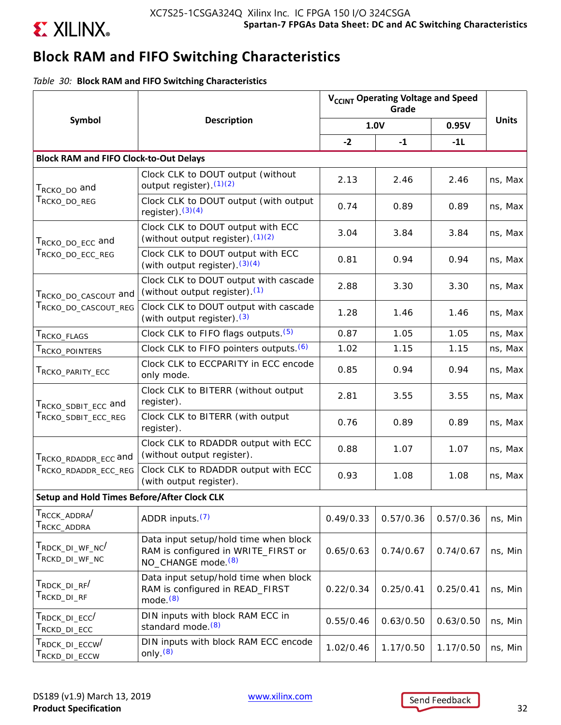

# **Block RAM and FIFO Switching Characteristics**

*Table 30:* **Block RAM and FIFO Switching Characteristics**

|                                                                                      |                                                                                                                | V <sub>CCINT</sub> Operating Voltage and Speed |           |           |              |
|--------------------------------------------------------------------------------------|----------------------------------------------------------------------------------------------------------------|------------------------------------------------|-----------|-----------|--------------|
| Symbol                                                                               | <b>Description</b>                                                                                             |                                                | 1.0V      | 0.95V     | <b>Units</b> |
|                                                                                      |                                                                                                                | $-2$                                           | $-1$      | $-1L$     |              |
| <b>Block RAM and FIFO Clock-to-Out Delays</b>                                        |                                                                                                                |                                                |           |           |              |
| T <sub>RCKO_DO</sub> and                                                             | Clock CLK to DOUT output (without<br>output register). $(1)(2)$                                                | 2.13                                           | 2.46      | 2.46      | ns, Max      |
| $T_{\scriptstyle\rm RCKO\_DO\_REG}$                                                  | Clock CLK to DOUT output (with output<br>register). $(3)(4)$                                                   | 0.74                                           | 0.89      | 0.89      | ns, Max      |
| Т <sub>RCKO_DO_ECC</sub> and                                                         | Clock CLK to DOUT output with ECC<br>(without output register). $(1)(2)$                                       | 3.04                                           | 3.84      | 3.84      | ns, Max      |
| $\mathsf{T}_{\mathsf{RCKO\_DO\_ECC\_REG}}$                                           | Clock CLK to DOUT output with ECC<br>(with output register). $(3)(4)$                                          | 0.81                                           | 0.94      | 0.94      | ns, Max      |
| TRCKO_DO_CASCOUT and                                                                 | Clock CLK to DOUT output with cascade<br>(without output register). <sup>(1)</sup>                             | 2.88                                           | 3.30      | 3.30      | ns, Max      |
| TRCKO_DO_CASCOUT_REG                                                                 | Clock CLK to DOUT output with cascade<br>(with output register). (3)                                           | 1.28                                           | 1.46      | 1.46      | ns, Max      |
| T <sub>RCKO</sub> _FLAGS                                                             | Clock CLK to FIFO flags outputs. (5)                                                                           | 0.87                                           | 1.05      | 1.05      | ns, Max      |
| T <sub>RCKO</sub> _POINTERS                                                          | Clock CLK to FIFO pointers outputs. (6)                                                                        | 1.02                                           | 1.15      | 1.15      | ns, Max      |
| T <sub>RCKO</sub> _parity_ecc                                                        | Clock CLK to ECCPARITY in ECC encode<br>only mode.                                                             | 0.85                                           | 0.94      | 0.94      | ns, Max      |
| T <sub>RCKO</sub> _spBIT_ECC and                                                     | Clock CLK to BITERR (without output<br>register).                                                              | 2.81                                           | 3.55      | 3.55      | ns, Max      |
| T <sub>RCKO</sub> _SDBIT_ECC_REG                                                     | Clock CLK to BITERR (with output<br>register).                                                                 | 0.76                                           | 0.89      | 0.89      | ns, Max      |
| TRCKO_RDADDR_ECC and                                                                 | Clock CLK to RDADDR output with ECC<br>(without output register).                                              | 0.88                                           | 1.07      | 1.07      | ns, Max      |
| TRCKO_RDADDR_ECC_REG                                                                 | Clock CLK to RDADDR output with ECC<br>(with output register).                                                 | 0.93                                           | 1.08      | 1.08      | ns, Max      |
| <b>Setup and Hold Times Before/After Clock CLK</b>                                   |                                                                                                                |                                                |           |           |              |
| T <sub>RCCK</sub> _ADDRA <sup>/</sup><br>$\mathsf{T}_{\mathsf{RCKC\_ADDRA}}$         | ADDR inputs. <sup>(7)</sup>                                                                                    | 0.49/0.33                                      | 0.57/0.36 | 0.57/0.36 | ns, Min      |
| T <sub>RDCK</sub> _DI_WF_NC <sup>/</sup><br>$\mathsf{T}_{\mathsf{RCKD\_DI\_WF\_NC}}$ | Data input setup/hold time when block<br>RAM is configured in WRITE_FIRST or<br>NO_CHANGE mode. <sup>(8)</sup> | 0.65/0.63                                      | 0.74/0.67 | 0.74/0.67 | ns, Min      |
| T <sub>RDCK</sub> _DI_RF <sup>/</sup><br>$\mathsf{T}_{\mathsf{RCKD\_DI\_RF}}$        | Data input setup/hold time when block<br>RAM is configured in READ_FIRST<br>mode. $(8)$                        | 0.22/0.34                                      | 0.25/0.41 | 0.25/0.41 | ns, Min      |
| $T_{\sf RDCK\_DI\_ECC}$<br>$\mathsf{T}_{\mathsf{RCKD\_DI\_ECC}}$                     | DIN inputs with block RAM ECC in<br>standard mode. <sup>(8)</sup>                                              | 0.55/0.46                                      | 0.63/0.50 | 0.63/0.50 | ns, Min      |
| T <sub>RDCK</sub> _DI_ECCW <sup>/</sup><br>T <sub>RCKD</sub> _DI_ECCW                | DIN inputs with block RAM ECC encode<br>only. $(8)$                                                            | 1.02/0.46                                      | 1.17/0.50 | 1.17/0.50 | ns, Min      |

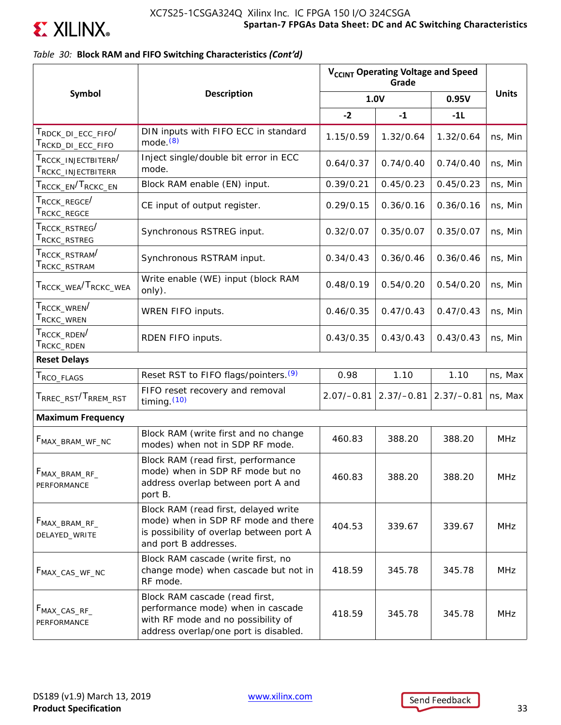

### *Table 30:* **Block RAM and FIFO Switching Characteristics** *(Cont'd)*

|                                                                                            |                                                                                                                                                    | V <sub>CCINT</sub> Operating Voltage and Speed |              |              |              |
|--------------------------------------------------------------------------------------------|----------------------------------------------------------------------------------------------------------------------------------------------------|------------------------------------------------|--------------|--------------|--------------|
| Symbol                                                                                     | <b>Description</b>                                                                                                                                 |                                                | 1.0V         | 0.95V        | <b>Units</b> |
|                                                                                            |                                                                                                                                                    | $-2$                                           | $-1$         | $-1L$        |              |
| T <sub>RDCK</sub> _di_ecc_fifo <sup>/</sup><br>T <sub>RCKD</sub> _di_ecc_fifo              | DIN inputs with FIFO ECC in standard<br>mode. $(8)$                                                                                                | 1.15/0.59                                      | 1.32/0.64    | 1.32/0.64    | ns, Min      |
| T <sub>RCCK</sub> _INJECTBITERR <sup>/</sup><br>$\mathsf{T}_{\mathsf{RCKC\_INIECTBITERR}}$ | Inject single/double bit error in ECC<br>mode.                                                                                                     | 0.64/0.37                                      | 0.74/0.40    | 0.74/0.40    | ns, Min      |
| ${\sf T}_{\sf RCCK\_EN}/{\sf T}_{\sf RCKC\_EN}$                                            | Block RAM enable (EN) input.                                                                                                                       | 0.39/0.21                                      | 0.45/0.23    | 0.45/0.23    | ns, Min      |
| $\mathsf{T}_{\mathsf{RCCK\_REGCE}}$ /<br>$\mathsf{T}_{\mathsf{RCKC\_REGCE}}$               | CE input of output register.                                                                                                                       | 0.29/0.15                                      | 0.36/0.16    | 0.36/0.16    | ns, Min      |
| $\mathsf{T}_{\mathsf{RCCK\_RSTREG}}$<br>$\mathsf{T}_{\mathsf{RCKC\_RSTREG}}$               | Synchronous RSTREG input.                                                                                                                          | 0.32/0.07                                      | 0.35/0.07    | 0.35/0.07    | ns, Min      |
| ${\sf T}_{\sf RCCK\_RSTRAM} /$<br>${\sf T}_{\sf RCKC\_RSTRAM}$                             | Synchronous RSTRAM input.                                                                                                                          | 0.34/0.43                                      | 0.36/0.46    | 0.36/0.46    | ns, Min      |
| T <sub>RCCK</sub> _wea <sup>/T</sup> RCKC_WEA                                              | Write enable (WE) input (block RAM<br>only).                                                                                                       | 0.48/0.19                                      | 0.54/0.20    | 0.54/0.20    | ns, Min      |
| T <sub>RCCK</sub> _WREN <sup>/</sup><br>${\sf T}_{\sf RCKC\_WREN}$                         | WREN FIFO inputs.                                                                                                                                  | 0.46/0.35                                      | 0.47/0.43    | 0.47/0.43    | ns, Min      |
| $\mathsf{T}_{\mathsf{RCCK\_RDEN}}$<br>$\mathsf{T}_{\mathsf{RCKC\_RDEN}}$                   | RDEN FIFO inputs.                                                                                                                                  | 0.43/0.35                                      | 0.43/0.43    | 0.43/0.43    | ns, Min      |
| <b>Reset Delays</b>                                                                        |                                                                                                                                                    |                                                |              |              |              |
| T <sub>RCO</sub> _FLAGS                                                                    | Reset RST to FIFO flags/pointers. <sup>(9)</sup>                                                                                                   | 0.98                                           | 1.10         | 1.10         | ns, Max      |
| T <sub>RREC</sub> _RST <sup>/T</sup> RREM_RST                                              | FIFO reset recovery and removal<br>timing $(10)$                                                                                                   | $2.07/-0.81$                                   | $2.37/-0.81$ | $2.37/-0.81$ | ns, Max      |
| <b>Maximum Frequency</b>                                                                   |                                                                                                                                                    |                                                |              |              |              |
| F <sub>MAX_BRAM_WF_NC</sub>                                                                | Block RAM (write first and no change<br>modes) when not in SDP RF mode.                                                                            | 460.83                                         | 388.20       | 388.20       | <b>MHz</b>   |
| $F_{MAX\_BRAM\_RF\_}$<br>PERFORMANCE                                                       | Block RAM (read first, performance<br>mode) when in SDP RF mode but no<br>address overlap between port A and<br>port B.                            | 460.83                                         | 388.20       | 388.20       | MHZ          |
| $F_{MAX\_BRAM\_RF\_}$<br>DELAYED_WRITE                                                     | Block RAM (read first, delayed write<br>mode) when in SDP RF mode and there<br>is possibility of overlap between port A<br>and port B addresses.   | 404.53                                         | 339.67       | 339.67       | <b>MHz</b>   |
| F <sub>MAX_CAS_WF_NC</sub>                                                                 | Block RAM cascade (write first, no<br>change mode) when cascade but not in<br>RF mode.                                                             | 418.59                                         | 345.78       | 345.78       | <b>MHz</b>   |
| $F_{MAX\_CAS\_RF\_}$<br>PERFORMANCE                                                        | Block RAM cascade (read first,<br>performance mode) when in cascade<br>with RF mode and no possibility of<br>address overlap/one port is disabled. | 418.59                                         | 345.78       | 345.78       | <b>MHz</b>   |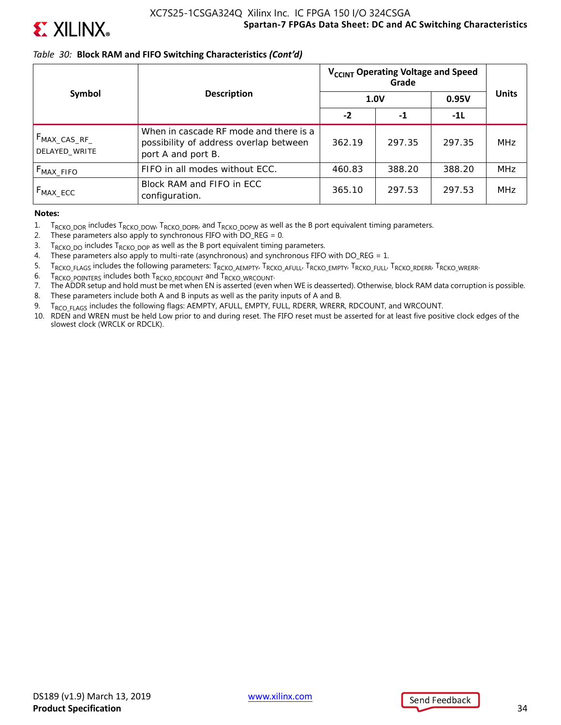

### *Table 30:* **Block RAM and FIFO Switching Characteristics** *(Cont'd)*

|                                           |                                                                                                        | V <sub>CCINT</sub> Operating Voltage and Speed |        |        |              |
|-------------------------------------------|--------------------------------------------------------------------------------------------------------|------------------------------------------------|--------|--------|--------------|
| Symbol                                    | <b>Description</b>                                                                                     | <b>1.0V</b>                                    |        | 0.95V  | <b>Units</b> |
|                                           |                                                                                                        | $-2$                                           | -1     | $-11$  |              |
| F <sub>MAX_CAS_RF_</sub><br>DELAYED WRITE | When in cascade RF mode and there is a<br>possibility of address overlap between<br>port A and port B. | 362.19                                         | 297.35 | 297.35 | <b>MHz</b>   |
| $F_{MAX\_FIFO}$                           | FIFO in all modes without ECC.                                                                         | 460.83                                         | 388.20 | 388.20 | <b>MHz</b>   |
| $F_{MAX\_ECC}$                            | Block RAM and FIFO in ECC<br>configuration.                                                            | 365.10                                         | 297.53 | 297.53 | <b>MHz</b>   |

**Notes:** 

- 1.  $T_{RCKO_DOR}$  includes  $T_{RCKO_DOW}$ ,  $T_{RCKO_DOPR}$ , and  $T_{RCKO_DOPW}$  as well as the B port equivalent timing parameters.<br>2. These parameters also apply to synchronous FIFO with DO REG = 0.
- These parameters also apply to synchronous FIFO with  $DO\_REG = 0$ .
- 3.  $T_{RCKO\_DO}$  includes  $T_{RCKO\_DOP}$  as well as the B port equivalent timing parameters.<br>4. These parameters also apply to multi-rate (asynchronous) and synchronous FIFO
- These parameters also apply to multi-rate (asynchronous) and synchronous FIFO with  $DO\_REG = 1$ .
- 5. TRCKO\_FLAGS includes the following parameters: TRCKO\_AEMPTY, TRCKO\_AFULL, TRCKO\_EMPTY, TRCKO\_FULL, TRCKO\_RDERR, TRCKO\_WRERR.
- 6.  $T_{RCKO\_POINTER}$  includes both  $T_{RCKO\_RDCOUNT}$  and  $T_{RCKO\_WRCOUNT}$ .<br>7. The ADDR setup and hold must be met when EN is asserted (even v
- 7. The ADDR setup and hold must be met when EN is asserted (even when WE is deasserted). Otherwise, block RAM data corruption is possible.
- 8. These parameters include both A and B inputs as well as the parity inputs of A and B.
- 9. T<sub>RCO FLAGS</sub> includes the following flags: AEMPTY, AFULL, EMPTY, FULL, RDERR, WRERR, RDCOUNT, and WRCOUNT.
- 10. RDEN and WREN must be held Low prior to and during reset. The FIFO reset must be asserted for at least five positive clock edges of the slowest clock (WRCLK or RDCLK).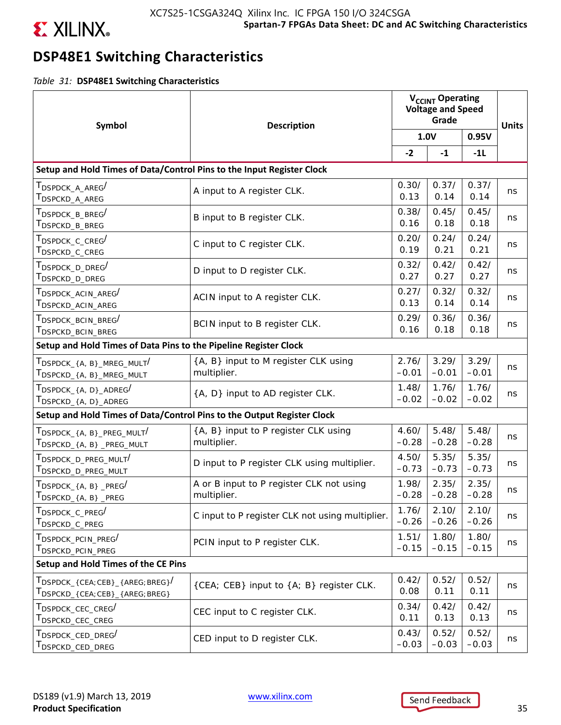

# **DSP48E1 Switching Characteristics**

*Table 31:* **DSP48E1 Switching Characteristics**

| Symbol                                                                                                                                                     | <b>Description</b>                                      |                  | V <sub>CCINT</sub> Operating<br><b>Voltage and Speed</b><br>Grade |                  |              |
|------------------------------------------------------------------------------------------------------------------------------------------------------------|---------------------------------------------------------|------------------|-------------------------------------------------------------------|------------------|--------------|
|                                                                                                                                                            |                                                         | 1.0V             |                                                                   | 0.95V            | <b>Units</b> |
|                                                                                                                                                            |                                                         |                  | $-1$                                                              | $-11$            |              |
| Setup and Hold Times of Data/Control Pins to the Input Register Clock                                                                                      |                                                         |                  |                                                                   |                  |              |
| T <sub>DSPDCK</sub> _A_AREG <sup>/</sup><br>$\mathsf{T}_{\mathsf{DSPCKD\_A\_AREG}}$                                                                        | A input to A register CLK.                              | 0.30/<br>0.13    | 0.37/<br>0.14                                                     | 0.37/<br>0.14    | ns           |
| $\mathsf{T}_{\mathsf{DSPDCK\_B\_BREG}}/$<br>T <sub>DSPCKD</sub> _B_BREG                                                                                    | B input to B register CLK.                              | 0.38/<br>0.16    | 0.45/<br>0.18                                                     | 0.45/<br>0.18    | ns           |
| $\mathsf{T}_{\mathsf{DSPDCK\_C\_CREG}}$<br>T <sub>DSPCKD</sub> _C_CREG                                                                                     | C input to C register CLK.                              | 0.20/<br>0.19    | 0.24/<br>0.21                                                     | 0.24/<br>0.21    | ns           |
| $\mathsf{T}_{\mathsf{DSPDCK\_D\_DREG}}/$<br>T <sub>DSPCKD</sub> _D_DREG                                                                                    | D input to D register CLK.                              | 0.32/<br>0.27    | 0.42/<br>0.27                                                     | 0.42/<br>0.27    | ns           |
| $\tau_{\texttt{DSPDCK\_ACIN\_AREG}}/$<br>T <sub>DSPCKD</sub> _ACIN_AREG                                                                                    | ACIN input to A register CLK.                           | 0.27/<br>0.13    | 0.32/<br>0.14                                                     | 0.32/<br>0.14    | ns           |
| $T_{\mathsf{DSPDCK\_BCIN\_BREG}}/$<br>T <sub>DSPCKD</sub> _BCIN_BREG                                                                                       | BCIN input to B register CLK.                           | 0.29/<br>0.16    | 0.36/<br>0.18                                                     | 0.36/<br>0.18    | ns           |
| Setup and Hold Times of Data Pins to the Pipeline Register Clock                                                                                           |                                                         |                  |                                                                   |                  |              |
| $T_{\sf DSPDCK_{4, B}_{\sf MREG_MULT}}/$<br>$\mathsf{T}_{\mathsf{DSPCKD}\_ \{A,\ B\}\_ \mathsf{MREG}\_ \mathsf{MULT}}$                                     | {A, B} input to M register CLK using<br>multiplier.     | 2.76/<br>$-0.01$ | 3.29/<br>$-0.01$                                                  | 3.29/<br>$-0.01$ | ns           |
| $\tau_{\texttt{DSPDCK\_{A, D}}\_ADREG}/$<br>$T_{\text{DSPCKD_{4},A, D}_{\text{ADREG}}}$                                                                    | {A, D} input to AD register CLK.                        | 1.48/<br>$-0.02$ | 1.76/<br>$-0.02$                                                  | 1.76/<br>$-0.02$ | ns           |
| Setup and Hold Times of Data/Control Pins to the Output Register Clock                                                                                     |                                                         |                  |                                                                   |                  |              |
| $T_{\text{DSPDCK}\_{\text{A},\text{B}}\text{PREG}\_{\text{MULT}}}/$                                                                                        | {A, B} input to P register CLK using<br>multiplier.     | 4.60/<br>$-0.28$ | 5.48/<br>$-0.28$                                                  | 5.48/<br>$-0.28$ | ns           |
| $T_{\mathsf{DSPDCK}}$ d preg mult $'$<br>T <sub>DSPCKD_D_PREG_MULT</sub>                                                                                   | D input to P register CLK using multiplier.             | 4.50/<br>$-0.73$ | 5.35/<br>$-0.73$                                                  | 5.35/<br>$-0.73$ | ns           |
| $T_{\text{DSPDCK }\{A,\ B\}}$ PREG <sup>/</sup><br>$T_{DSPCKD_{A,B}$ _PREG                                                                                 | A or B input to P register CLK not using<br>multiplier. | 1.98/<br>$-0.28$ | 2.35/<br>$-0.28$                                                  | 2.35/<br>$-0.28$ | ns           |
| T <sub>DSPDCK_C_PREG</sub> /<br>T <sub>DSPCKD</sub> _C_PREG                                                                                                | C input to P register CLK not using multiplier.         | 1.76/<br>$-0.26$ | 2.10/<br>$-0.26$                                                  | 2.10/<br>$-0.26$ | ns           |
| T <sub>DSPDCK</sub> _PCIN_PREG <sup>/</sup><br>T <sub>DSPCKD</sub> _PCIN_PREG                                                                              | PCIN input to P register CLK.                           | 1.51/<br>$-0.15$ | 1.80/<br>$-0.15$                                                  | 1.80/<br>$-0.15$ | ns           |
| Setup and Hold Times of the CE Pins                                                                                                                        |                                                         |                  |                                                                   |                  |              |
| $T_{\text{DSPDCK}_{-}}$ (CEA;CEB} $_{-}$ {AREG;BREG} <sup>/</sup><br>$T_{\text{DSPCKD}_{\text{-}}\text{CEA};\text{CEB}_{\text{-}}\text{AREG};\text{BREG}}$ | {CEA; CEB} input to {A; B} register CLK.                | 0.42/<br>0.08    | 0.52/<br>0.11                                                     | 0.52/<br>0.11    | ns           |
| T <sub>DSPDCK</sub> _CEC_CREG <sup>/</sup><br>T <sub>DSPCKD</sub> _CEC_CREG                                                                                | CEC input to C register CLK.                            | 0.34/<br>0.11    | 0.42/<br>0.13                                                     | 0.42/<br>0.13    | ns           |
| T <sub>DSPDCK</sub> _CED_DREG <sup>/</sup><br>T <sub>DSPCKD</sub> _CED_DREG                                                                                | CED input to D register CLK.                            | 0.43/<br>$-0.03$ | 0.52/<br>$-0.03$                                                  | 0.52/<br>$-0.03$ | ns           |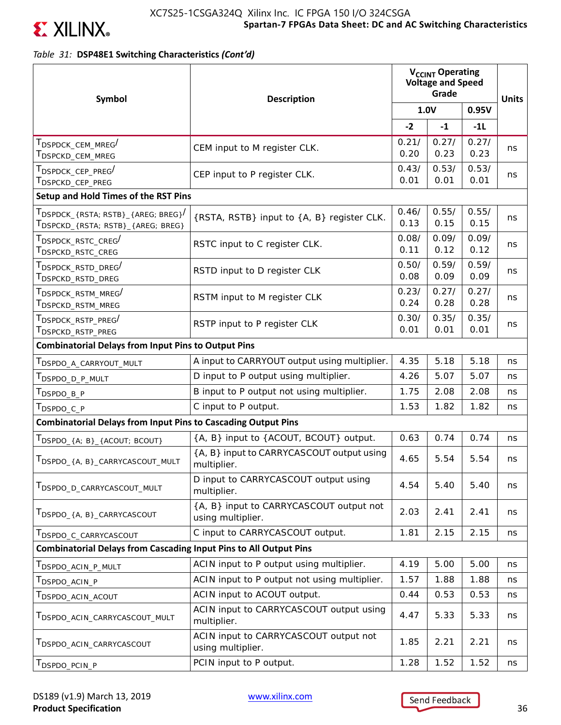

*Table 31:* **DSP48E1 Switching Characteristics** *(Cont'd)*

| Symbol                                                                        | <b>Description</b>                                           |               | V <sub>CCINT</sub> Operating<br><b>Voltage and Speed</b><br>Grade |               |              |
|-------------------------------------------------------------------------------|--------------------------------------------------------------|---------------|-------------------------------------------------------------------|---------------|--------------|
|                                                                               |                                                              |               | 1.0V                                                              | 0.95V         | <b>Units</b> |
|                                                                               |                                                              | $-2$          | $-1$                                                              | $-11$         |              |
| T <sub>DSPDCK</sub> _CEM_MREG <sup>/</sup><br>T <sub>DSPCKD_CEM_MREG</sub>    | CEM input to M register CLK.                                 | 0.21/<br>0.20 | 0.27/<br>0.23                                                     | 0.27/<br>0.23 | ns           |
| T <sub>DSPDCK</sub> _CEP_PREG <sup>/</sup><br>T <sub>DSPCKD</sub> _CEP_PREG   | CEP input to P register CLK.                                 | 0.43/<br>0.01 | 0.53/<br>0.01                                                     | 0.53/<br>0.01 | ns           |
| Setup and Hold Times of the RST Pins                                          |                                                              |               |                                                                   |               |              |
| TDSPDCK_{RSTA; RSTB}_{AREG; BREG}<br>TDSPCKD_{RSTA; RSTB}_{AREG; BREG}        | {RSTA, RSTB} input to {A, B} register CLK.                   | 0.46/<br>0.13 | 0.55/<br>0.15                                                     | 0.55/<br>0.15 | ns           |
| T <sub>DSPDCK</sub> _RSTC_CREG <sup>/</sup><br>T <sub>DSPCKD</sub> _RSTC_CREG | RSTC input to C register CLK.                                | 0.08/<br>0.11 | 0.09/<br>0.12                                                     | 0.09/<br>0.12 | ns           |
| T <sub>DSPDCK</sub> _RSTD_DREG <sup>/</sup><br>T <sub>DSPCKD</sub> _RSTD_DREG | RSTD input to D register CLK                                 | 0.50/<br>0.08 | 0.59/<br>0.09                                                     | 0.59/<br>0.09 | ns           |
| T <sub>DSPDCK</sub> RSTM MREG <sup>/</sup><br>T <sub>DSPCKD</sub> _RSTM_MREG  | RSTM input to M register CLK                                 | 0.23/<br>0.24 | 0.27/<br>0.28                                                     | 0.27/<br>0.28 | ns           |
| T <sub>DSPDCK</sub> _RSTP_PREG <sup>/</sup><br>T <sub>DSPCKD</sub> _RSTP_PREG | RSTP input to P register CLK                                 | 0.30/<br>0.01 | 0.35/<br>0.01                                                     | 0.35/<br>0.01 | ns           |
| <b>Combinatorial Delays from Input Pins to Output Pins</b>                    |                                                              |               |                                                                   |               |              |
| T <sub>DSPDO</sub> _A_CARRYOUT_MULT                                           | A input to CARRYOUT output using multiplier.                 | 4.35          | 5.18                                                              | 5.18          | ns           |
| T <sub>DSPDO_D_P_MULT</sub>                                                   | D input to P output using multiplier.                        | 4.26          | 5.07                                                              | 5.07          | ns           |
| T <sub>DSPDO_B_P</sub>                                                        | B input to P output not using multiplier.                    | 1.75          | 2.08                                                              | 2.08          | ns           |
| T <sub>DSPDO_C_P</sub>                                                        | C input to P output.                                         | 1.53          | 1.82                                                              | 1.82          | ns           |
| <b>Combinatorial Delays from Input Pins to Cascading Output Pins</b>          |                                                              |               |                                                                   |               |              |
| TDSPDO_{A; B}_{ACOUT; BCOUT}                                                  | {A, B} input to {ACOUT, BCOUT} output.                       | 0.63          | 0.74                                                              | 0.74          | ns           |
| TDSPDO_{A, B}_CARRYCASCOUT_MULT                                               | {A, B} input to CARRYCASCOUT output using<br>multiplier.     | 4.65          | 5.54                                                              | 5.54          | ns           |
| TDSPDO_D_CARRYCASCOUT_MULT                                                    | D input to CARRYCASCOUT output using<br>multiplier.          | 4.54          | 5.40                                                              | 5.40          | ns           |
| TDSPDO_{A, B}_CARRYCASCOUT                                                    | {A, B} input to CARRYCASCOUT output not<br>using multiplier. | 2.03          | 2.41                                                              | 2.41          | ns           |
| T <sub>DSPDO_C</sub> _CARRYCASCOUT                                            | C input to CARRYCASCOUT output.                              | 1.81          | 2.15                                                              | 2.15          | ns           |
| <b>Combinatorial Delays from Cascading Input Pins to All Output Pins</b>      |                                                              |               |                                                                   |               |              |
| T <sub>DSPDO</sub> _ACIN_P_MULT                                               | ACIN input to P output using multiplier.                     | 4.19          | 5.00                                                              | 5.00          | ns           |
| T <sub>DSPDO</sub> ACIN P                                                     | ACIN input to P output not using multiplier.                 | 1.57          | 1.88                                                              | 1.88          | ns           |
| T <sub>DSPDO</sub> _ACIN_ACOUT                                                | ACIN input to ACOUT output.                                  | 0.44          | 0.53                                                              | 0.53          | ns           |
| TDSPDO_ACIN_CARRYCASCOUT_MULT                                                 | ACIN input to CARRYCASCOUT output using<br>multiplier.       | 4.47          | 5.33                                                              | 5.33          | ns           |
| T <sub>DSPDO_ACIN_CARRYCASCOUT</sub>                                          | ACIN input to CARRYCASCOUT output not<br>using multiplier.   | 1.85          | 2.21                                                              | 2.21          | ns           |
| T <sub>DSPDO</sub> _PCIN_P                                                    | PCIN input to P output.                                      | 1.28          | 1.52                                                              | 1.52          | ns           |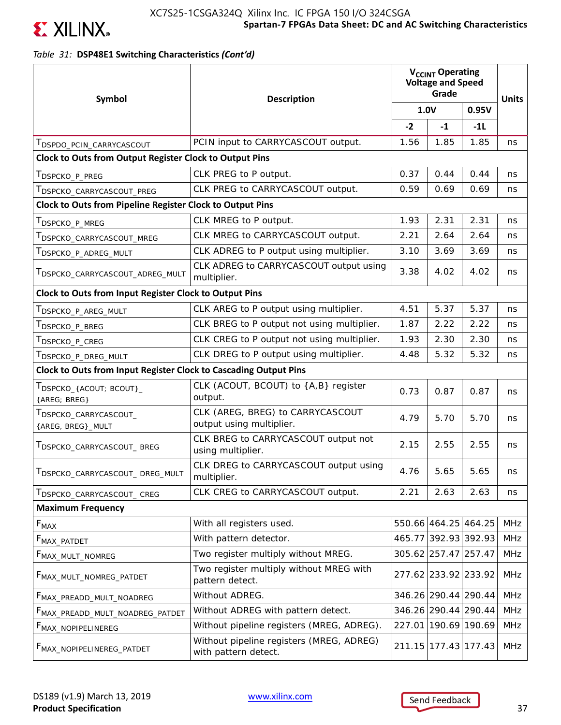

### *Table 31:* **DSP48E1 Switching Characteristics** *(Cont'd)*

| Symbol                                                           | <b>Description</b>                                               |        | V <sub>CCINT</sub> Operating<br><b>Voltage and Speed</b><br>Grade |               |              |
|------------------------------------------------------------------|------------------------------------------------------------------|--------|-------------------------------------------------------------------|---------------|--------------|
|                                                                  |                                                                  |        | 1.0V                                                              | 0.95V         | <b>Units</b> |
|                                                                  |                                                                  | $-2$   | $-1$                                                              | $-11$         |              |
| T <sub>DSPDO_PCIN_CARRYCASCOUT</sub>                             | PCIN input to CARRYCASCOUT output.                               | 1.56   | 1.85                                                              | 1.85          | ns           |
| Clock to Outs from Output Register Clock to Output Pins          |                                                                  |        |                                                                   |               |              |
| T <sub>DSPCKO_P_PREG</sub>                                       | CLK PREG to P output.                                            | 0.37   | 0.44                                                              | 0.44          | ns           |
| T <sub>DSPCKO</sub> _CARRYCASCOUT_PREG                           | CLK PREG to CARRYCASCOUT output.                                 | 0.59   | 0.69                                                              | 0.69          | ns           |
| <b>Clock to Outs from Pipeline Register Clock to Output Pins</b> |                                                                  |        |                                                                   |               |              |
| T <sub>DSPCKO</sub> _P_MREG                                      | CLK MREG to P output.                                            | 1.93   | 2.31                                                              | 2.31          | ns           |
| T <sub>DSPCKO</sub> _CARRYCASCOUT_MREG                           | CLK MREG to CARRYCASCOUT output.                                 | 2.21   | 2.64                                                              | 2.64          | ns           |
| TDSPCKO_P_ADREG_MULT                                             | CLK ADREG to P output using multiplier.                          | 3.10   | 3.69                                                              | 3.69          | ns           |
| TDSPCKO_CARRYCASCOUT_ADREG_MULT                                  | CLK ADREG to CARRYCASCOUT output using<br>multiplier.            | 3.38   | 4.02                                                              | 4.02          | ns           |
| <b>Clock to Outs from Input Register Clock to Output Pins</b>    |                                                                  |        |                                                                   |               |              |
| T <sub>DSPCKO_P_AREG_MULT</sub>                                  | CLK AREG to P output using multiplier.                           | 4.51   | 5.37                                                              | 5.37          | ns           |
| T <sub>DSPCKO</sub> _P_BREG                                      | CLK BREG to P output not using multiplier.                       | 1.87   | 2.22                                                              | 2.22          | ns           |
| $\mathsf{T}_{\mathsf{DSPCKO\_P\_CREG}}$                          | CLK CREG to P output not using multiplier.                       | 1.93   | 2.30                                                              | 2.30          | ns           |
| T <sub>DSPCKO_P_DREG_MULT</sub>                                  | CLK DREG to P output using multiplier.                           | 4.48   | 5.32                                                              | 5.32          | ns           |
| Clock to Outs from Input Register Clock to Cascading Output Pins |                                                                  |        |                                                                   |               |              |
| $T_{\sf DSPCKO\_{ACOUT; BCOUT\}_{-}}$<br>{AREG; BREG}            | CLK (ACOUT, BCOUT) to {A,B} register<br>output.                  | 0.73   | 0.87                                                              | 0.87          | ns           |
| T <sub>DSPCKO</sub> _CARRYCASCOUT_<br>{AREG, BREG}_MULT          | CLK (AREG, BREG) to CARRYCASCOUT<br>output using multiplier.     | 4.79   | 5.70                                                              | 5.70          | ns           |
| TDSPCKO_CARRYCASCOUT_BREG                                        | CLK BREG to CARRYCASCOUT output not<br>using multiplier.         | 2.15   | 2.55                                                              | 2.55          | ns           |
| TDSPCKO_CARRYCASCOUT_DREG_MULT                                   | CLK DREG to CARRYCASCOUT output using<br>multiplier.             | 4.76   | 5.65                                                              | 5.65          | ns           |
| T <sub>DSPCKO</sub> _CARRYCASCOUT_CREG                           | CLK CREG to CARRYCASCOUT output.                                 | 2.21   | 2.63                                                              | 2.63          | ns           |
| <b>Maximum Frequency</b>                                         |                                                                  |        |                                                                   |               |              |
| $\mathsf{F}_{\mathsf{MAX}}$                                      | With all registers used.                                         |        | 550.66 464.25 464.25                                              |               | <b>MHz</b>   |
| F <sub>MAX_PATDET</sub>                                          | With pattern detector.                                           |        | 465.77 392.93 392.93                                              |               | <b>MHz</b>   |
| F <sub>MAX_MULT_NOMREG</sub>                                     | Two register multiply without MREG.                              |        | 305.62 257.47 257.47                                              |               | MHz          |
| FMAX_MULT_NOMREG_PATDET                                          | Two register multiply without MREG with<br>pattern detect.       |        | 277.62 233.92 233.92                                              |               | <b>MHz</b>   |
| FMAX_PREADD_MULT_NOADREG                                         | Without ADREG.                                                   |        | 346.26 290.44 290.44                                              |               | MHz          |
| F <sub>MAX_PREADD_MULT_NOADREG_PATDET</sub>                      | Without ADREG with pattern detect.                               |        | 346.26 290.44 290.44                                              |               | <b>MHz</b>   |
| F <sub>MAX_NOPIPELINEREG</sub>                                   | Without pipeline registers (MREG, ADREG).                        | 227.01 |                                                                   | 190.69 190.69 | MHz          |
| F <sub>MAX_NOPIPELINEREG_PATDET</sub>                            | Without pipeline registers (MREG, ADREG)<br>with pattern detect. | 211.15 |                                                                   | 177.43 177.43 | <b>MHz</b>   |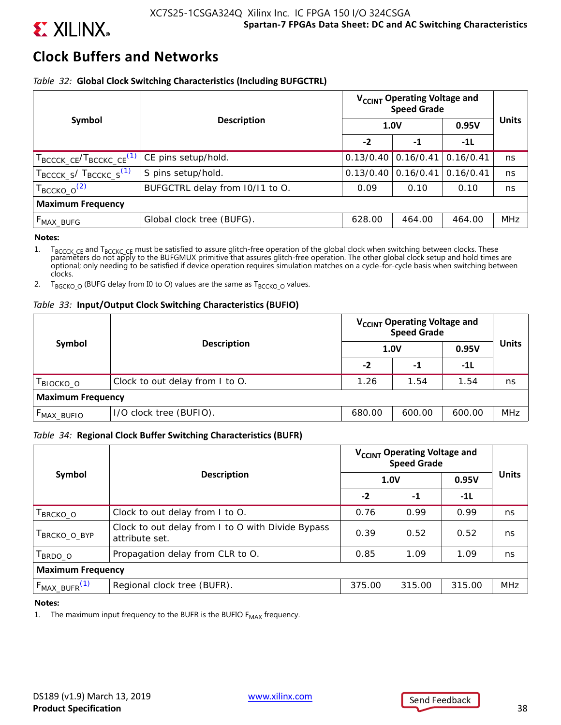

# **Clock Buffers and Networks**

### *Table 32:* **Global Clock Switching Characteristics (Including BUFGCTRL)**

|                                                   |                                 | V <sub>CCINT</sub> Operating Voltage and<br><b>Speed Grade</b> |           |           |              |
|---------------------------------------------------|---------------------------------|----------------------------------------------------------------|-----------|-----------|--------------|
| Symbol                                            | <b>Description</b>              |                                                                | 1.0V      | 0.95V     | <b>Units</b> |
|                                                   |                                 | $-2$                                                           | $-1$      | $-11$     |              |
| $T_{\text{BCCCK\_CE}}/T_{\text{BCCKC\_CE}}^{(1)}$ | CE pins setup/hold.             | 0.13/0.40                                                      | 0.16/0.41 | 0.16/0.41 | ns           |
| $T_{\text{BCCCK\_S}}/T_{\text{BCCKC\_S}}^{(1)}$   | S pins setup/hold.              | 0.13/0.40                                                      | 0.16/0.41 | 0.16/0.41 | ns           |
| $T_{\text{BCCKO}\_\text{O}}^{(2)}$                | BUFGCTRL delay from 10/11 to O. | 0.09                                                           | 0.10      | 0.10      | ns           |
| <b>Maximum Frequency</b>                          |                                 |                                                                |           |           |              |
| $F_{MAX\_BUFG}$                                   | Global clock tree (BUFG).       | 628.00                                                         | 464.00    | 464.00    | <b>MHz</b>   |

#### **Notes:**

1. T<sub>BCCCK</sub> c<sub>E</sub> and T<sub>BCCKC</sub> c<sub>E</sub> must be satisfied to assure glitch-free operation of the global clock when switching between clocks. These parameters do not apply to the BUFGMUX primitive that assures glitch-free opera optional; only needing to be satisfied if device operation requires simulation matches on a cycle-for-cycle basis when switching between clocks.

2. T<sub>BGCKO</sub>  $_0$  (BUFG delay from I0 to O) values are the same as T<sub>BCCKO</sub>  $_0$  values.

### *Table 33:* **Input/Output Clock Switching Characteristics (BUFIO)**

| Symbol                   | <b>Description</b>              | V <sub>CCINT</sub> Operating Voltage and<br>Speed Grade |        |        |              |
|--------------------------|---------------------------------|---------------------------------------------------------|--------|--------|--------------|
|                          |                                 | 1.0V                                                    |        | 0.95V  | <b>Units</b> |
|                          |                                 | -2                                                      | -1     | -11    |              |
| BIOCKO_O                 | Clock to out delay from I to O. | 1.26                                                    | 1.54   | 1.54   | ns           |
| <b>Maximum Frequency</b> |                                 |                                                         |        |        |              |
| F <sub>MAX_BUFIO</sub>   | I/O clock tree (BUFIO).         | 680.00                                                  | 600.00 | 600.00 | <b>MHz</b>   |

### *Table 34:* **Regional Clock Buffer Switching Characteristics (BUFR)**

| Symbol                           | <b>Description</b>                                                  | V <sub>CCINT</sub> Operating Voltage and<br><b>Speed Grade</b> |        |        |              |
|----------------------------------|---------------------------------------------------------------------|----------------------------------------------------------------|--------|--------|--------------|
|                                  |                                                                     | <b>1.0V</b>                                                    |        | 0.95V  | <b>Units</b> |
|                                  |                                                                     | $-2$                                                           | $-1$   | $-11$  |              |
| $\mathsf{T}_{\mathsf{BRCKO\_O}}$ | Clock to out delay from I to O.                                     | 0.76                                                           | 0.99   | 0.99   | ns.          |
| <b>BRCKO O BYP</b>               | Clock to out delay from I to O with Divide Bypass<br>attribute set. | 0.39                                                           | 0.52   | 0.52   | ns           |
| BRDO O                           | Propagation delay from CLR to O.                                    | 0.85                                                           | 1.09   | 1.09   | ns           |
| <b>Maximum Frequency</b>         |                                                                     |                                                                |        |        |              |
| $F_{MAX_BUFF}(1)$                | Regional clock tree (BUFR).                                         | 375.00                                                         | 315.00 | 315.00 | <b>MHz</b>   |

#### **Notes:**

1. The maximum input frequency to the BUFR is the BUFIO  $F_{MAX}$  frequency.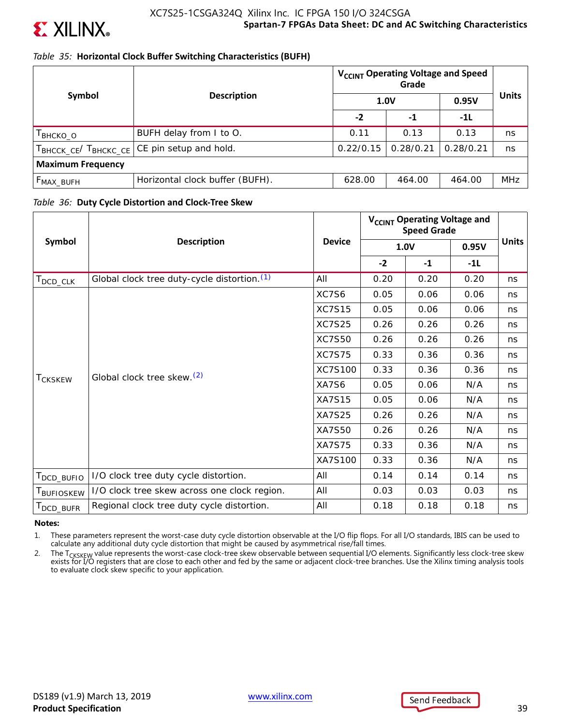

### *Table 35:* **Horizontal Clock Buffer Switching Characteristics (BUFH)**

|                          |                                            |                            | V <sub>CCINT</sub> Operating Voltage and Speed |           |              |
|--------------------------|--------------------------------------------|----------------------------|------------------------------------------------|-----------|--------------|
| Symbol                   |                                            | <b>Description</b><br>1.0V |                                                | 0.95V     | <b>Units</b> |
|                          |                                            | $-2$                       | -1                                             | $-11$     |              |
| I внско_о                | BUFH delay from I to O.                    | 0.11                       | 0.13                                           | 0.13      | ns           |
|                          | TBHCCK_CE/TBHCKC_CE CE pin setup and hold. | 0.22/0.15                  | 0.28/0.21                                      | 0.28/0.21 | ns           |
| <b>Maximum Frequency</b> |                                            |                            |                                                |           |              |
| $F_{MAX_BUFH}$           | Horizontal clock buffer (BUFH).            | 628.00                     | 464.00                                         | 464.00    | <b>MHz</b>   |

### *Table 36:* **Duty Cycle Distortion and Clock-Tree Skew**

|                         |                                              |               |      | V <sub>CCINT</sub> Operating Voltage and<br><b>Speed Grade</b> |       |              |
|-------------------------|----------------------------------------------|---------------|------|----------------------------------------------------------------|-------|--------------|
| Symbol                  | <b>Description</b>                           | <b>Device</b> |      | 1.0V                                                           | 0.95V | <b>Units</b> |
|                         |                                              |               | $-2$ | $-1$                                                           | $-1L$ |              |
| $T_{\mathsf{DCD\_CLK}}$ | Global clock tree duty-cycle distortion. (1) | All           | 0.20 | 0.20                                                           | 0.20  | ns           |
|                         |                                              | XC7S6         | 0.05 | 0.06                                                           | 0.06  | ns           |
|                         |                                              | <b>XC7S15</b> | 0.05 | 0.06                                                           | 0.06  | ns           |
|                         | <b>XC7S25</b>                                | 0.26          | 0.26 | 0.26                                                           | ns    |              |
|                         |                                              | <b>XC7S50</b> | 0.26 | 0.26                                                           | 0.26  | ns           |
|                         |                                              | <b>XC7S75</b> | 0.33 | 0.36                                                           | 0.36  | ns           |
|                         | Global clock tree skew. <sup>(2)</sup>       | XC7S100       | 0.33 | 0.36                                                           | 0.36  | ns           |
| T <sub>CKSKEW</sub>     |                                              | XA7S6         | 0.05 | 0.06                                                           | N/A   | ns           |
|                         |                                              | <b>XA7S15</b> | 0.05 | 0.06                                                           | N/A   | ns           |
|                         |                                              | <b>XA7S25</b> | 0.26 | 0.26                                                           | N/A   | ns           |
|                         |                                              | <b>XA7S50</b> | 0.26 | 0.26                                                           | N/A   | ns           |
|                         |                                              | <b>XA7S75</b> | 0.33 | 0.36                                                           | N/A   | ns           |
|                         |                                              | XA7S100       | 0.33 | 0.36                                                           | N/A   | ns           |
| DCD_BUFIO               | I/O clock tree duty cycle distortion.        | All           | 0.14 | 0.14                                                           | 0.14  | ns           |
| T <sub>BUFIOSKEW</sub>  | I/O clock tree skew across one clock region. | All           | 0.03 | 0.03                                                           | 0.03  | ns           |
| DCD_BUFR                | Regional clock tree duty cycle distortion.   | All           | 0.18 | 0.18                                                           | 0.18  | ns           |

#### **Notes:**

1. These parameters represent the worst-case duty cycle distortion observable at the I/O flip flops. For all I/O standards, IBIS can be used to calculate any additional duty cycle distortion that might be caused by asymmetrical rise/fall times.

2. The T<sub>CKSKEW</sub> value represents the worst-case clock-tree skew observable between sequential I/O elements. Significantly less clock-tree skew exists for I/O registers that are close to each other and fed by the same or adjacent clock-tree branches. Use the Xilinx timing analysis tools to evaluate clock skew specific to your application.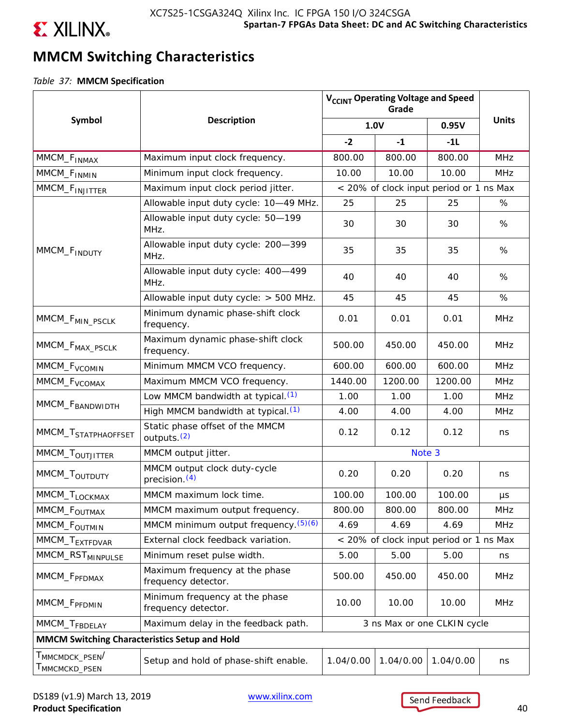

# **MMCM Switching Characteristics**

*Table 37:* **MMCM Specification**

|                                                        |                                                            |           | V <sub>CCINT</sub> Operating Voltage and Speed<br>Grade |                                         |              |
|--------------------------------------------------------|------------------------------------------------------------|-----------|---------------------------------------------------------|-----------------------------------------|--------------|
| Symbol                                                 | <b>Description</b>                                         |           | <b>1.0V</b>                                             | 0.95V                                   | <b>Units</b> |
|                                                        |                                                            | $-2$      | $-1$                                                    | $-11$                                   |              |
| MMCM_F <sub>INMAX</sub>                                | Maximum input clock frequency.                             | 800.00    | 800.00                                                  | 800.00                                  | <b>MHz</b>   |
| MMCM_F <sub>INMIN</sub>                                | Minimum input clock frequency.                             | 10.00     | 10.00                                                   | 10.00                                   | <b>MHz</b>   |
| MMCM_F <sub>INJITTER</sub>                             | Maximum input clock period jitter.                         |           |                                                         | < 20% of clock input period or 1 ns Max |              |
|                                                        | Allowable input duty cycle: 10-49 MHz.                     | 25        | 25                                                      | 25                                      | %            |
|                                                        | Allowable input duty cycle: 50-199<br>MHz.                 | 30        | 30                                                      | 30                                      | %            |
| MMCM_F <sub>INDUTY</sub>                               | Allowable input duty cycle: 200-399<br>MHz.                | 35        | 35                                                      | 35                                      | %            |
|                                                        | Allowable input duty cycle: 400-499<br>MHz.                | 40        | 40                                                      | 40                                      | %            |
|                                                        | Allowable input duty cycle: > 500 MHz.                     | 45        | 45                                                      | 45                                      | %            |
| MMCM_F <sub>MIN_PSCLK</sub>                            | Minimum dynamic phase-shift clock<br>frequency.            | 0.01      | 0.01                                                    | 0.01                                    | <b>MHz</b>   |
| MMCM_F <sub>MAX_PSCLK</sub>                            | Maximum dynamic phase-shift clock<br>frequency.            | 500.00    | 450.00                                                  | 450.00                                  | <b>MHz</b>   |
| MMCM_F <sub>VCOMIN</sub>                               | Minimum MMCM VCO frequency.                                | 600.00    | 600.00                                                  | 600.00                                  | <b>MHz</b>   |
| MMCM_F <sub>VCOMAX</sub>                               | Maximum MMCM VCO frequency.                                | 1440.00   | 1200.00                                                 | 1200.00                                 | <b>MHz</b>   |
|                                                        | Low MMCM bandwidth at typical. <sup>(1)</sup>              | 1.00      | 1.00                                                    | 1.00                                    | <b>MHz</b>   |
| MMCM_F <sub>BANDWIDTH</sub>                            | High MMCM bandwidth at typical. <sup>(1)</sup>             | 4.00      | 4.00                                                    | 4.00                                    | <b>MHz</b>   |
| MMCM_T <sub>STATPHAOFFSET</sub>                        | Static phase offset of the MMCM<br>outputs. <sup>(2)</sup> | 0.12      | 0.12                                                    | 0.12                                    | ns           |
| MMCM_T <sub>OUTJITTER</sub>                            | MMCM output jitter.                                        |           | Note 3                                                  |                                         |              |
| MMCM_T <sub>OUTDUTY</sub>                              | MMCM output clock duty-cycle<br>precision. <sup>(4)</sup>  | 0.20      | 0.20                                                    | 0.20                                    | ns           |
| MMCM_T <sub>LOCKMAX</sub>                              | MMCM maximum lock time.                                    | 100.00    | 100.00                                                  | 100.00                                  | $\mu s$      |
| MMCM_F <sub>OUTMAX</sub>                               | MMCM maximum output frequency.                             | 800.00    | 800.00                                                  | 800.00                                  | <b>MHz</b>   |
| MMCM_F <sub>OUTMIN</sub>                               | MMCM minimum output frequency. (5)(6)                      | 4.69      | 4.69                                                    | 4.69                                    | <b>MHz</b>   |
| MMCM_T <sub>EXTFDVAR</sub>                             | External clock feedback variation.                         |           |                                                         | < 20% of clock input period or 1 ns Max |              |
| MMCM_RST <sub>MINPULSE</sub>                           | Minimum reset pulse width.                                 | 5.00      | 5.00                                                    | 5.00                                    | ns           |
| MMCM_F <sub>PFDMAX</sub>                               | Maximum frequency at the phase<br>frequency detector.      | 500.00    | 450.00                                                  | 450.00                                  | <b>MHz</b>   |
| MMCM_F <sub>PFDMIN</sub>                               | Minimum frequency at the phase<br>frequency detector.      | 10.00     | 10.00                                                   | 10.00                                   | <b>MHz</b>   |
| MMCM_T <sub>FBDELAY</sub>                              | Maximum delay in the feedback path.                        |           |                                                         | 3 ns Max or one CLKIN cycle             |              |
| MMCM Switching Characteristics Setup and Hold          |                                                            |           |                                                         |                                         |              |
| $\mathsf{T}_{\mathsf{MMCMDCK\_PSEN}}/$<br>MMCMCKD_PSEN | Setup and hold of phase-shift enable.                      | 1.04/0.00 | 1.04/0.00                                               | 1.04/0.00                               | ns           |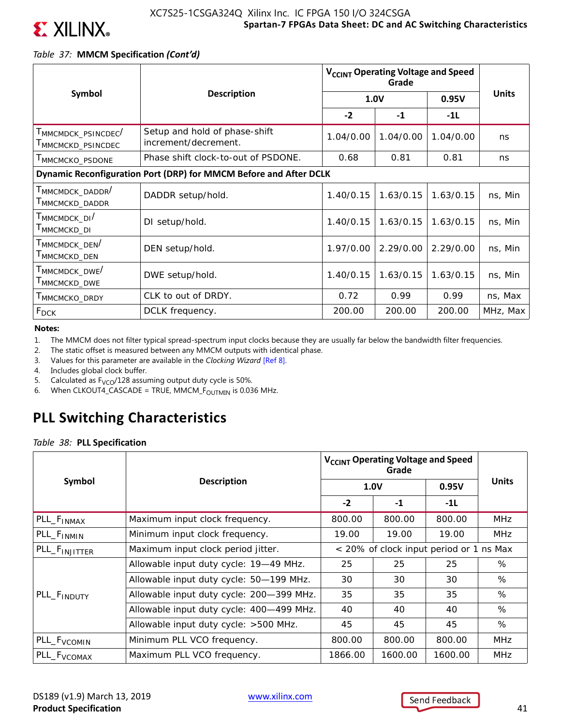

### *Table 37:* **MMCM Specification** *(Cont'd)*

|                                                                                    |                                                                   | V <sub>CCINT</sub> Operating Voltage and Speed |           |           |              |  |
|------------------------------------------------------------------------------------|-------------------------------------------------------------------|------------------------------------------------|-----------|-----------|--------------|--|
| Symbol                                                                             | <b>Description</b>                                                | 1.0V                                           |           | 0.95V     | <b>Units</b> |  |
|                                                                                    |                                                                   | $-2$                                           | $-1$      | $-1L$     |              |  |
| T <sub>MMCMDCK</sub> _PSINCDEC <sup>/</sup><br>T <sub>MMCMCKD</sub> _PSINCDEC      | Setup and hold of phase-shift<br>increment/decrement.             | 1.04/0.00                                      | 1.04/0.00 | 1.04/0.00 | ns           |  |
| T <sub>MMCMCKO</sub> _PSDONE                                                       | Phase shift clock-to-out of PSDONE.                               | 0.68                                           | 0.81      | 0.81      | ns           |  |
|                                                                                    | Dynamic Reconfiguration Port (DRP) for MMCM Before and After DCLK |                                                |           |           |              |  |
| T <sub>MMCMDCK</sub> _DADDR <sup>/</sup><br>$\mathsf{T}_{\mathsf{MMCMCKD\_DADDR}}$ | DADDR setup/hold.                                                 | 1.40/0.15                                      | 1.63/0.15 | 1.63/0.15 | ns, Min      |  |
| T <sub>MMCMDCK</sub> DI <sup>/</sup><br>T <sub>MMCMCKD</sub> <sub>DI</sub>         | DI setup/hold.                                                    | 1.40/0.15                                      | 1.63/0.15 | 1.63/0.15 | ns, Min      |  |
| T <sub>MMCMDCK</sub> _DEN <sup>/</sup><br>T <sub>MMCMCKD</sub> _DEN                | DEN setup/hold.                                                   | 1.97/0.00                                      | 2.29/0.00 | 2.29/0.00 | ns, Min      |  |
| T <sub>MMCMDCK</sub> _ <sub>DWE</sub> /<br>T <sub>MMCMCKD</sub> _DWE               | DWE setup/hold.                                                   | 1.40/0.15                                      | 1.63/0.15 | 1.63/0.15 | ns, Min      |  |
| MMCMCKO_DRDY                                                                       | CLK to out of DRDY.                                               | 0.72                                           | 0.99      | 0.99      | ns, Max      |  |
| <b>F<sub>DCK</sub></b>                                                             | DCLK frequency.                                                   | 200.00                                         | 200.00    | 200.00    | MHz, Max     |  |

**Notes:** 

- 1. The MMCM does not filter typical spread-spectrum input clocks because they are usually far below the bandwidth filter frequencies.
- 2. The static offset is measured between any MMCM outputs with identical phase.
- 3. Values for this parameter are available in the *Clocking Wizard* [Ref 8].
- 4. Includes global clock buffer.
- 5. Calculated as  $F_{VCO}/128$  assuming output duty cycle is 50%.
- 6. When CLKOUT4\_CASCADE = TRUE, MMCM\_ $F_{\text{OUTMIN}}$  is 0.036 MHz.

## **PLL Switching Characteristics**

*Table 38:* **PLL Specification**

|                           |                                          | V <sub>CCINT</sub> Operating Voltage and Speed |                                         |         |              |
|---------------------------|------------------------------------------|------------------------------------------------|-----------------------------------------|---------|--------------|
| Symbol                    | <b>Description</b>                       |                                                | 1.0V                                    | 0.95V   | <b>Units</b> |
|                           |                                          | $-2$                                           | $-1$                                    | $-1L$   |              |
| PLL_F <sub>INMAX</sub>    | Maximum input clock frequency.           | 800.00                                         | 800.00                                  | 800.00  | <b>MHz</b>   |
| PLL_F <sub>INMIN</sub>    | Minimum input clock frequency.           | 19.00                                          | 19.00                                   | 19.00   | <b>MHz</b>   |
| PLL_F <sub>INJITTER</sub> | Maximum input clock period jitter.       |                                                | < 20% of clock input period or 1 ns Max |         |              |
|                           | Allowable input duty cycle: 19-49 MHz.   | 25                                             | 25                                      | 25      | %            |
|                           | Allowable input duty cycle: 50-199 MHz.  | 30                                             | 30                                      | 30      | %            |
| PLL_F <sub>INDUTY</sub>   | Allowable input duty cycle: 200-399 MHz. | 35                                             | 35                                      | 35      | %            |
|                           | Allowable input duty cycle: 400-499 MHz. | 40                                             | 40                                      | 40      | %            |
|                           | Allowable input duty cycle: >500 MHz.    | 45                                             | 45                                      | 45      | %            |
| PLL_F <sub>VCOMIN</sub>   | Minimum PLL VCO frequency.               | 800.00                                         | 800.00                                  | 800.00  | <b>MHz</b>   |
| PLL_F <sub>VCOMAX</sub>   | Maximum PLL VCO frequency.               | 1866.00                                        | 1600.00                                 | 1600.00 | <b>MHz</b>   |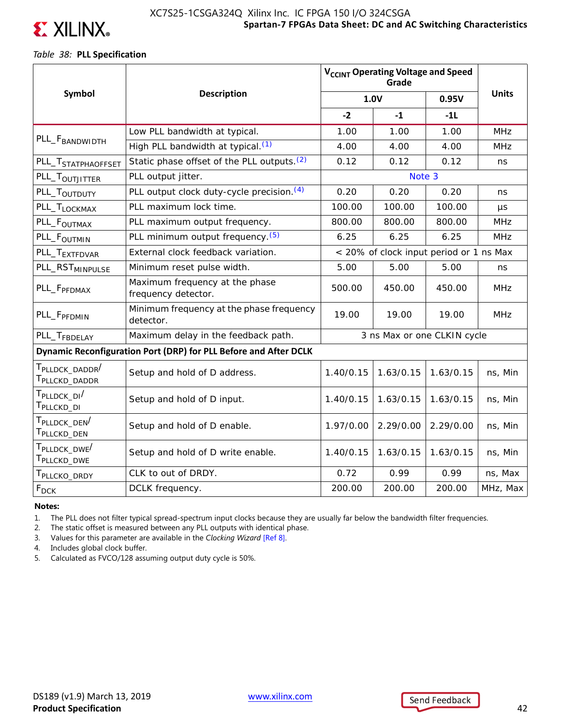

### **Spartan-7 FPGAs Data Sheet: DC and AC Switching Characteristics** XC7S25-1CSGA324Q Xilinx Inc. IC FPGA 150 I/O 324CSGA

### *Table 38:* **PLL Specification**

|                                                                      |                                                                  |           | V <sub>CCINT</sub> Operating Voltage and Speed<br>Grade |                                         |              |
|----------------------------------------------------------------------|------------------------------------------------------------------|-----------|---------------------------------------------------------|-----------------------------------------|--------------|
| Symbol                                                               | <b>Description</b>                                               |           | 1.0V                                                    | 0.95V                                   | <b>Units</b> |
|                                                                      |                                                                  | $-2$      | $-1$                                                    | $-11$                                   |              |
|                                                                      | Low PLL bandwidth at typical.                                    | 1.00      | 1.00                                                    | 1.00                                    | <b>MHz</b>   |
| PLL_F <sub>BANDWIDTH</sub>                                           | High PLL bandwidth at typical. (1)                               | 4.00      | 4.00                                                    | 4.00                                    | <b>MHz</b>   |
| PLL_T <sub>STATPHAOFFSET</sub>                                       | Static phase offset of the PLL outputs. <sup>(2)</sup>           | 0.12      | 0.12                                                    | 0.12                                    | ns           |
| PLL_T <sub>OUTJITTER</sub>                                           | PLL output jitter.                                               |           | Note 3                                                  |                                         |              |
| PLL_T <sub>OUTDUTY</sub>                                             | PLL output clock duty-cycle precision. (4)                       | 0.20      | 0.20                                                    | 0.20                                    | ns           |
| PLL_T <sub>LOCKMAX</sub>                                             | PLL maximum lock time.                                           | 100.00    | 100.00                                                  | 100.00                                  | μs           |
| PLL_F <sub>OUTMAX</sub>                                              | PLL maximum output frequency.                                    | 800.00    | 800.00                                                  | 800.00                                  | <b>MHz</b>   |
| PLL_F <sub>OUTMIN</sub>                                              | PLL minimum output frequency. (5)                                | 6.25      | 6.25                                                    | 6.25                                    | <b>MHz</b>   |
| PLL_T <sub>EXTFDVAR</sub>                                            | External clock feedback variation.                               |           |                                                         | < 20% of clock input period or 1 ns Max |              |
| PLL_RST <sub>MINPULSE</sub>                                          | Minimum reset pulse width.                                       | 5.00      | 5.00                                                    | 5.00                                    | ns           |
| PLL_F <sub>PFDMAX</sub>                                              | Maximum frequency at the phase<br>frequency detector.            | 500.00    | 450.00                                                  | 450.00                                  | <b>MHz</b>   |
| PLL_F <sub>PFDMIN</sub>                                              | Minimum frequency at the phase frequency<br>detector.            | 19.00     | 19.00                                                   | 19.00                                   | <b>MHz</b>   |
| PLL_T <sub>FBDELAY</sub>                                             | Maximum delay in the feedback path.                              |           |                                                         | 3 ns Max or one CLKIN cycle             |              |
|                                                                      | Dynamic Reconfiguration Port (DRP) for PLL Before and After DCLK |           |                                                         |                                         |              |
| T <sub>PLLDCK</sub> DADDR <sup>/</sup><br>T <sub>PLLCKD</sub> _DADDR | Setup and hold of D address.                                     | 1.40/0.15 | 1.63/0.15                                               | 1.63/0.15                               | ns, Min      |
| T <sub>PLLDCK</sub> DI <sup>/</sup><br>T <sub>PLLCKD</sub> _DI       | Setup and hold of D input.                                       | 1.40/0.15 | 1.63/0.15                                               | 1.63/0.15                               | ns, Min      |
| T <sub>PLLDCK</sub> _DEN <sup>/</sup><br>T <sub>PLLCKD</sub> _DEN    | Setup and hold of D enable.                                      | 1.97/0.00 | 2.29/0.00                                               | 2.29/0.00                               | ns, Min      |
| T <sub>PLLDCK</sub> DWE <sup>/</sup><br>T <sub>PLLCKD</sub> _DWE     | Setup and hold of D write enable.                                | 1.40/0.15 | 1.63/0.15                                               | 1.63/0.15                               | ns, Min      |
| T <sub>PLLCKO</sub> _DRDY                                            | CLK to out of DRDY.                                              | 0.72      | 0.99                                                    | 0.99                                    | ns, Max      |
| $F_{DCK}$                                                            | DCLK frequency.                                                  | 200.00    | 200.00                                                  | 200.00                                  | MHz, Max     |

#### **Notes:**

1. The PLL does not filter typical spread-spectrum input clocks because they are usually far below the bandwidth filter frequencies.

2. The static offset is measured between any PLL outputs with identical phase.

3. Values for this parameter are available in the *Clocking Wizard* [Ref 8].

4. Includes global clock buffer.

5. Calculated as FVCO/128 assuming output duty cycle is 50%.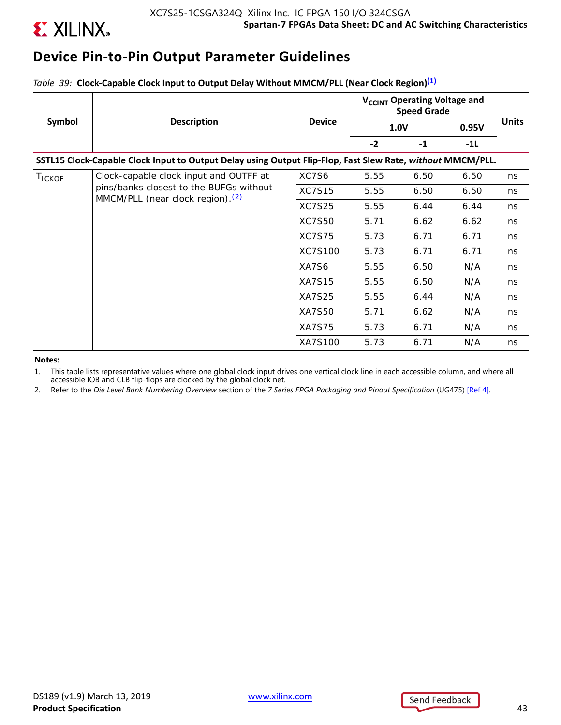

# **Device Pin-to-Pin Output Parameter Guidelines**

*Table 39:* **Clock-Capable Clock Input to Output Delay Without MMCM/PLL (Near Clock Region)(1)**

|        |                                                                                                            |               | V <sub>CCINT</sub> Operating Voltage and<br><b>Speed Grade</b> |             |       |              |
|--------|------------------------------------------------------------------------------------------------------------|---------------|----------------------------------------------------------------|-------------|-------|--------------|
| Symbol | <b>Description</b>                                                                                         | <b>Device</b> |                                                                | <b>1.0V</b> | 0.95V | <b>Units</b> |
|        |                                                                                                            |               | $-2$                                                           | $-1$        | -1L   |              |
|        | SSTL15 Clock-Capable Clock Input to Output Delay using Output Flip-Flop, Fast Slew Rate, without MMCM/PLL. |               |                                                                |             |       |              |
| TICKOF | Clock-capable clock input and OUTFF at                                                                     | XC7S6         | 5.55                                                           | 6.50        | 6.50  | ns           |
|        | pins/banks closest to the BUFGs without<br>MMCM/PLL (near clock region). <sup>(2)</sup>                    | <b>XC7S15</b> | 5.55                                                           | 6.50        | 6.50  | ns           |
|        |                                                                                                            | <b>XC7S25</b> | 5.55                                                           | 6.44        | 6.44  | ns           |
|        |                                                                                                            | <b>XC7S50</b> | 5.71                                                           | 6.62        | 6.62  | ns           |
|        |                                                                                                            | <b>XC7S75</b> | 5.73                                                           | 6.71        | 6.71  | ns           |
|        |                                                                                                            | XC7S100       | 5.73                                                           | 6.71        | 6.71  | ns.          |
|        |                                                                                                            | XA7S6         | 5.55                                                           | 6.50        | N/A   | ns           |
|        |                                                                                                            | <b>XA7S15</b> | 5.55                                                           | 6.50        | N/A   | ns           |
|        |                                                                                                            | <b>XA7S25</b> | 5.55                                                           | 6.44        | N/A   | ns           |
|        |                                                                                                            | <b>XA7S50</b> | 5.71                                                           | 6.62        | N/A   | ns           |
|        |                                                                                                            | <b>XA7S75</b> | 5.73                                                           | 6.71        | N/A   | ns           |
|        |                                                                                                            | XA7S100       | 5.73                                                           | 6.71        | N/A   | ns           |

#### **Notes:**

1. This table lists representative values where one global clock input drives one vertical clock line in each accessible column, and where all accessible IOB and CLB flip-flops are clocked by the global clock net.

2. Refer to the *Die Level Bank Numbering Overview* section of the *7 Series FPGA Packaging and Pinout Specification* (UG475) [Ref 4].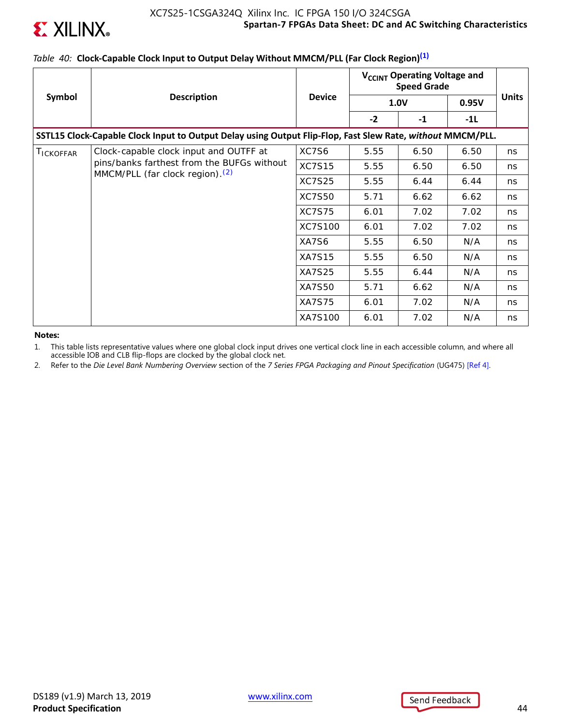

### **Spartan-7 FPGAs Data Sheet: DC and AC Switching Characteristics** XC7S25-1CSGA324Q Xilinx Inc. IC FPGA 150 I/O 324CSGA

## *Table 40:* **Clock-Capable Clock Input to Output Delay Without MMCM/PLL (Far Clock Region)(1)**

|                   |                                                                                                            |               | V <sub>CCINT</sub> Operating Voltage and<br><b>Speed Grade</b> |             |       |              |
|-------------------|------------------------------------------------------------------------------------------------------------|---------------|----------------------------------------------------------------|-------------|-------|--------------|
| Symbol            | <b>Description</b>                                                                                         | <b>Device</b> |                                                                | <b>1.0V</b> | 0.95V | <b>Units</b> |
|                   |                                                                                                            |               | $-2$                                                           | $-1$        | -1L   |              |
|                   | SSTL15 Clock-Capable Clock Input to Output Delay using Output Flip-Flop, Fast Slew Rate, without MMCM/PLL. |               |                                                                |             |       |              |
| <b>I</b> ICKOFFAR | Clock-capable clock input and OUTFF at                                                                     | XC7S6         | 5.55                                                           | 6.50        | 6.50  | ns           |
|                   | pins/banks farthest from the BUFGs without<br>MMCM/PLL (far clock region). <sup>(2)</sup>                  | <b>XC7S15</b> | 5.55                                                           | 6.50        | 6.50  | ns           |
|                   |                                                                                                            | <b>XC7S25</b> | 5.55                                                           | 6.44        | 6.44  | ns           |
|                   |                                                                                                            | <b>XC7S50</b> | 5.71                                                           | 6.62        | 6.62  | ns           |
|                   |                                                                                                            | <b>XC7S75</b> | 6.01                                                           | 7.02        | 7.02  | ns           |
|                   |                                                                                                            | XC7S100       | 6.01                                                           | 7.02        | 7.02  | ns           |
|                   |                                                                                                            | XA7S6         | 5.55                                                           | 6.50        | N/A   | ns           |
|                   |                                                                                                            | <b>XA7S15</b> | 5.55                                                           | 6.50        | N/A   | ns           |
|                   |                                                                                                            | <b>XA7S25</b> | 5.55                                                           | 6.44        | N/A   | ns           |
|                   |                                                                                                            | <b>XA7S50</b> | 5.71                                                           | 6.62        | N/A   | ns           |
|                   |                                                                                                            | <b>XA7S75</b> | 6.01                                                           | 7.02        | N/A   | ns           |
|                   |                                                                                                            | XA7S100       | 6.01                                                           | 7.02        | N/A   | ns           |

**Notes:** 

1. This table lists representative values where one global clock input drives one vertical clock line in each accessible column, and where all accessible IOB and CLB flip-flops are clocked by the global clock net.

2. Refer to the *Die Level Bank Numbering Overview* section of the *7 Series FPGA Packaging and Pinout Specification* (UG475) [Ref 4].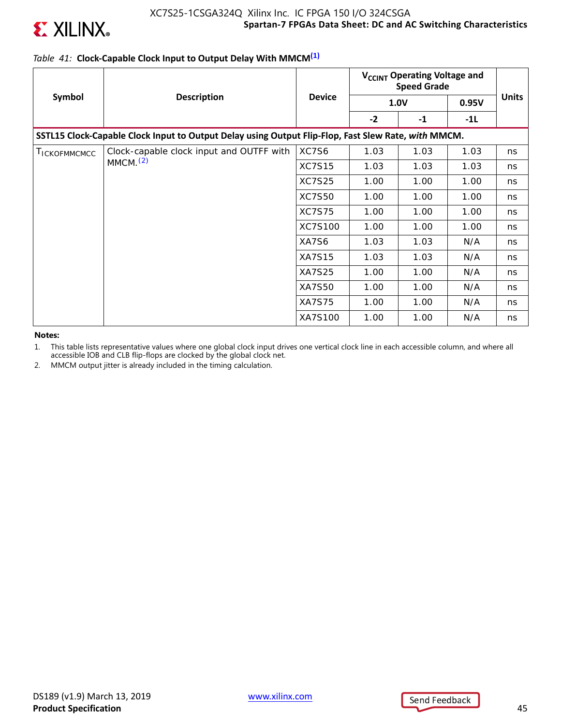

### *Table 41:* **Clock-Capable Clock Input to Output Delay With MMCM(1)**

|              |                                                                                                     |               | V <sub>CCINT</sub> Operating Voltage and<br><b>Speed Grade</b> |             |       |              |
|--------------|-----------------------------------------------------------------------------------------------------|---------------|----------------------------------------------------------------|-------------|-------|--------------|
| Symbol       | <b>Description</b>                                                                                  | <b>Device</b> |                                                                | <b>1.0V</b> | 0.95V | <b>Units</b> |
|              |                                                                                                     |               | $-2$                                                           | $-1$        | -1L   |              |
|              | SSTL15 Clock-Capable Clock Input to Output Delay using Output Flip-Flop, Fast Slew Rate, with MMCM. |               |                                                                |             |       |              |
| TICKOFMMCMCC | Clock-capable clock input and OUTFF with                                                            | XC7S6         | 1.03                                                           | 1.03        | 1.03  | ns           |
|              | MMCM <sub>1</sub> (2)                                                                               | <b>XC7S15</b> | 1.03                                                           | 1.03        | 1.03  | ns           |
|              |                                                                                                     | <b>XC7S25</b> | 1.00                                                           | 1.00        | 1.00  | ns           |
|              |                                                                                                     | <b>XC7S50</b> | 1.00                                                           | 1.00        | 1.00  | ns           |
|              |                                                                                                     | <b>XC7S75</b> | 1.00                                                           | 1.00        | 1.00  | ns           |
|              |                                                                                                     | XC7S100       | 1.00                                                           | 1.00        | 1.00  | ns           |
|              |                                                                                                     | XA7S6         | 1.03                                                           | 1.03        | N/A   | ns           |
|              |                                                                                                     | <b>XA7S15</b> | 1.03                                                           | 1.03        | N/A   | ns           |
|              |                                                                                                     | <b>XA7S25</b> | 1.00                                                           | 1.00        | N/A   | ns           |
|              |                                                                                                     | <b>XA7S50</b> | 1.00                                                           | 1.00        | N/A   | ns           |
|              |                                                                                                     | <b>XA7S75</b> | 1.00                                                           | 1.00        | N/A   | ns           |
|              |                                                                                                     | XA7S100       | 1.00                                                           | 1.00        | N/A   | ns           |

**Notes:** 

1. This table lists representative values where one global clock input drives one vertical clock line in each accessible column, and where all accessible IOB and CLB flip-flops are clocked by the global clock net.

2. MMCM output jitter is already included in the timing calculation.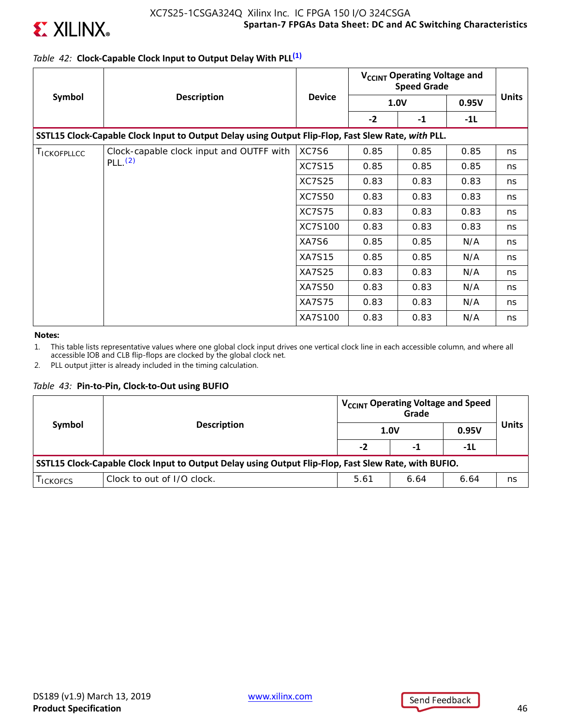

### *Table 42:* **Clock-Capable Clock Input to Output Delay With PLL(1)**

|                    |                                                                                                    |               | V <sub>CCINT</sub> Operating Voltage and<br><b>Speed Grade</b> |             |       |              |
|--------------------|----------------------------------------------------------------------------------------------------|---------------|----------------------------------------------------------------|-------------|-------|--------------|
| Symbol             | <b>Description</b>                                                                                 | <b>Device</b> |                                                                | <b>1.0V</b> | 0.95V | <b>Units</b> |
|                    |                                                                                                    |               | $-2$                                                           | $-1$        | $-1L$ |              |
|                    | SSTL15 Clock-Capable Clock Input to Output Delay using Output Flip-Flop, Fast Slew Rate, with PLL. |               |                                                                |             |       |              |
| <b>TICKOFPLLCC</b> | Clock-capable clock input and OUTFF with                                                           | XC7S6         | 0.85                                                           | 0.85        | 0.85  | ns           |
|                    | PLL.(2)                                                                                            | <b>XC7S15</b> | 0.85                                                           | 0.85        | 0.85  | ns           |
|                    | <b>XC7S25</b>                                                                                      | 0.83          | 0.83                                                           | 0.83        | ns    |              |
|                    | <b>XC7S50</b>                                                                                      | 0.83          | 0.83                                                           | 0.83        | ns    |              |
|                    |                                                                                                    | <b>XC7S75</b> | 0.83                                                           | 0.83        | 0.83  | ns           |
|                    |                                                                                                    | XC7S100       | 0.83                                                           | 0.83        | 0.83  | ns           |
|                    |                                                                                                    | XA7S6         | 0.85                                                           | 0.85        | N/A   | ns           |
|                    |                                                                                                    | <b>XA7S15</b> | 0.85                                                           | 0.85        | N/A   | ns           |
|                    |                                                                                                    | <b>XA7S25</b> | 0.83                                                           | 0.83        | N/A   | ns           |
|                    |                                                                                                    | <b>XA7S50</b> | 0.83                                                           | 0.83        | N/A   | ns           |
|                    |                                                                                                    | <b>XA7S75</b> | 0.83                                                           | 0.83        | N/A   | ns           |
|                    |                                                                                                    | XA7S100       | 0.83                                                           | 0.83        | N/A   | ns           |

#### **Notes:**

1. This table lists representative values where one global clock input drives one vertical clock line in each accessible column, and where all accessible IOB and CLB flip-flops are clocked by the global clock net.

2. PLL output jitter is already included in the timing calculation.

#### *Table 43:* **Pin-to-Pin, Clock-to-Out using BUFIO**

| Symbol         | <b>Description</b>                                                                                   |                      | V <sub>CCINT</sub> Operating Voltage and Speed<br>Grade<br><b>1.0V</b> | 0.95V | Units |
|----------------|------------------------------------------------------------------------------------------------------|----------------------|------------------------------------------------------------------------|-------|-------|
|                | $-2$                                                                                                 | -1                   | -11                                                                    |       |       |
|                | SSTL15 Clock-Capable Clock Input to Output Delay using Output Flip-Flop, Fast Slew Rate, with BUFIO. |                      |                                                                        |       |       |
| <b>ICKOFCS</b> | Clock to out of I/O clock.                                                                           | 5.61<br>6.64<br>6.64 |                                                                        | ns    |       |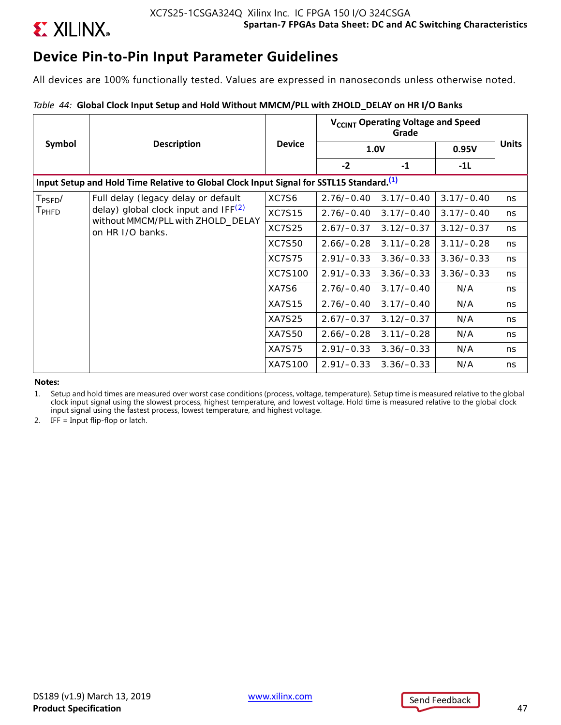

# **Device Pin-to-Pin Input Parameter Guidelines**

All devices are 100% functionally tested. Values are expressed in nanoseconds unless otherwise noted.

### *Table 44:* **Global Clock Input Setup and Hold Without MMCM/PLL with ZHOLD\_DELAY on HR I/O Banks**

|                      | <b>Description</b>                                                                                  |               | V <sub>CCINT</sub> Operating Voltage and Speed |              |              |              |
|----------------------|-----------------------------------------------------------------------------------------------------|---------------|------------------------------------------------|--------------|--------------|--------------|
| Symbol               |                                                                                                     | <b>Device</b> | <b>1.0V</b>                                    |              | 0.95V        | <b>Units</b> |
|                      |                                                                                                     |               | $-2$                                           | $-1$         | $-11$        |              |
|                      | Input Setup and Hold Time Relative to Global Clock Input Signal for SSTL15 Standard. <sup>(1)</sup> |               |                                                |              |              |              |
| $T_{\mathsf{PSFD}}/$ | Full delay (legacy delay or default                                                                 | XC7S6         | $2.76/-0.40$                                   | $3.17/-0.40$ | $3.17/-0.40$ | ns           |
| $T_{\sf PHFD}$       | delay) global clock input and $IF(2)$                                                               | <b>XC7S15</b> | $2.76/-0.40$                                   | $3.17/-0.40$ | $3.17/-0.40$ | ns.          |
|                      | without MMCM/PLL with ZHOLD_DELAY<br>on HR I/O banks.                                               | <b>XC7S25</b> | $2.67/-0.37$                                   | $3.12/-0.37$ | $3.12/-0.37$ | ns           |
|                      |                                                                                                     | <b>XC7S50</b> | $2.66/-0.28$                                   | $3.11/-0.28$ | $3.11/-0.28$ | ns           |
|                      |                                                                                                     | <b>XC7S75</b> | $2.91/-0.33$                                   | $3.36/-0.33$ | $3.36/-0.33$ | ns.          |
|                      |                                                                                                     | XC7S100       | $2.91/-0.33$                                   | $3.36/-0.33$ | $3.36/-0.33$ | ns           |
|                      |                                                                                                     | XA7S6         | $2.76/-0.40$                                   | $3.17/-0.40$ | N/A          | ns           |
|                      |                                                                                                     | <b>XA7S15</b> | $2.76/-0.40$                                   | $3.17/-0.40$ | N/A          | ns           |
|                      |                                                                                                     | XA7S25        | $2.67/-0.37$                                   | $3.12/-0.37$ | N/A          | ns           |
|                      |                                                                                                     | XA7S50        | $2.66/-0.28$                                   | $3.11/-0.28$ | N/A          | ns           |
|                      |                                                                                                     | <b>XA7S75</b> | $2.91/-0.33$                                   | $3.36/-0.33$ | N/A          | ns           |
|                      |                                                                                                     | XA7S100       | $2.91/-0.33$                                   | $3.36/-0.33$ | N/A          | ns           |

**Notes:** 

1. Setup and hold times are measured over worst case conditions (process, voltage, temperature). Setup time is measured relative to the global clock input signal using the slowest process, highest temperature, and lowest voltage. Hold time is measured relative to the global clock input signal using the fastest process, lowest temperature, and highest voltage.

2. IFF = Input flip-flop or latch.



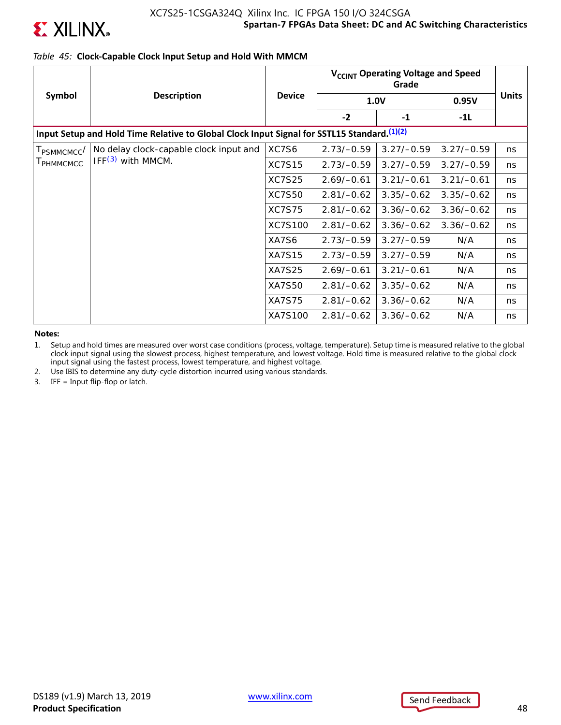

### **Spartan-7 FPGAs Data Sheet: DC and AC Switching Characteristics** XC7S25-1CSGA324Q Xilinx Inc. IC FPGA 150 I/O 324CSGA

### *Table 45:* **Clock-Capable Clock Input Setup and Hold With MMCM**

|                         | <b>Description</b>                                                                          | <b>Device</b> | V <sub>CCINT</sub> Operating Voltage and Speed |              |              |              |
|-------------------------|---------------------------------------------------------------------------------------------|---------------|------------------------------------------------|--------------|--------------|--------------|
| Symbol                  |                                                                                             |               | <b>1.0V</b>                                    |              | 0.95V        | <b>Units</b> |
|                         |                                                                                             |               | $-2$                                           | $-1$         | $-1L$        |              |
|                         | Input Setup and Hold Time Relative to Global Clock Input Signal for SSTL15 Standard. (1)(2) |               |                                                |              |              |              |
| T <sub>PSMMCMCC</sub> / | No delay clock-capable clock input and                                                      | XC7S6         | $2.73/-0.59$                                   | $3.27/-0.59$ | $3.27/-0.59$ | ns           |
| <b>I</b> PHMMCMCC       | IFF <sup>(3)</sup> with MMCM.                                                               | <b>XC7S15</b> | $2.73/-0.59$                                   | $3.27/-0.59$ | $3.27/-0.59$ | ns           |
|                         |                                                                                             | <b>XC7S25</b> | $2.69/-0.61$                                   | $3.21/-0.61$ | $3.21/-0.61$ | ns           |
|                         |                                                                                             | <b>XC7S50</b> | $2.81/-0.62$                                   | $3.35/-0.62$ | $3.35/-0.62$ | ns           |
|                         |                                                                                             | <b>XC7S75</b> | $2.81/-0.62$                                   | $3.36/-0.62$ | $3.36/-0.62$ | ns           |
|                         |                                                                                             | XC7S100       | $2.81/-0.62$                                   | $3.36/-0.62$ | $3.36/-0.62$ | ns           |
|                         |                                                                                             | XA7S6         | $2.73/-0.59$                                   | $3.27/-0.59$ | N/A          | ns           |
|                         |                                                                                             | XA7S15        | $2.73/-0.59$                                   | $3.27/-0.59$ | N/A          | ns           |
|                         |                                                                                             | XA7S25        | $2.69/-0.61$                                   | $3.21/-0.61$ | N/A          | ns           |
|                         |                                                                                             | XA7S50        | $2.81/-0.62$                                   | $3.35/-0.62$ | N/A          | ns           |
|                         |                                                                                             | <b>XA7S75</b> | $2.81/-0.62$                                   | $3.36/-0.62$ | N/A          | ns           |
|                         |                                                                                             | XA7S100       | $2.81/-0.62$                                   | $3.36/-0.62$ | N/A          | ns           |

**Notes:** 

1. Setup and hold times are measured over worst case conditions (process, voltage, temperature). Setup time is measured relative to the global clock input signal using the slowest process, highest temperature, and lowest voltage. Hold time is measured relative to the global clock input signal using the fastest process, lowest temperature, and highest voltage.

2. Use IBIS to determine any duty-cycle distortion incurred using various standards.

3. IFF = Input flip-flop or latch.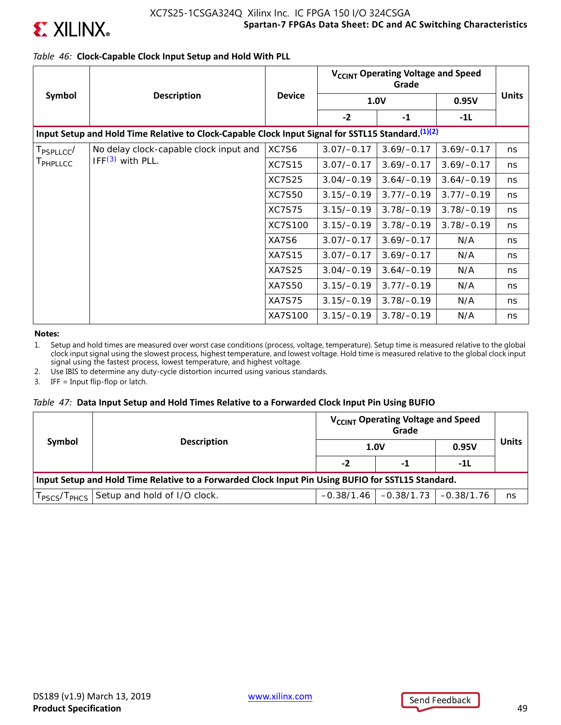

### *Table 46:* **Clock-Capable Clock Input Setup and Hold With PLL**

|                        | <b>Description</b>                                                                                 | <b>Device</b> | V <sub>CCINT</sub> Operating Voltage and Speed |              |              |              |
|------------------------|----------------------------------------------------------------------------------------------------|---------------|------------------------------------------------|--------------|--------------|--------------|
| Symbol                 |                                                                                                    |               | 1.0V                                           |              | 0.95V        | <b>Units</b> |
|                        |                                                                                                    |               | $-2$                                           | $-1$         | $-11$        |              |
|                        | Input Setup and Hold Time Relative to Clock-Capable Clock Input Signal for SSTL15 Standard. (1)(2) |               |                                                |              |              |              |
| T <sub>PSPLLCC</sub> / | No delay clock-capable clock input and                                                             | XC7S6         | $3.07/-0.17$                                   | $3.69/-0.17$ | $3.69/-0.17$ | ns           |
| T <sub>PHPLLCC</sub>   | $IFF(3)$ with PLL.                                                                                 | <b>XC7S15</b> | $3.07/-0.17$                                   | $3.69/-0.17$ | $3.69/-0.17$ | ns           |
|                        |                                                                                                    | <b>XC7S25</b> | $3.04/-0.19$                                   | $3.64/-0.19$ | $3.64/-0.19$ | ns           |
|                        |                                                                                                    | <b>XC7S50</b> | $3.15/-0.19$                                   | $3.77/-0.19$ | $3.77/-0.19$ | ns           |
|                        |                                                                                                    | <b>XC7S75</b> | $3.15/-0.19$                                   | $3.78/-0.19$ | $3.78/-0.19$ | ns           |
|                        |                                                                                                    | XC7S100       | $3.15/-0.19$                                   | $3.78/-0.19$ | $3.78/-0.19$ | ns           |
|                        |                                                                                                    | XA7S6         | $3.07/-0.17$                                   | $3.69/-0.17$ | N/A          | ns           |
|                        |                                                                                                    | <b>XA7S15</b> | $3.07/-0.17$                                   | $3.69/-0.17$ | N/A          | ns           |
|                        |                                                                                                    | XA7S25        | $3.04/-0.19$                                   | $3.64/-0.19$ | N/A          | ns           |
|                        |                                                                                                    | XA7S50        | $3.15/-0.19$                                   | $3.77/-0.19$ | N/A          | ns           |
|                        |                                                                                                    | <b>XA7S75</b> | $3.15/-0.19$                                   | $3.78/-0.19$ | N/A          | ns           |
|                        |                                                                                                    | XA7S100       | $3.15/-0.19$                                   | $3.78/-0.19$ | N/A          | ns           |

**Notes:** 

1. Setup and hold times are measured over worst case conditions (process, voltage, temperature). Setup time is measured relative to the global clock input signal using the slowest process, highest temperature, and lowest voltage. Hold time is measured relative to the global clock input signal using the fastest process, lowest temperature, and highest voltage.

2. Use IBIS to determine any duty-cycle distortion incurred using various standards.

3. IFF = Input flip-flop or latch.

### *Table 47:* **Data Input Setup and Hold Times Relative to a Forwarded Clock Input Pin Using BUFIO**

| Symbol | V <sub>CCINT</sub> Operating Voltage and Speed<br><b>Description</b>                               |      | Grade                                  |       | <b>Units</b> |  |  |  |
|--------|----------------------------------------------------------------------------------------------------|------|----------------------------------------|-------|--------------|--|--|--|
|        |                                                                                                    | 1.0V |                                        | 0.95V |              |  |  |  |
|        |                                                                                                    | -2   | -1                                     | -1L   |              |  |  |  |
|        | Input Setup and Hold Time Relative to a Forwarded Clock Input Pin Using BUFIO for SSTL15 Standard. |      |                                        |       |              |  |  |  |
|        | T <sub>PSCS</sub> /T <sub>PHCS</sub> Setup and hold of I/O clock.                                  |      | $-0.38/1.46$ $-0.38/1.73$ $-0.38/1.76$ |       | ns           |  |  |  |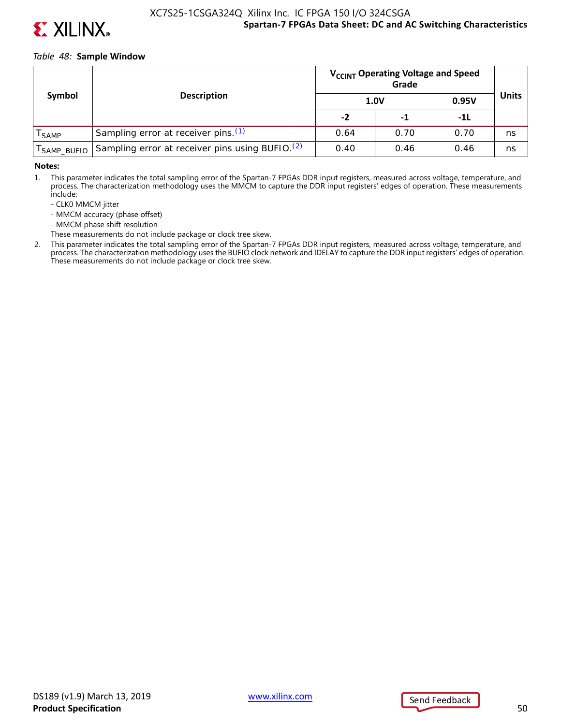

### **Spartan-7 FPGAs Data Sheet: DC and AC Switching Characteristics** XC7S25-1CSGA324Q Xilinx Inc. IC FPGA 150 I/O 324CSGA

#### *Table 48:* **Sample Window**

|                   |                                                             |      | V <sub>CCINT</sub> Operating Voltage and Speed |       |              |
|-------------------|-------------------------------------------------------------|------|------------------------------------------------|-------|--------------|
| Symbol            | <b>Description</b>                                          | 1.0V |                                                | 0.95V | <b>Units</b> |
|                   |                                                             | -2   | -1                                             | -11   |              |
| <sup>I</sup> SAMP | Sampling error at receiver pins. (1)                        | 0.64 | 0.70                                           | 0.70  | ns           |
| I SAMP_BUFIO      | Sampling error at receiver pins using BUFIO. <sup>(2)</sup> | 0.40 | 0.46                                           | 0.46  | ns           |

#### **Notes:**

1. This parameter indicates the total sampling error of the Spartan-7 FPGAs DDR input registers, measured across voltage, temperature, and process. The characterization methodology uses the MMCM to capture the DDR input registers' edges of operation. These measurements include:

- CLK0 MMCM jitter
- MMCM accuracy (phase offset)
- MMCM phase shift resolution
- These measurements do not include package or clock tree skew.
- 2. This parameter indicates the total sampling error of the Spartan-7 FPGAs DDR input registers, measured across voltage, temperature, and process. The characterization methodology uses the BUFIO clock network and IDELAY to capture the DDR input registers' edges of operation. These measurements do not include package or clock tree skew.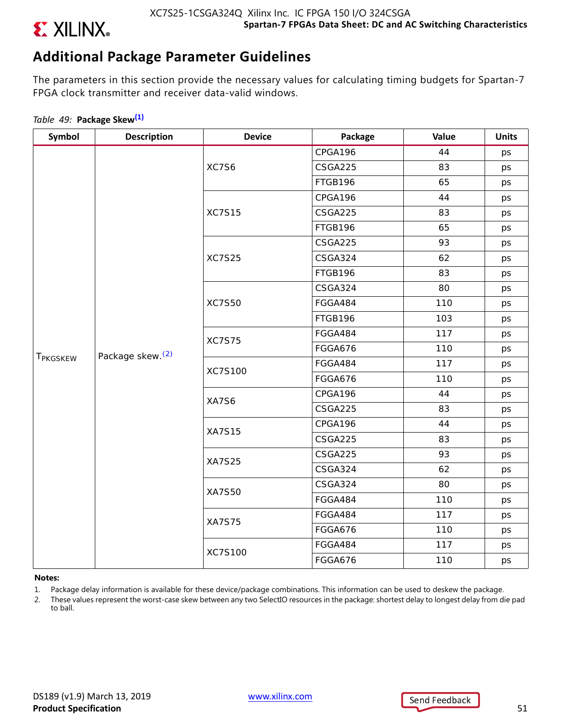

# **Additional Package Parameter Guidelines**

The parameters in this section provide the necessary values for calculating timing budgets for Spartan-7 FPGA clock transmitter and receiver data-valid windows.

## *Table 49:* **Package Skew(1)**

| Symbol               | <b>Description</b>           | <b>Device</b> | Package        | Value | <b>Units</b> |
|----------------------|------------------------------|---------------|----------------|-------|--------------|
|                      |                              |               | CPGA196        | 44    | ps           |
|                      |                              | XC7S6         | CSGA225        | 83    | ps           |
|                      |                              |               | FTGB196        | 65    | ps           |
|                      |                              |               | CPGA196        | 44    | ps           |
|                      |                              | <b>XC7S15</b> | CSGA225        | 83    | ps           |
|                      |                              |               | FTGB196        | 65    | ps           |
|                      |                              |               | CSGA225        | 93    | ps           |
|                      |                              | <b>XC7S25</b> | CSGA324        | 62    | ps           |
|                      |                              |               | FTGB196        | 83    | ps           |
|                      |                              |               | CSGA324        | 80    | ps           |
|                      |                              | <b>XC7S50</b> | FGGA484        | 110   | ps           |
|                      | Package skew. <sup>(2)</sup> |               | FTGB196        | 103   | ps           |
|                      |                              | <b>XC7S75</b> | FGGA484        | 117   | ps           |
|                      |                              |               | FGGA676        | 110   | ps           |
| T <sub>PKGSKEW</sub> |                              | XC7S100       | FGGA484        | 117   | ps           |
|                      |                              |               | <b>FGGA676</b> | 110   | ps           |
|                      |                              | XA7S6         | CPGA196        | 44    | ps           |
|                      |                              |               | CSGA225        | 83    | ps           |
|                      |                              | <b>XA7S15</b> | CPGA196        | 44    | ps           |
|                      |                              |               | CSGA225        | 83    | ps           |
|                      |                              | <b>XA7S25</b> | CSGA225        | 93    | ps           |
|                      |                              |               | CSGA324        | 62    | ps           |
|                      |                              | <b>XA7S50</b> | CSGA324        | 80    | ps           |
|                      |                              |               | FGGA484        | 110   | ps           |
|                      |                              | <b>XA7S75</b> | FGGA484        | 117   | ps           |
|                      |                              |               | FGGA676        | 110   | ps           |
|                      |                              | XC7S100       | FGGA484        | 117   | ps           |
|                      |                              |               | <b>FGGA676</b> | 110   | ps           |

#### **Notes:**

- 1. Package delay information is available for these device/package combinations. This information can be used to deskew the package.
- 2. These values represent the worst-case skew between any two SelectIO resources in the package: shortest delay to longest delay from die pad to ball.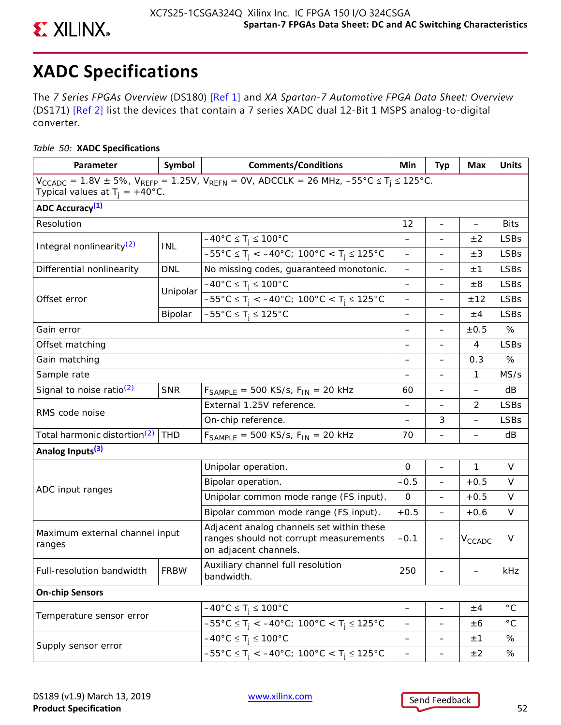

# **XADC Specifications**

The *7 Series FPGAs Overview* (DS180) [Ref 1] and *XA Spartan-7 Automotive FPGA Data Sheet: Overview* (DS171) [Ref 2] list the devices that contain a 7 series XADC dual 12-Bit 1 MSPS analog-to-digital converter.

### *Table 50:* **XADC Specifications**

| Parameter                                                                                                                                                                  | Symbol      | <b>Comments/Conditions</b>                                                                                   | Min                      | <b>Typ</b>               | Max                | <b>Units</b> |  |  |
|----------------------------------------------------------------------------------------------------------------------------------------------------------------------------|-------------|--------------------------------------------------------------------------------------------------------------|--------------------------|--------------------------|--------------------|--------------|--|--|
| $V_{CCADC} = 1.8V \pm 5\%$ , $V_{REFP} = 1.25V$ , $V_{REFN} = 0V$ , ADCCLK = 26 MHz, $-55^{\circ}C \le T_i \le 125^{\circ}C$ .<br>Typical values at $T_i = +40^{\circ}C$ . |             |                                                                                                              |                          |                          |                    |              |  |  |
| <b>ADC Accuracy</b> <sup>(1)</sup>                                                                                                                                         |             |                                                                                                              |                          |                          |                    |              |  |  |
| Resolution                                                                                                                                                                 |             |                                                                                                              | 12                       | $\overline{\phantom{0}}$ | $\qquad \qquad -$  | <b>Bits</b>  |  |  |
|                                                                                                                                                                            |             | $-40^{\circ}$ C $\leq T_i \leq 100^{\circ}$ C                                                                | $\overline{\phantom{0}}$ |                          | ±2                 | <b>LSBs</b>  |  |  |
| Integral nonlinearity <sup>(2)</sup>                                                                                                                                       | INL         | $-55^{\circ}$ C $\leq T_j < -40^{\circ}$ C; 100°C $\lt T_j \leq 125^{\circ}$ C                               | —                        |                          | $\pm 3$            | <b>LSBs</b>  |  |  |
| Differential nonlinearity                                                                                                                                                  | <b>DNL</b>  | No missing codes, guaranteed monotonic.                                                                      |                          |                          | ±1                 | <b>LSBs</b>  |  |  |
|                                                                                                                                                                            |             | $-40^{\circ}$ C $\leq$ T <sub>i</sub> $\leq$ 100°C                                                           | —                        | $\overline{\phantom{0}}$ | $\pm 8$            | <b>LSBs</b>  |  |  |
| Offset error                                                                                                                                                               | Unipolar    | $-55^{\circ}$ C $\leq T_i < -40^{\circ}$ C; 100°C $\lt T_i \leq 125^{\circ}$ C                               | —                        | —                        | ±12                | <b>LSBs</b>  |  |  |
|                                                                                                                                                                            | Bipolar     | $-55^{\circ}$ C $\leq$ T <sub>j</sub> $\leq$ 125°C                                                           | —                        |                          | ±4                 | <b>LSBs</b>  |  |  |
| Gain error                                                                                                                                                                 |             |                                                                                                              |                          |                          | ±0.5               | %            |  |  |
| Offset matching                                                                                                                                                            |             |                                                                                                              | —                        | $\overline{\phantom{0}}$ | 4                  | <b>LSBs</b>  |  |  |
| Gain matching                                                                                                                                                              |             |                                                                                                              |                          | —                        | 0.3                | %            |  |  |
| Sample rate                                                                                                                                                                |             |                                                                                                              |                          |                          | $\mathbf{1}$       | MS/s         |  |  |
| Signal to noise ratio $(2)$                                                                                                                                                | <b>SNR</b>  | $F_{SAMPLE}$ = 500 KS/s, $F_{IN}$ = 20 kHz                                                                   | 60                       |                          |                    | dB           |  |  |
|                                                                                                                                                                            |             | External 1.25V reference.                                                                                    | —                        | —                        | 2                  | <b>LSBs</b>  |  |  |
| RMS code noise                                                                                                                                                             |             | On-chip reference.                                                                                           | —                        | 3                        |                    | <b>LSBs</b>  |  |  |
| Total harmonic distortion <sup>(2)</sup>                                                                                                                                   | <b>THD</b>  | $F_{SAMPLE}$ = 500 KS/s, $F_{IN}$ = 20 kHz                                                                   | 70                       |                          |                    | dB           |  |  |
| Analog Inputs <sup>(3)</sup>                                                                                                                                               |             |                                                                                                              |                          |                          |                    |              |  |  |
|                                                                                                                                                                            |             | Unipolar operation.                                                                                          | $\mathbf 0$              | $\overline{ }$           | $\mathbf{1}$       | $\vee$       |  |  |
|                                                                                                                                                                            |             | Bipolar operation.                                                                                           | $-0.5$                   | $\overline{\phantom{0}}$ | $+0.5$             | $\vee$       |  |  |
| ADC input ranges                                                                                                                                                           |             | Unipolar common mode range (FS input).                                                                       | 0                        | $\qquad \qquad -$        | $+0.5$             | V            |  |  |
|                                                                                                                                                                            |             | Bipolar common mode range (FS input).                                                                        | $+0.5$                   | —                        | $+0.6$             | $\vee$       |  |  |
| Maximum external channel input<br>ranges                                                                                                                                   |             | Adjacent analog channels set within these<br>ranges should not corrupt measurements<br>on adjacent channels. | $-0.1$                   |                          | V <sub>CCADC</sub> | $\vee$       |  |  |
| Full-resolution bandwidth                                                                                                                                                  | <b>FRBW</b> | Auxiliary channel full resolution<br>bandwidth.                                                              | 250                      |                          |                    | kHz          |  |  |
| <b>On-chip Sensors</b>                                                                                                                                                     |             |                                                                                                              |                          |                          |                    |              |  |  |
|                                                                                                                                                                            |             | $-40^{\circ}$ C ≤ T <sub>j</sub> ≤ 100°C                                                                     | —                        | -                        | ±4                 | $^{\circ}$ C |  |  |
| Temperature sensor error                                                                                                                                                   |             | $-55^{\circ}$ C $\leq$ T <sub>j</sub> < $-40^{\circ}$ C; 100°C < T <sub>j</sub> $\leq$ 125°C                 | -                        | —                        | $\pm 6$            | $^{\circ}$ C |  |  |
|                                                                                                                                                                            |             | $-40^{\circ}$ C $\leq T_i \leq 100^{\circ}$ C                                                                | -                        | —                        | ±1                 | %            |  |  |
| Supply sensor error                                                                                                                                                        |             | $-55^{\circ}$ C $\leq T_j < -40^{\circ}$ C; 100°C $\lt T_j \leq 125^{\circ}$ C                               | -                        | —                        | ±2                 | %            |  |  |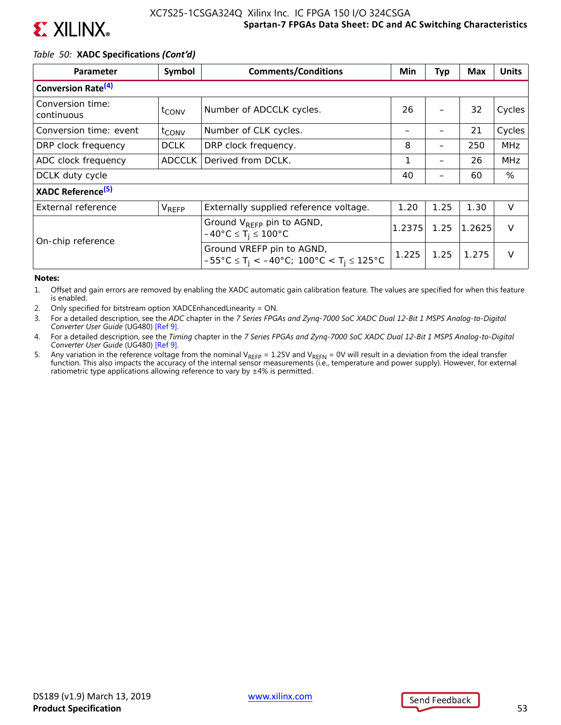

### *Table 50:* **XADC Specifications** *(Cont'd)*

| Parameter                      | Symbol            | <b>Comments/Conditions</b>                                                                                                                              | Min    | <b>Typ</b> | <b>Max</b> | <b>Units</b> |
|--------------------------------|-------------------|---------------------------------------------------------------------------------------------------------------------------------------------------------|--------|------------|------------|--------------|
| Conversion Rate <sup>(4)</sup> |                   |                                                                                                                                                         |        |            |            |              |
| Conversion time:<br>continuous | $t_{\text{CONV}}$ | Number of ADCCLK cycles.                                                                                                                                | 26     |            | 32         | Cycles       |
| Conversion time: event         | $t_{\text{CONV}}$ | Number of CLK cycles.                                                                                                                                   |        |            | 21         | Cycles       |
| DRP clock frequency            | <b>DCLK</b>       | DRP clock frequency.                                                                                                                                    | 8      |            | 250        | <b>MHz</b>   |
| ADC clock frequency            | <b>ADCCLK</b>     | Derived from DCLK.                                                                                                                                      | 1      |            | 26         | <b>MHz</b>   |
| DCLK duty cycle                |                   |                                                                                                                                                         | 40     |            | 60         | %            |
| XADC Reference <sup>(5)</sup>  |                   |                                                                                                                                                         |        |            |            |              |
| External reference             | <b>V</b> REFP     | Externally supplied reference voltage.                                                                                                                  | 1.20   | 1.25       | 1.30       | $\vee$       |
| On-chip reference              |                   | Ground V <sub>REFP</sub> pin to AGND,<br>$-40^{\circ}$ C $\leq$ T <sub>i</sub> $\leq$ 100°C                                                             | 1.2375 | 1.25       | 1.2625     | $\vee$       |
|                                |                   | Ground VREFP pin to AGND,<br>$-55^{\circ}$ C $\leq$ T <sub>i</sub> $\lt$ $-40^{\circ}$ C; 100 $^{\circ}$ C $\lt$ T <sub>i</sub> $\leq$ 125 $^{\circ}$ C | 1.225  | 1.25       | 1.275      | $\vee$       |

#### **Notes:**

1. Offset and gain errors are removed by enabling the XADC automatic gain calibration feature. The values are specified for when this feature is enabled.

- 2. Only specified for bitstream option XADCEnhancedLinearity = ON.
- 3. For a detailed description, see the *ADC* chapter in the *7 Series FPGAs and Zynq-7000 SoC XADC Dual 12-Bit 1 MSPS Analog-to-Digital Converter User Guide* (UG480) [Ref 9].
- 4. For a detailed description, see the *Timing* chapter in the *7 Series FPGAs and Zynq-7000 SoC XADC Dual 12-Bit 1 MSPS Analog-to-Digital Converter User Guide* (UG480) [Ref 9].
- 5. Any variation in the reference voltage from the nominal V<sub>REFP</sub> = 1.25V and V<sub>REFN</sub> = 0V will result in a deviation from the ideal transfer<br>function. This also impacts the accuracy of the internal sensor measurements ( ratiometric type applications allowing reference to vary by  $\pm 4\%$  is permitted.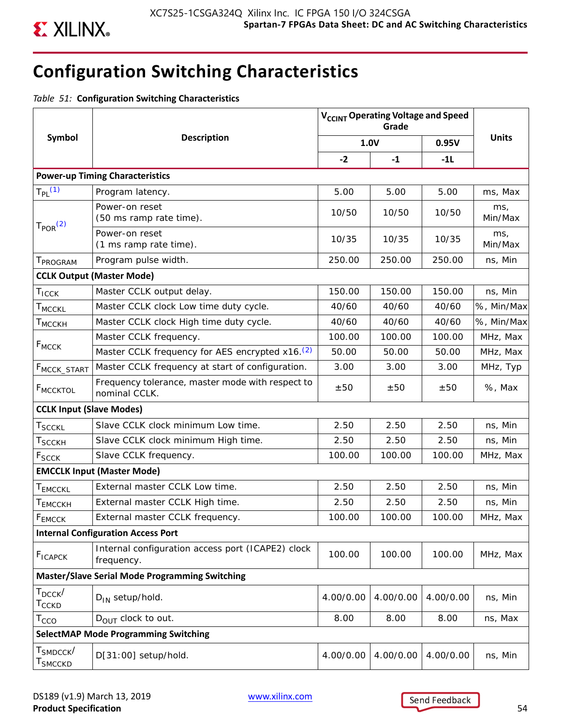

# **Configuration Switching Characteristics**

*Table 51:* **Configuration Switching Characteristics**

|                                                        |                                                                   |           | V <sub>CCINT</sub> Operating Voltage and Speed<br>Grade |           |                |
|--------------------------------------------------------|-------------------------------------------------------------------|-----------|---------------------------------------------------------|-----------|----------------|
| <b>Symbol</b>                                          | <b>Description</b><br>1.0V                                        |           |                                                         | 0.95V     | <b>Units</b>   |
|                                                        |                                                                   | $-2$      | $-1$                                                    | $-11$     |                |
|                                                        | <b>Power-up Timing Characteristics</b>                            |           |                                                         |           |                |
| $T_{PL}$ (1)                                           | Program latency.                                                  | 5.00      | 5.00                                                    | 5.00      | ms, Max        |
|                                                        | Power-on reset<br>(50 ms ramp rate time).                         | 10/50     | 10/50                                                   | 10/50     | ms,<br>Min/Max |
| T <sub>POR</sub> <sup>(2)</sup>                        | Power-on reset<br>(1 ms ramp rate time).                          | 10/35     | 10/35                                                   | 10/35     | ms,<br>Min/Max |
| T <sub>PROGRAM</sub>                                   | Program pulse width.                                              | 250.00    | 250.00                                                  | 250.00    | ns, Min        |
|                                                        | <b>CCLK Output (Master Mode)</b>                                  |           |                                                         |           |                |
| $T_{ICCK}$                                             | Master CCLK output delay.                                         | 150.00    | 150.00                                                  | 150.00    | ns, Min        |
| <b>T</b> MCCKL                                         | Master CCLK clock Low time duty cycle.                            | 40/60     | 40/60                                                   | 40/60     | %, Min/Max     |
| <b>T</b> MCCKH                                         | Master CCLK clock High time duty cycle.                           | 40/60     | 40/60                                                   | 40/60     | %, Min/Max     |
|                                                        | Master CCLK frequency.                                            | 100.00    | 100.00                                                  | 100.00    | MHz, Max       |
| $F_{MCCK}$                                             | Master CCLK frequency for AES encrypted x16. <sup>(2)</sup>       | 50.00     | 50.00                                                   | 50.00     | MHz, Max       |
| F <sub>MCCK</sub> _START                               | Master CCLK frequency at start of configuration.<br>3.00<br>3.00  |           |                                                         | 3.00      | MHz, Typ       |
| <b>FMCCKTOL</b>                                        | Frequency tolerance, master mode with respect to<br>nominal CCLK. |           | ±50                                                     | ±50       | %, Max         |
| <b>CCLK Input (Slave Modes)</b>                        |                                                                   |           |                                                         |           |                |
| <b>TSCCKL</b>                                          | Slave CCLK clock minimum Low time.                                | 2.50      | 2.50                                                    | 2.50      | ns, Min        |
| $\sf{T}_{SCCKH}$                                       | Slave CCLK clock minimum High time.                               | 2.50      | 2.50                                                    | 2.50      | ns, Min        |
| F <sub>SCCK</sub>                                      | Slave CCLK frequency.                                             | 100.00    | 100.00                                                  | 100.00    | MHz, Max       |
|                                                        | <b>EMCCLK Input (Master Mode)</b>                                 |           |                                                         |           |                |
| T <sub>EMCCKL</sub>                                    | External master CCLK Low time.                                    | 2.50      | 2.50                                                    | 2.50      | ns, Min        |
| T <sub>EMCCKH</sub>                                    | External master CCLK High time.                                   | 2.50      | 2.50                                                    | 2.50      | ns, Min        |
| FEMCCK                                                 | External master CCLK frequency.                                   | 100.00    | 100.00                                                  | 100.00    | MHz, Max       |
|                                                        | <b>Internal Configuration Access Port</b>                         |           |                                                         |           |                |
| <b>F</b> <sub>ICAPCK</sub>                             | Internal configuration access port (ICAPE2) clock<br>frequency.   | 100.00    | 100.00                                                  | 100.00    | MHz, Max       |
|                                                        | <b>Master/Slave Serial Mode Programming Switching</b>             |           |                                                         |           |                |
| $T_{DCCK}$<br>$T_{\text{CCKD}}$                        | $D_{IN}$ setup/hold.                                              | 4.00/0.00 | 4.00/0.00                                               | 4.00/0.00 | ns, Min        |
| $T_{\text{CCO}}$                                       | $D_{\text{OUT}}$ clock to out.                                    | 8.00      | 8.00                                                    | 8.00      | ns, Max        |
|                                                        | <b>SelectMAP Mode Programming Switching</b>                       |           |                                                         |           |                |
| $\texttt{T}_{\texttt{SMDCCK}}/$<br>T <sub>SMCCKD</sub> | D[31:00] setup/hold.                                              | 4.00/0.00 | 4.00/0.00                                               | 4.00/0.00 | ns, Min        |

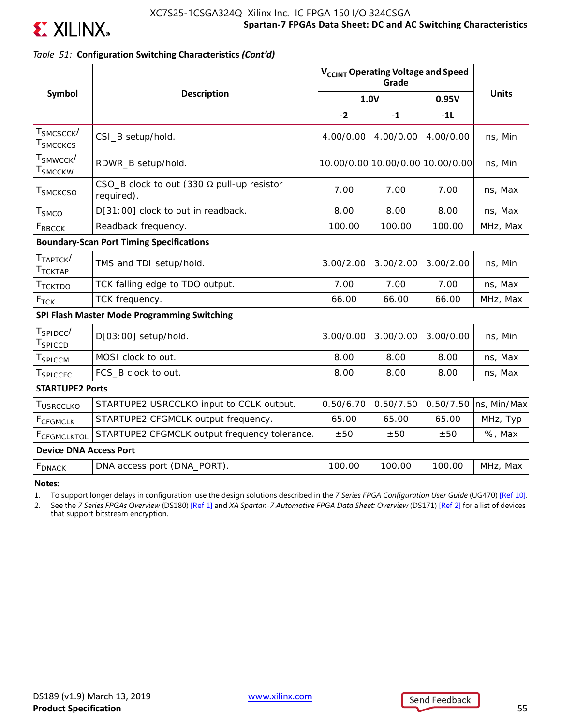

### *Table 51:* **Configuration Switching Characteristics** *(Cont'd)*

|                                                 |                                                                 |           | V <sub>CCINT</sub> Operating Voltage and Speed<br>Grade |           |              |
|-------------------------------------------------|-----------------------------------------------------------------|-----------|---------------------------------------------------------|-----------|--------------|
| Symbol                                          | <b>Description</b>                                              | 1.0V      |                                                         | 0.95V     | <b>Units</b> |
|                                                 |                                                                 | $-2$      | $-1$                                                    | $-11$     |              |
| Т <sub>SMCSCCК</sub> /<br>$\sf{T}_{SMCCKCS}$    | CSI_B setup/hold.                                               | 4.00/0.00 | 4.00/0.00                                               | 4.00/0.00 | ns, Min      |
| ${\sf T}_{\sf SMWCCK} /$<br>Т $_{\rm SMCCKW}$   | RDWR_B setup/hold.                                              |           | 10.00/0.00 10.00/0.00 10.00/0.00                        |           | ns, Min      |
| T <sub>SMCKCSO</sub>                            | CSO_B clock to out (330 $\Omega$ pull-up resistor<br>required). | 7.00      | 7.00                                                    | 7.00      | ns, Max      |
| $T_{SMCO}$                                      | D[31:00] clock to out in readback.                              | 8.00      | 8.00                                                    | 8.00      | ns, Max      |
| FRBCCK                                          | Readback frequency.                                             | 100.00    | 100.00                                                  | 100.00    | MHz, Max     |
| <b>Boundary-Scan Port Timing Specifications</b> |                                                                 |           |                                                         |           |              |
| T <sub>TAPTCK</sub> /<br>T <sub>TCKTAP</sub>    | TMS and TDI setup/hold.                                         | 3.00/2.00 | 3.00/2.00                                               | 3.00/2.00 | ns, Min      |
| T <sub>TCKTDO</sub>                             | TCK falling edge to TDO output.                                 | 7.00      | 7.00                                                    | 7.00      | ns, Max      |
| $F_{TCK}$                                       | TCK frequency.                                                  | 66.00     | 66.00                                                   | 66.00     | MHz, Max     |
|                                                 | SPI Flash Master Mode Programming Switching                     |           |                                                         |           |              |
| $T_{SPIDCC}$<br>T <sub>SPICCD</sub>             | D[03:00] setup/hold.                                            | 3.00/0.00 | 3.00/0.00                                               | 3.00/0.00 | ns, Min      |
| $T_{\mathsf{SPICCM}}$                           | MOSI clock to out.                                              | 8.00      | 8.00                                                    | 8.00      | ns, Max      |
| ${\sf T}_{\sf SPICCFC}$                         | FCS_B clock to out.                                             | 8.00      | 8.00                                                    | 8.00      | ns, Max      |
| <b>STARTUPE2 Ports</b>                          |                                                                 |           |                                                         |           |              |
| T <sub>USRCCLKO</sub>                           | STARTUPE2 USRCCLKO input to CCLK output.                        | 0.50/6.70 | 0.50/7.50                                               | 0.50/7.50 | ns, Min/Max  |
| <b>F</b> CFGMCLK                                | STARTUPE2 CFGMCLK output frequency.                             | 65.00     | 65.00                                                   | 65.00     | MHz, Typ     |
| FCFGMCLKTOL                                     | STARTUPE2 CFGMCLK output frequency tolerance.                   | ±50       | ±50                                                     | ±50       | %, Max       |
| <b>Device DNA Access Port</b>                   |                                                                 |           |                                                         |           |              |
| <b>F</b> <sub>DNACK</sub>                       | DNA access port (DNA_PORT).                                     | 100.00    | 100.00                                                  | 100.00    | MHz, Max     |

**Notes:** 

1. To support longer delays in configuration, use the design solutions described in the *7 Series FPGA Configuration User Guide* (UG470) [Ref 10].

2. See the *7 Series FPGAs Overview* (DS180) [Ref 1] and *XA Spartan-7 Automotive FPGA Data Sheet: Overview* (DS171) [Ref 2] for a list of devices that support bitstream encryption.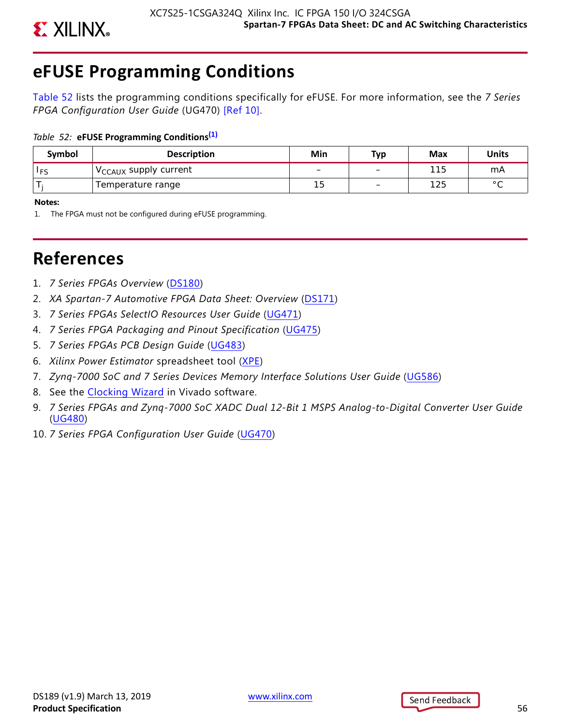

# **eFUSE Programming Conditions**

Table 52 lists the programming conditions specifically for eFUSE. For more information, see the *7 Series FPGA Configuration User Guide* (UG470) [Ref 10].

### *Table 52:* **eFUSE Programming Conditions(1)**

| Symbol     | <b>Description</b>                      | Min | Тур                      | Max | <b>Units</b>   |
|------------|-----------------------------------------|-----|--------------------------|-----|----------------|
| <b>IFS</b> | $\sqrt{C_{\text{CAUX}}}$ supply current |     | -                        | 115 | mA             |
|            | Temperature range                       | 15  | $\overline{\phantom{0}}$ | 125 | $\circ$ $\sim$ |

**Notes:** 

1. The FPGA must not be configured during eFUSE programming.

# **References**

- 1. *7 Series FPGAs Overview* [\(DS180](https://www.xilinx.com/cgi-bin/docs/ndoc?t=data_sheets;d=ds180_7Series_Overview.pdf))
- 2. *XA Spartan-7 Automotive FPGA Data Sheet: Overview* [\(DS171](https://www.xilinx.com/cgi-bin/docs/ndoc?t=data_sheets;d=ds171-xa-spartan7-overview.pdf))
- 3. *7 Series FPGAs SelectIO Resources User Guide* [\(UG471\)](https://www.xilinx.com/cgi-bin/docs/ndoc?t=user_guides;d=ug471_7Series_SelectIO.pdf)
- 4. *7 Series FPGA Packaging and Pinout Specification* ([UG475\)](https://www.xilinx.com/cgi-bin/docs/ndoc?t=user_guides;d=ug475_7Series_Pkg_Pinout.pdf)
- 5. *7 Series FPGAs PCB Design Guide* ([UG483](https://www.xilinx.com/cgi-bin/docs/ndoc?t=user_guides;d=ug483_7Series_PCB.pdf))
- 6. *Xilinx Power Estimator* spreadsheet tool [\(XPE\)](http://www.xilinx.com/products/technology/power/xpe.html)
- 7. *Zynq-7000 SoC and 7 Series Devices Memory Interface Solutions User Guide* ([UG586\)](https://www.xilinx.com/cgi-bin/docs/ipdoc?c=mig_7series;v=latest;d=ug586_7Series_MIS.pdf)
- 8. See the [Clocking Wizard](ttp://www.xilinx.com/products/intellectual-property/clocking_wizard.htm) in Vivado software.
- 9. *7 Series FPGAs and Zynq-7000 SoC XADC Dual 12-Bit 1 MSPS Analog-to-Digital Converter User Guide* ([UG480](https://www.xilinx.com/cgi-bin/docs/ndoc?t=user_guides;d=ug480_7Series_XADC.pdf))
- 10. *7 Series FPGA Configuration User Guide* ([UG470](https://www.xilinx.com/cgi-bin/docs/ndoc?t=user_guides;d=ug470_7Series_Config.pdf))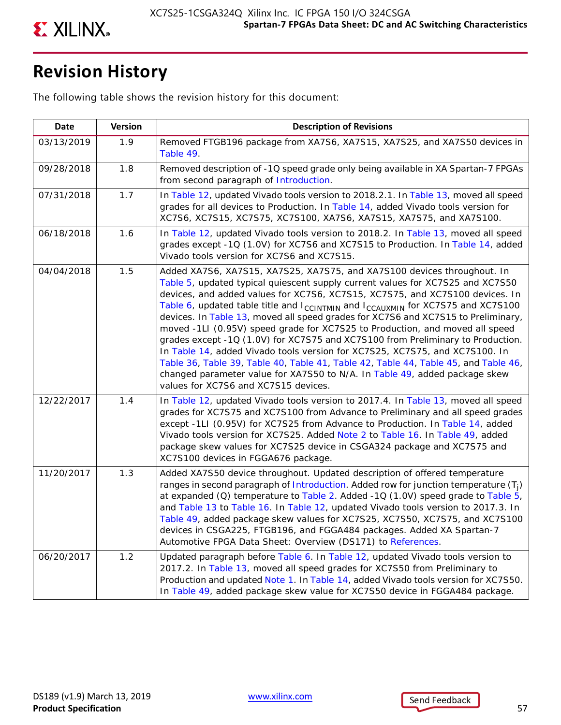

# **Revision History**

The following table shows the revision history for this document:

| <b>Date</b> | <b>Version</b> | <b>Description of Revisions</b>                                                                                                                                                                                                                                                                                                                                                                                                                                                                                                                                                                                                                                                                                                                                                                                                                                                            |
|-------------|----------------|--------------------------------------------------------------------------------------------------------------------------------------------------------------------------------------------------------------------------------------------------------------------------------------------------------------------------------------------------------------------------------------------------------------------------------------------------------------------------------------------------------------------------------------------------------------------------------------------------------------------------------------------------------------------------------------------------------------------------------------------------------------------------------------------------------------------------------------------------------------------------------------------|
| 03/13/2019  | 1.9            | Removed FTGB196 package from XA7S6, XA7S15, XA7S25, and XA7S50 devices in<br>Table 49.                                                                                                                                                                                                                                                                                                                                                                                                                                                                                                                                                                                                                                                                                                                                                                                                     |
| 09/28/2018  | 1.8            | Removed description of -1Q speed grade only being available in XA Spartan-7 FPGAs<br>from second paragraph of Introduction.                                                                                                                                                                                                                                                                                                                                                                                                                                                                                                                                                                                                                                                                                                                                                                |
| 07/31/2018  | 1.7            | In Table 12, updated Vivado tools version to 2018.2.1. In Table 13, moved all speed<br>grades for all devices to Production. In Table 14, added Vivado tools version for<br>XC7S6, XC7S15, XC7S75, XC7S100, XA7S6, XA7S15, XA7S75, and XA7S100.                                                                                                                                                                                                                                                                                                                                                                                                                                                                                                                                                                                                                                            |
| 06/18/2018  | 1.6            | In Table 12, updated Vivado tools version to 2018.2. In Table 13, moved all speed<br>grades except -1Q (1.0V) for XC7S6 and XC7S15 to Production. In Table 14, added<br>Vivado tools version for XC7S6 and XC7S15.                                                                                                                                                                                                                                                                                                                                                                                                                                                                                                                                                                                                                                                                         |
| 04/04/2018  | 1.5            | Added XA7S6, XA7S15, XA7S25, XA7S75, and XA7S100 devices throughout. In<br>Table 5, updated typical quiescent supply current values for XC7S25 and XC7S50<br>devices, and added values for XC7S6, XC7S15, XC7S75, and XC7S100 devices. In<br>Table 6, updated table title and $I_{CCLNTMIN}$ and $I_{CCAUXMIN}$ for XC7S75 and XC7S100<br>devices. In Table 13, moved all speed grades for XC7S6 and XC7S15 to Preliminary,<br>moved -1LI (0.95V) speed grade for XC7S25 to Production, and moved all speed<br>grades except -1Q (1.0V) for XC7S75 and XC7S100 from Preliminary to Production.<br>In Table 14, added Vivado tools version for XC7S25, XC7S75, and XC7S100. In<br>Table 36, Table 39, Table 40, Table 41, Table 42, Table 44, Table 45, and Table 46,<br>changed parameter value for XA7S50 to N/A. In Table 49, added package skew<br>values for XC7S6 and XC7S15 devices. |
| 12/22/2017  | 1.4            | In Table 12, updated Vivado tools version to 2017.4. In Table 13, moved all speed<br>grades for XC7S75 and XC7S100 from Advance to Preliminary and all speed grades<br>except -1LI (0.95V) for XC7S25 from Advance to Production. In Table 14, added<br>Vivado tools version for XC7S25. Added Note 2 to Table 16. In Table 49, added<br>package skew values for XC7S25 device in CSGA324 package and XC7S75 and<br>XC7S100 devices in FGGA676 package.                                                                                                                                                                                                                                                                                                                                                                                                                                    |
| 11/20/2017  | 1.3            | Added XA7S50 device throughout. Updated description of offered temperature<br>ranges in second paragraph of Introduction. Added row for junction temperature $(T_i)$<br>at expanded (Q) temperature to Table 2. Added -1Q (1.0V) speed grade to Table 5,<br>and Table 13 to Table 16. In Table 12, updated Vivado tools version to 2017.3. In<br>Table 49, added package skew values for XC7S25, XC7S50, XC7S75, and XC7S100<br>devices in CSGA225, FTGB196, and FGGA484 packages. Added XA Spartan-7<br>Automotive FPGA Data Sheet: Overview (DS171) to References.                                                                                                                                                                                                                                                                                                                       |
| 06/20/2017  | 1.2            | Updated paragraph before Table 6. In Table 12, updated Vivado tools version to<br>2017.2. In Table 13, moved all speed grades for XC7S50 from Preliminary to<br>Production and updated Note 1. In Table 14, added Vivado tools version for XC7S50.<br>In Table 49, added package skew value for XC7S50 device in FGGA484 package.                                                                                                                                                                                                                                                                                                                                                                                                                                                                                                                                                          |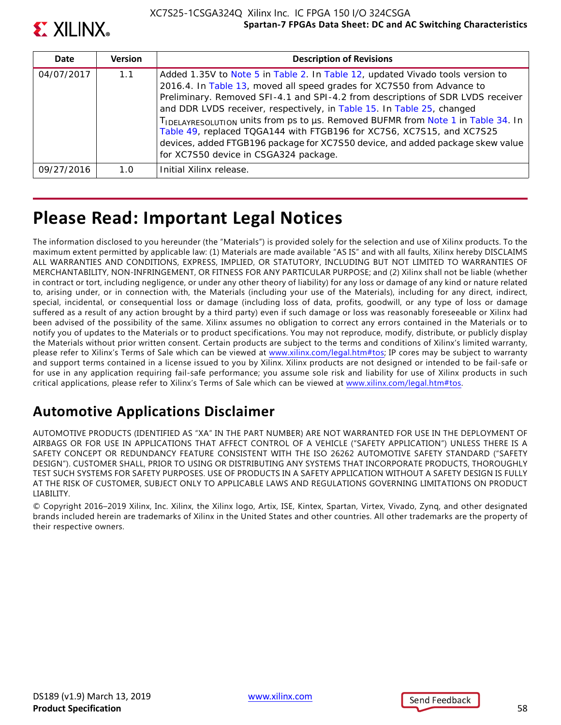

| Date       | <b>Version</b> | <b>Description of Revisions</b>                                                                                                                                                                                                                                                                                                                                                                                                                                                                                                                                                                               |
|------------|----------------|---------------------------------------------------------------------------------------------------------------------------------------------------------------------------------------------------------------------------------------------------------------------------------------------------------------------------------------------------------------------------------------------------------------------------------------------------------------------------------------------------------------------------------------------------------------------------------------------------------------|
| 04/07/2017 | 1.1            | Added 1.35V to Note 5 in Table 2. In Table 12, updated Vivado tools version to<br>2016.4. In Table 13, moved all speed grades for XC7S50 from Advance to<br>Preliminary. Removed SFI-4.1 and SPI-4.2 from descriptions of SDR LVDS receiver<br>and DDR LVDS receiver, respectively, in Table 15. In Table 25, changed<br>TIDELAYRESOLUTION UNITS from ps to us. Removed BUFMR from Note 1 in Table 34. In<br>Table 49, replaced TQGA144 with FTGB196 for XC7S6, XC7S15, and XC7S25<br>devices, added FTGB196 package for XC7S50 device, and added package skew value<br>for XC7S50 device in CSGA324 package. |
| 09/27/2016 | 1.0            | Initial Xilinx release.                                                                                                                                                                                                                                                                                                                                                                                                                                                                                                                                                                                       |

# **Please Read: Important Legal Notices**

The information disclosed to you hereunder (the "Materials") is provided solely for the selection and use of Xilinx products. To the maximum extent permitted by applicable law: (1) Materials are made available "AS IS" and with all faults, Xilinx hereby DISCLAIMS ALL WARRANTIES AND CONDITIONS, EXPRESS, IMPLIED, OR STATUTORY, INCLUDING BUT NOT LIMITED TO WARRANTIES OF MERCHANTABILITY, NON-INFRINGEMENT, OR FITNESS FOR ANY PARTICULAR PURPOSE; and (2) Xilinx shall not be liable (whether in contract or tort, including negligence, or under any other theory of liability) for any loss or damage of any kind or nature related to, arising under, or in connection with, the Materials (including your use of the Materials), including for any direct, indirect, special, incidental, or consequential loss or damage (including loss of data, profits, goodwill, or any type of loss or damage suffered as a result of any action brought by a third party) even if such damage or loss was reasonably foreseeable or Xilinx had been advised of the possibility of the same. Xilinx assumes no obligation to correct any errors contained in the Materials or to notify you of updates to the Materials or to product specifications. You may not reproduce, modify, distribute, or publicly display the Materials without prior written consent. Certain products are subject to the terms and conditions of Xilinx's limited warranty, please refer to Xilinx's Terms of Sale which can be viewed at [www.xilinx.com/legal.htm#tos;](www.xilinx.com/legal.htm#tos) IP cores may be subject to warranty and support terms contained in a license issued to you by Xilinx. Xilinx products are not designed or intended to be fail-safe or for use in any application requiring fail-safe performance; you assume sole risk and liability for use of Xilinx products in such critical applications, please refer to Xilinx's Terms of Sale which can be viewed at [www.xilinx.com/legal.htm#tos.](www.xilinx.com/legal.htm#tos)

# **Automotive Applications Disclaimer**

AUTOMOTIVE PRODUCTS (IDENTIFIED AS "XA" IN THE PART NUMBER) ARE NOT WARRANTED FOR USE IN THE DEPLOYMENT OF AIRBAGS OR FOR USE IN APPLICATIONS THAT AFFECT CONTROL OF A VEHICLE ("SAFETY APPLICATION") UNLESS THERE IS A SAFETY CONCEPT OR REDUNDANCY FEATURE CONSISTENT WITH THE ISO 26262 AUTOMOTIVE SAFETY STANDARD ("SAFETY DESIGN"). CUSTOMER SHALL, PRIOR TO USING OR DISTRIBUTING ANY SYSTEMS THAT INCORPORATE PRODUCTS, THOROUGHLY TEST SUCH SYSTEMS FOR SAFETY PURPOSES. USE OF PRODUCTS IN A SAFETY APPLICATION WITHOUT A SAFETY DESIGN IS FULLY AT THE RISK OF CUSTOMER, SUBJECT ONLY TO APPLICABLE LAWS AND REGULATIONS GOVERNING LIMITATIONS ON PRODUCT LIABILITY.

© Copyright 2016–2019 Xilinx, Inc. Xilinx, the Xilinx logo, Artix, ISE, Kintex, Spartan, Virtex, Vivado, Zynq, and other designated brands included herein are trademarks of Xilinx in the United States and other countries. All other trademarks are the property of their respective owners.